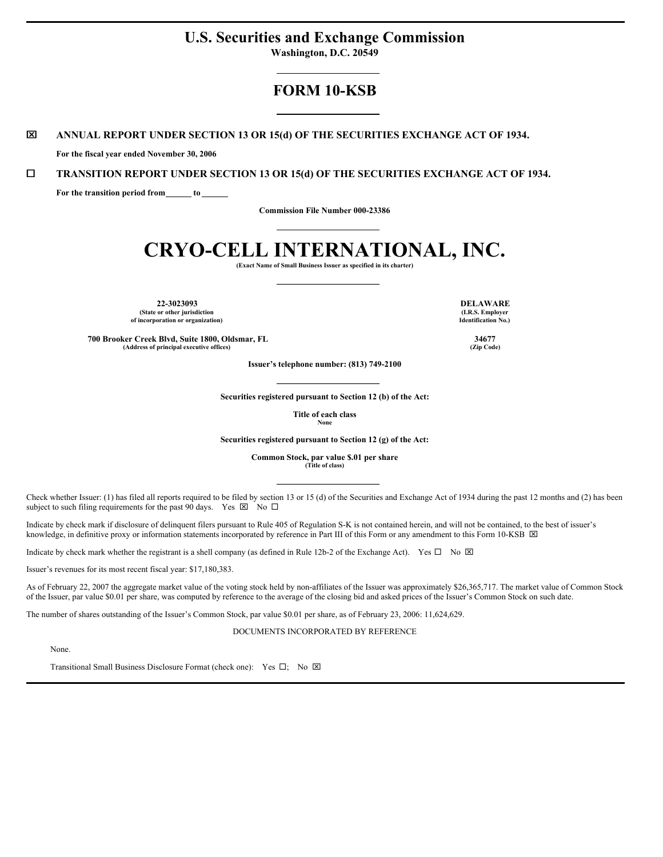# **U.S. Securities and Exchange Commission**

**Washington, D.C. 20549**

## **FORM 10-KSB**

## x **ANNUAL REPORT UNDER SECTION 13 OR 15(d) OF THE SECURITIES EXCHANGE ACT OF 1934.**

**For the fiscal year ended November 30, 2006**

## ¨ **TRANSITION REPORT UNDER SECTION 13 OR 15(d) OF THE SECURITIES EXCHANGE ACT OF 1934.**

**For the transition period from to**

**Commission File Number 000-23386**

# **CRYO-CELL INTERNATIONAL, INC.**

**(Exact Name of Small Business Issuer as specified in its charter)**

**22-3023093 DELAWARE (State or other jurisdiction of incorporation or organization)**

**(I.R.S. Employer Identification No.)**

**700 Brooker Creek Blvd, Suite 1800, Oldsmar, FL 34677 (Address of principal executive offices) (Zip Code)**

**Issuer's telephone number: (813) 749-2100**

**Securities registered pursuant to Section 12 (b) of the Act:**

**Title of each class None**

**Securities registered pursuant to Section 12 (g) of the Act:**

**Common Stock, par value \$.01 per share (Title of class)**

Check whether Issuer: (1) has filed all reports required to be filed by section 13 or 15 (d) of the Securities and Exchange Act of 1934 during the past 12 months and (2) has been subject to such filing requirements for the past 90 days. Yes  $\boxtimes$  No  $\Box$ 

Indicate by check mark if disclosure of delinquent filers pursuant to Rule 405 of Regulation S-K is not contained herein, and will not be contained, to the best of issuer's knowledge, in definitive proxy or information statements incorporated by reference in Part III of this Form or any amendment to this Form 10-KSB  $\boxtimes$ 

Indicate by check mark whether the registrant is a shell company (as defined in Rule 12b-2 of the Exchange Act). Yes  $\Box$  No  $\boxtimes$ 

Issuer's revenues for its most recent fiscal year: \$17,180,383.

As of February 22, 2007 the aggregate market value of the voting stock held by non-affiliates of the Issuer was approximately \$26,365,717. The market value of Common Stock of the Issuer, par value \$0.01 per share, was computed by reference to the average of the closing bid and asked prices of the Issuer's Common Stock on such date.

The number of shares outstanding of the Issuer's Common Stock, par value \$0.01 per share, as of February 23, 2006: 11,624,629.

DOCUMENTS INCORPORATED BY REFERENCE

None.

Transitional Small Business Disclosure Format (check one): Yes  $\Box$ ; No  $\boxtimes$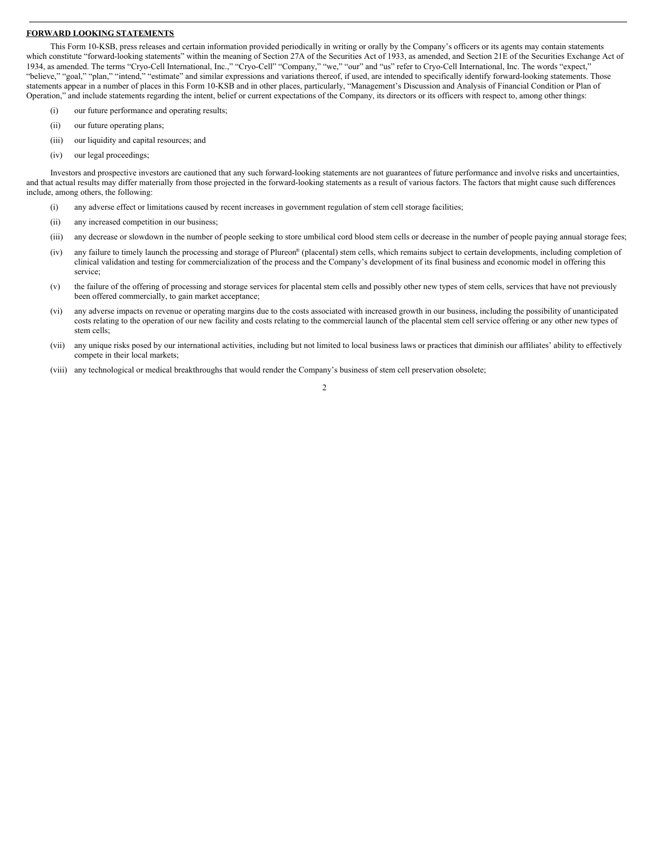## **FORWARD LOOKING STATEMENTS**

This Form 10-KSB, press releases and certain information provided periodically in writing or orally by the Company's officers or its agents may contain statements which constitute "forward-looking statements" within the meaning of Section 27A of the Securities Act of 1933, as amended, and Section 21E of the Securities Exchange Act of 1934, as amended. The terms "Cryo-Cell International, Inc.," "Cryo-Cell" "Company," "we," "our" and "us" refer to Cryo-Cell International, Inc. The words "expect," "believe," "goal," "plan," "intend," "estimate" and similar expressions and variations thereof, if used, are intended to specifically identify forward-looking statements. Those statements appear in a number of places in this Form 10-KSB and in other places, particularly, "Management's Discussion and Analysis of Financial Condition or Plan of Operation," and include statements regarding the intent, belief or current expectations of the Company, its directors or its officers with respect to, among other things:

- (i) our future performance and operating results;
- (ii) our future operating plans;
- (iii) our liquidity and capital resources; and
- (iv) our legal proceedings;

Investors and prospective investors are cautioned that any such forward-looking statements are not guarantees of future performance and involve risks and uncertainties, and that actual results may differ materially from those projected in the forward-looking statements as a result of various factors. The factors that might cause such differences include, among others, the following:

- (i) any adverse effect or limitations caused by recent increases in government regulation of stem cell storage facilities;
- (ii) any increased competition in our business;
- (iii) any decrease or slowdown in the number of people seeking to store umbilical cord blood stem cells or decrease in the number of people paying annual storage fees;
- (iv) any failure to timely launch the processing and storage of Plureon ® (placental) stem cells, which remains subject to certain developments, including completion of clinical validation and testing for commercialization of the process and the Company's development of its final business and economic model in offering this service<sup>.</sup>
- (v) the failure of the offering of processing and storage services for placental stem cells and possibly other new types of stem cells, services that have not previously been offered commercially, to gain market acceptance;
- (vi) any adverse impacts on revenue or operating margins due to the costs associated with increased growth in our business, including the possibility of unanticipated costs relating to the operation of our new facility and costs relating to the commercial launch of the placental stem cell service offering or any other new types of stem cells;
- (vii) any unique risks posed by our international activities, including but not limited to local business laws or practices that diminish our affiliates' ability to effectively compete in their local markets;
- (viii) any technological or medical breakthroughs that would render the Company's business of stem cell preservation obsolete;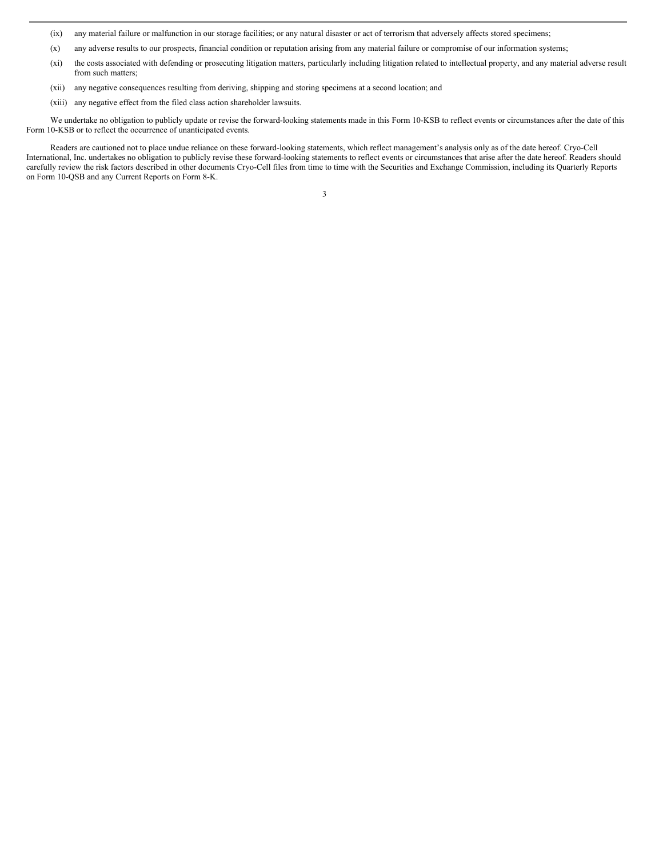(ix) any material failure or malfunction in our storage facilities; or any natural disaster or act of terrorism that adversely affects stored specimens;

- (x) any adverse results to our prospects, financial condition or reputation arising from any material failure or compromise of our information systems;
- (xi) the costs associated with defending or prosecuting litigation matters, particularly including litigation related to intellectual property, and any material adverse result from such matters;
- (xii) any negative consequences resulting from deriving, shipping and storing specimens at a second location; and
- (xiii) any negative effect from the filed class action shareholder lawsuits.

We undertake no obligation to publicly update or revise the forward-looking statements made in this Form 10-KSB to reflect events or circumstances after the date of this Form 10-KSB or to reflect the occurrence of unanticipated events.

Readers are cautioned not to place undue reliance on these forward-looking statements, which reflect management's analysis only as of the date hereof. Cryo-Cell International, Inc. undertakes no obligation to publicly revise these forward-looking statements to reflect events or circumstances that arise after the date hereof. Readers should carefully review the risk factors described in other documents Cryo-Cell files from time to time with the Securities and Exchange Commission, including its Quarterly Reports on Form 10-QSB and any Current Reports on Form 8-K.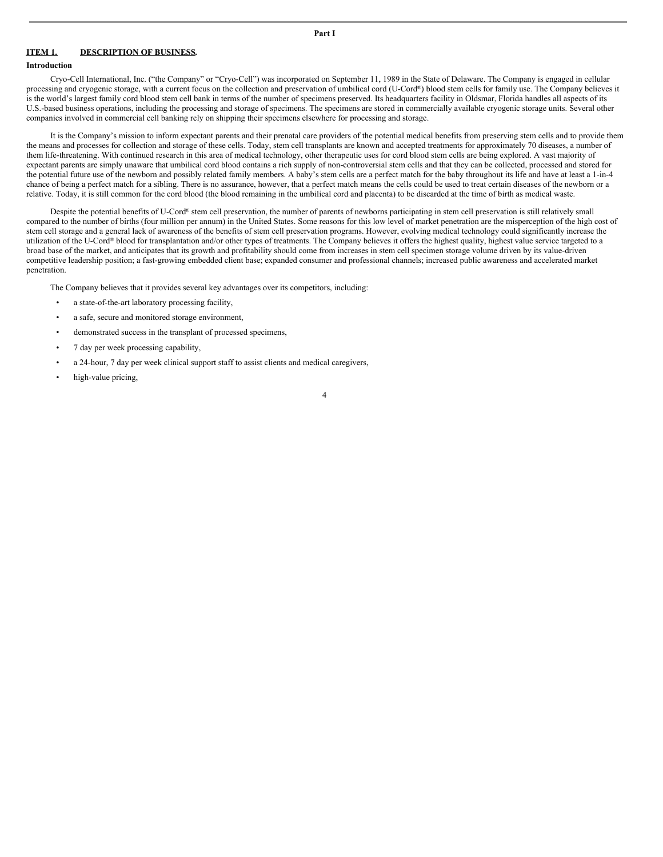## **ITEM 1. DESCRIPTION OF BUSINESS.**

## **Introduction**

Cryo-Cell International, Inc. ("the Company" or "Cryo-Cell") was incorporated on September 11, 1989 in the State of Delaware. The Company is engaged in cellular processing and cryogenic storage, with a current focus on the collection and preservation of umbilical cord (U-Cord®) blood stem cells for family use. The Company believes it is the world's largest family cord blood stem cell bank in terms of the number of specimens preserved. Its headquarters facility in Oldsmar, Florida handles all aspects of its U.S.-based business operations, including the processing and storage of specimens. The specimens are stored in commercially available cryogenic storage units. Several other companies involved in commercial cell banking rely on shipping their specimens elsewhere for processing and storage.

It is the Company's mission to inform expectant parents and their prenatal care providers of the potential medical benefits from preserving stem cells and to provide them the means and processes for collection and storage of these cells. Today, stem cell transplants are known and accepted treatments for approximately 70 diseases, a number of them life-threatening. With continued research in this area of medical technology, other therapeutic uses for cord blood stem cells are being explored. A vast majority of expectant parents are simply unaware that umbilical cord blood contains a rich supply of non-controversial stem cells and that they can be collected, processed and stored for the potential future use of the newborn and possibly related family members. A baby's stem cells are a perfect match for the baby throughout its life and have at least a 1-in-4 chance of being a perfect match for a sibling. There is no assurance, however, that a perfect match means the cells could be used to treat certain diseases of the newborn or a relative. Today, it is still common for the cord blood (the blood remaining in the umbilical cord and placenta) to be discarded at the time of birth as medical waste.

Despite the potential benefits of U-Cord® stem cell preservation, the number of parents of newborns participating in stem cell preservation is still relatively small compared to the number of births (four million per annum) in the United States. Some reasons for this low level of market penetration are the misperception of the high cost of stem cell storage and a general lack of awareness of the benefits of stem cell preservation programs. However, evolving medical technology could significantly increase the utilization of the U-Cord® blood for transplantation and/or other types of treatments. The Company believes it offers the highest quality, highest value service targeted to a broad base of the market, and anticipates that its growth and profitability should come from increases in stem cell specimen storage volume driven by its value-driven competitive leadership position; a fast-growing embedded client base; expanded consumer and professional channels; increased public awareness and accelerated market penetration.

The Company believes that it provides several key advantages over its competitors, including:

- a state-of-the-art laboratory processing facility,
- a safe, secure and monitored storage environment,
- demonstrated success in the transplant of processed specimens,
- 7 day per week processing capability,
- a 24-hour, 7 day per week clinical support staff to assist clients and medical caregivers,
- high-value pricing,

**Part I**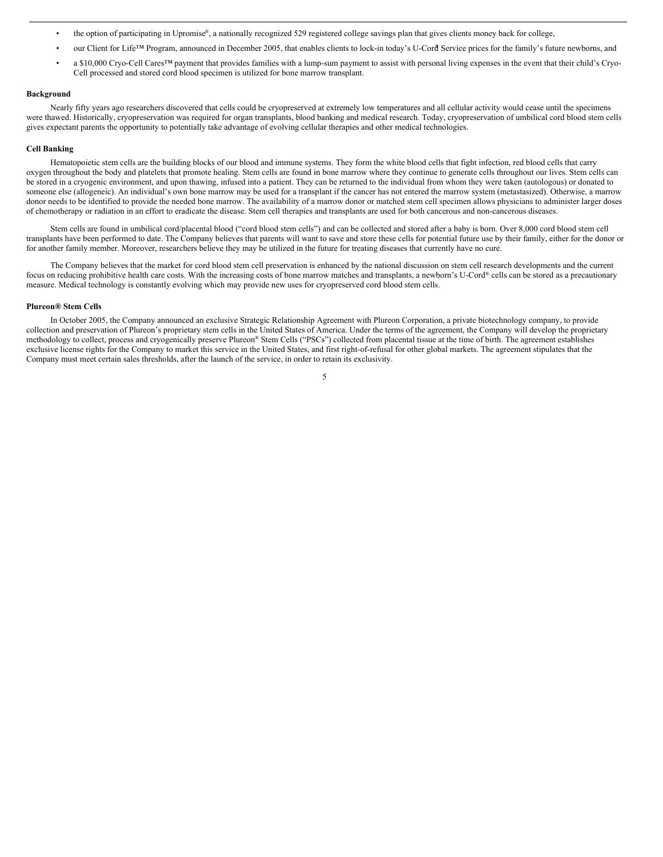- the option of participating in Upromise®, a nationally recognized 529 registered college savings plan that gives clients money back for college,
- our Client for Life™ Program, announced in December 2005, that enables clients to lock-in today's U-Cord Service prices for the family's future newborns, and
- a \$10,000 Cryo-Cell Cares™ payment that provides families with a lump-sum payment to assist with personal living expenses in the event that their child's Cryo-Cell processed and stored cord blood specimen is utilized for bone marrow transplant.

## **Background**

Nearly fifty years ago researchers discovered that cells could be cryopreserved at extremely low temperatures and all cellular activity would cease until the specimens were thawed. Historically, cryopreservation was required for organ transplants, blood banking and medical research. Today, cryopreservation of umbilical cord blood stem cells gives expectant parents the opportunity to potentially take advantage of evolving cellular therapies and other medical technologies.

#### **Cell Banking**

Hematopoietic stem cells are the building blocks of our blood and immune systems. They form the white blood cells that fight infection, red blood cells that carry oxygen throughout the body and platelets that promote healing. Stem cells are found in bone marrow where they continue to generate cells throughout our lives. Stem cells can be stored in a cryogenic environment, and upon thawing, infused into a patient. They can be returned to the individual from whom they were taken (autologous) or donated to someone else (allogeneic). An individual's own bone marrow may be used for a transplant if the cancer has not entered the marrow system (metastasized). Otherwise, a marrow donor needs to be identified to provide the needed bone marrow. The availability of a marrow donor or matched stem cell specimen allows physicians to administer larger doses of chemotherapy or radiation in an effort to eradicate the disease. Stem cell therapies and transplants are used for both cancerous and non-cancerous diseases.

Stem cells are found in umbilical cord/placental blood ("cord blood stem cells") and can be collected and stored after a baby is born. Over 8,000 cord blood stem cell transplants have been performed to date. The Company believes that parents will want to save and store these cells for potential future use by their family, either for the donor or for another family member. Moreover, researchers believe they may be utilized in the future for treating diseases that currently have no cure.

The Company believes that the market for cord blood stem cell preservation is enhanced by the national discussion on stem cell research developments and the current focus on reducing prohibitive health care costs. With the increasing costs of bone marrow matches and transplants, a newborn's U-Cord® cells can be stored as a precautionary measure. Medical technology is constantly evolving which may provide new uses for cryopreserved cord blood stem cells.

#### **Plureon® Stem Cells**

In October 2005, the Company announced an exclusive Strategic Relationship Agreement with Plureon Corporation, a private biotechnology company, to provide collection and preservation of Plureon's proprietary stem cells in the United States of America. Under the terms of the agreement, the Company will develop the proprietary methodology to collect, process and cryogenically preserve Plureon ® Stem Cells ("PSCs") collected from placental tissue at the time of birth. The agreement establishes exclusive license rights for the Company to market this service in the United States, and first right-of-refusal for other global markets. The agreement stipulates that the Company must meet certain sales thresholds, after the launch of the service, in order to retain its exclusivity.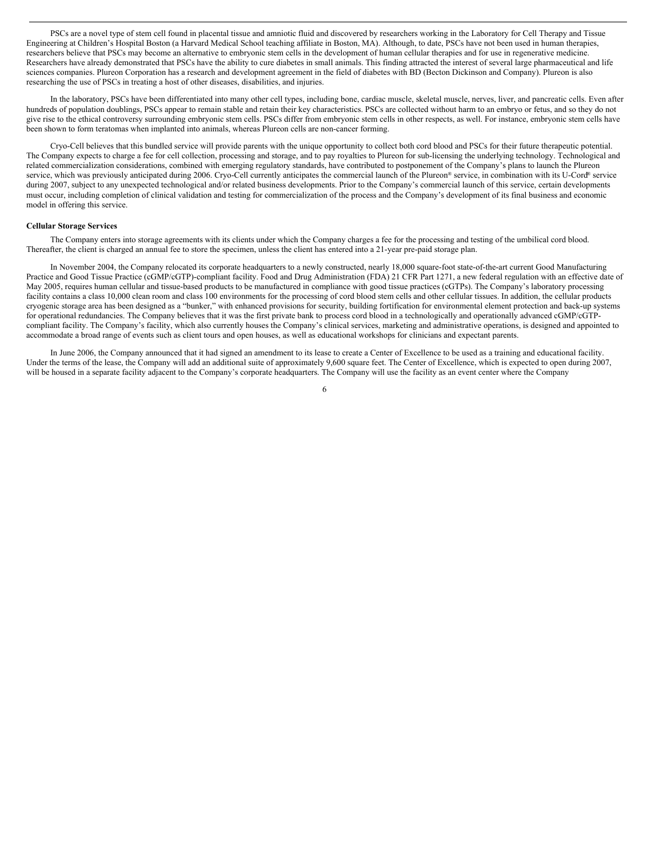PSCs are a novel type of stem cell found in placental tissue and amniotic fluid and discovered by researchers working in the Laboratory for Cell Therapy and Tissue Engineering at Children's Hospital Boston (a Harvard Medical School teaching affiliate in Boston, MA). Although, to date, PSCs have not been used in human therapies, researchers believe that PSCs may become an alternative to embryonic stem cells in the development of human cellular therapies and for use in regenerative medicine. Researchers have already demonstrated that PSCs have the ability to cure diabetes in small animals. This finding attracted the interest of several large pharmaceutical and life sciences companies. Plureon Corporation has a research and development agreement in the field of diabetes with BD (Becton Dickinson and Company). Plureon is also researching the use of PSCs in treating a host of other diseases, disabilities, and injuries.

In the laboratory, PSCs have been differentiated into many other cell types, including bone, cardiac muscle, skeletal muscle, nerves, liver, and pancreatic cells. Even after hundreds of population doublings, PSCs appear to remain stable and retain their key characteristics. PSCs are collected without harm to an embryo or fetus, and so they do not give rise to the ethical controversy surrounding embryonic stem cells. PSCs differ from embryonic stem cells in other respects, as well. For instance, embryonic stem cells have been shown to form teratomas when implanted into animals, whereas Plureon cells are non-cancer forming.

Cryo-Cell believes that this bundled service will provide parents with the unique opportunity to collect both cord blood and PSCs for their future therapeutic potential. The Company expects to charge a fee for cell collection, processing and storage, and to pay royalties to Plureon for sub-licensing the underlying technology. Technological and related commercialization considerations, combined with emerging regulatory standards, have contributed to postponement of the Company's plans to launch the Plureon service, which was previously anticipated during 2006. Cryo-Cell currently anticipates the commercial launch of the Plureon® service, in combination with its U-Cord® service during 2007, subject to any unexpected technological and/or related business developments. Prior to the Company's commercial launch of this service, certain developments must occur, including completion of clinical validation and testing for commercialization of the process and the Company's development of its final business and economic model in offering this service.

#### **Cellular Storage Services**

The Company enters into storage agreements with its clients under which the Company charges a fee for the processing and testing of the umbilical cord blood. Thereafter, the client is charged an annual fee to store the specimen, unless the client has entered into a 21-year pre-paid storage plan.

In November 2004, the Company relocated its corporate headquarters to a newly constructed, nearly 18,000 square-foot state-of-the-art current Good Manufacturing Practice and Good Tissue Practice (cGMP/cGTP)-compliant facility. Food and Drug Administration (FDA) 21 CFR Part 1271, a new federal regulation with an effective date of May 2005, requires human cellular and tissue-based products to be manufactured in compliance with good tissue practices (cGTPs). The Company's laboratory processing facility contains a class 10,000 clean room and class 100 environments for the processing of cord blood stem cells and other cellular tissues. In addition, the cellular products cryogenic storage area has been designed as a "bunker," with enhanced provisions for security, building fortification for environmental element protection and back-up systems for operational redundancies. The Company believes that it was the first private bank to process cord blood in a technologically and operationally advanced cGMP/cGTPcompliant facility. The Company's facility, which also currently houses the Company's clinical services, marketing and administrative operations, is designed and appointed to accommodate a broad range of events such as client tours and open houses, as well as educational workshops for clinicians and expectant parents.

In June 2006, the Company announced that it had signed an amendment to its lease to create a Center of Excellence to be used as a training and educational facility. Under the terms of the lease, the Company will add an additional suite of approximately 9,600 square feet. The Center of Excellence, which is expected to open during 2007, will be housed in a separate facility adjacent to the Company's corporate headquarters. The Company will use the facility as an event center where the Company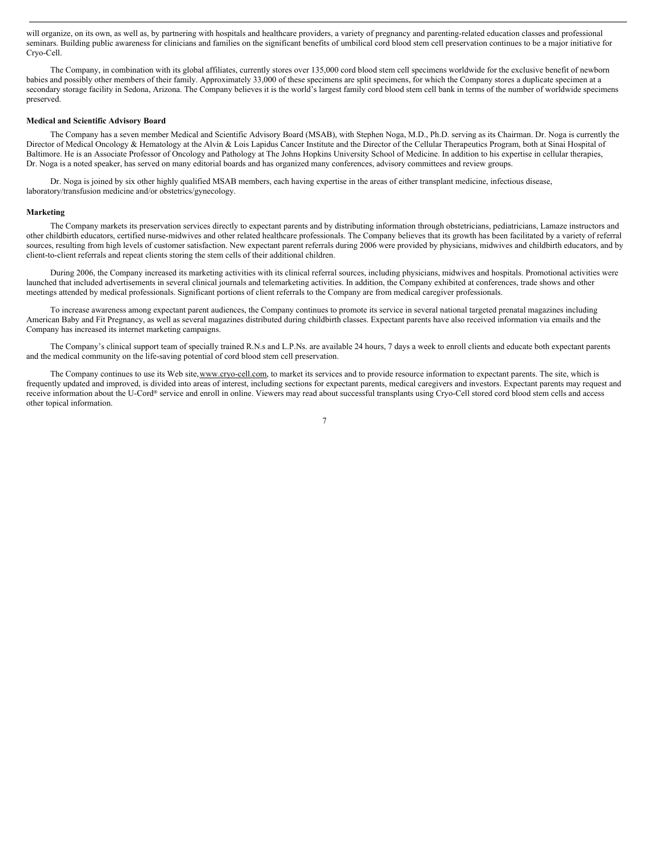will organize, on its own, as well as, by partnering with hospitals and healthcare providers, a variety of pregnancy and parenting-related education classes and professional seminars. Building public awareness for clinicians and families on the significant benefits of umbilical cord blood stem cell preservation continues to be a major initiative for Cryo-Cell.

The Company, in combination with its global affiliates, currently stores over 135,000 cord blood stem cell specimens worldwide for the exclusive benefit of newborn babies and possibly other members of their family. Approximately 33,000 of these specimens are split specimens, for which the Company stores a duplicate specimen at a secondary storage facility in Sedona, Arizona. The Company believes it is the world's largest family cord blood stem cell bank in terms of the number of worldwide specimens preserved.

#### **Medical and Scientific Advisory Board**

The Company has a seven member Medical and Scientific Advisory Board (MSAB), with Stephen Noga, M.D., Ph.D. serving as its Chairman. Dr. Noga is currently the Director of Medical Oncology & Hematology at the Alvin & Lois Lapidus Cancer Institute and the Director of the Cellular Therapeutics Program, both at Sinai Hospital of Baltimore. He is an Associate Professor of Oncology and Pathology at The Johns Hopkins University School of Medicine. In addition to his expertise in cellular therapies, Dr. Noga is a noted speaker, has served on many editorial boards and has organized many conferences, advisory committees and review groups.

Dr. Noga is joined by six other highly qualified MSAB members, each having expertise in the areas of either transplant medicine, infectious disease, laboratory/transfusion medicine and/or obstetrics/gynecology.

#### **Marketing**

The Company markets its preservation services directly to expectant parents and by distributing information through obstetricians, pediatricians, Lamaze instructors and other childbirth educators, certified nurse-midwives and other related healthcare professionals. The Company believes that its growth has been facilitated by a variety of referral sources, resulting from high levels of customer satisfaction. New expectant parent referrals during 2006 were provided by physicians, midwives and childbirth educators, and by client-to-client referrals and repeat clients storing the stem cells of their additional children.

During 2006, the Company increased its marketing activities with its clinical referral sources, including physicians, midwives and hospitals. Promotional activities were launched that included advertisements in several clinical journals and telemarketing activities. In addition, the Company exhibited at conferences, trade shows and other meetings attended by medical professionals. Significant portions of client referrals to the Company are from medical caregiver professionals.

To increase awareness among expectant parent audiences, the Company continues to promote its service in several national targeted prenatal magazines including American Baby and Fit Pregnancy, as well as several magazines distributed during childbirth classes. Expectant parents have also received information via emails and the Company has increased its internet marketing campaigns.

The Company's clinical support team of specially trained R.N.s and L.P.Ns. are available 24 hours, 7 days a week to enroll clients and educate both expectant parents and the medical community on the life-saving potential of cord blood stem cell preservation.

The Company continues to use its Web site, www.cryo-cell.com, to market its services and to provide resource information to expectant parents. The site, which is frequently updated and improved, is divided into areas of interest, including sections for expectant parents, medical caregivers and investors. Expectant parents may request and receive information about the U-Cord® service and enroll in online. Viewers may read about successful transplants using Cryo-Cell stored cord blood stem cells and access other topical information.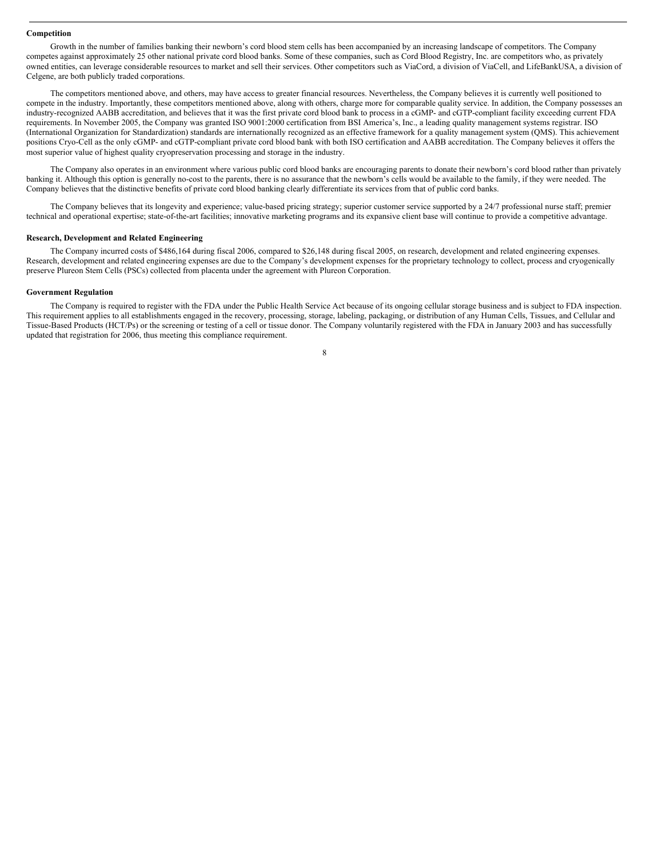#### **Competition**

Growth in the number of families banking their newborn's cord blood stem cells has been accompanied by an increasing landscape of competitors. The Company competes against approximately 25 other national private cord blood banks. Some of these companies, such as Cord Blood Registry, Inc. are competitors who, as privately owned entities, can leverage considerable resources to market and sell their services. Other competitors such as ViaCord, a division of ViaCell, and LifeBankUSA, a division of Celgene, are both publicly traded corporations.

The competitors mentioned above, and others, may have access to greater financial resources. Nevertheless, the Company believes it is currently well positioned to compete in the industry. Importantly, these competitors mentioned above, along with others, charge more for comparable quality service. In addition, the Company possesses an industry-recognized AABB accreditation, and believes that it was the first private cord blood bank to process in a cGMP- and cGTP-compliant facility exceeding current FDA requirements. In November 2005, the Company was granted ISO 9001:2000 certification from BSI America's, Inc., a leading quality management systems registrar. ISO (International Organization for Standardization) standards are internationally recognized as an effective framework for a quality management system (QMS). This achievement positions Cryo-Cell as the only cGMP- and cGTP-compliant private cord blood bank with both ISO certification and AABB accreditation. The Company believes it offers the most superior value of highest quality cryopreservation processing and storage in the industry.

The Company also operates in an environment where various public cord blood banks are encouraging parents to donate their newborn's cord blood rather than privately banking it. Although this option is generally no-cost to the parents, there is no assurance that the newborn's cells would be available to the family, if they were needed. The Company believes that the distinctive benefits of private cord blood banking clearly differentiate its services from that of public cord banks.

The Company believes that its longevity and experience; value-based pricing strategy; superior customer service supported by a 24/7 professional nurse staff; premier technical and operational expertise; state-of-the-art facilities; innovative marketing programs and its expansive client base will continue to provide a competitive advantage.

#### **Research, Development and Related Engineering**

The Company incurred costs of \$486,164 during fiscal 2006, compared to \$26,148 during fiscal 2005, on research, development and related engineering expenses. Research, development and related engineering expenses are due to the Company's development expenses for the proprietary technology to collect, process and cryogenically preserve Plureon Stem Cells (PSCs) collected from placenta under the agreement with Plureon Corporation.

#### **Government Regulation**

The Company is required to register with the FDA under the Public Health Service Act because of its ongoing cellular storage business and is subject to FDA inspection. This requirement applies to all establishments engaged in the recovery, processing, storage, labeling, packaging, or distribution of any Human Cells, Tissues, and Cellular and Tissue-Based Products (HCT/Ps) or the screening or testing of a cell or tissue donor. The Company voluntarily registered with the FDA in January 2003 and has successfully updated that registration for 2006, thus meeting this compliance requirement.

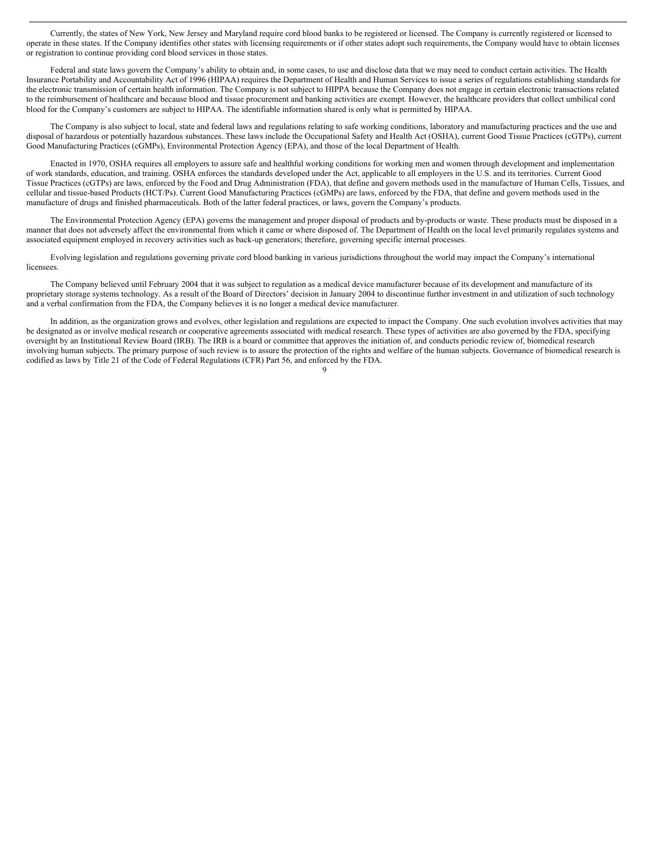Currently, the states of New York, New Jersey and Maryland require cord blood banks to be registered or licensed. The Company is currently registered or licensed to operate in these states. If the Company identifies other states with licensing requirements or if other states adopt such requirements, the Company would have to obtain licenses or registration to continue providing cord blood services in those states.

Federal and state laws govern the Company's ability to obtain and, in some cases, to use and disclose data that we may need to conduct certain activities. The Health Insurance Portability and Accountability Act of 1996 (HIPAA) requires the Department of Health and Human Services to issue a series of regulations establishing standards for the electronic transmission of certain health information. The Company is not subject to HIPPA because the Company does not engage in certain electronic transactions related to the reimbursement of healthcare and because blood and tissue procurement and banking activities are exempt. However, the healthcare providers that collect umbilical cord blood for the Company's customers are subject to HIPAA. The identifiable information shared is only what is permitted by HIPAA.

The Company is also subject to local, state and federal laws and regulations relating to safe working conditions, laboratory and manufacturing practices and the use and disposal of hazardous or potentially hazardous substances. These laws include the Occupational Safety and Health Act (OSHA), current Good Tissue Practices (cGTPs), current Good Manufacturing Practices (cGMPs), Environmental Protection Agency (EPA), and those of the local Department of Health.

Enacted in 1970, OSHA requires all employers to assure safe and healthful working conditions for working men and women through development and implementation of work standards, education, and training. OSHA enforces the standards developed under the Act, applicable to all employers in the U.S. and its territories. Current Good Tissue Practices (cGTPs) are laws, enforced by the Food and Drug Administration (FDA), that define and govern methods used in the manufacture of Human Cells, Tissues, and cellular and tissue-based Products (HCT/Ps). Current Good Manufacturing Practices (cGMPs) are laws, enforced by the FDA, that define and govern methods used in the manufacture of drugs and finished pharmaceuticals. Both of the latter federal practices, or laws, govern the Company's products.

The Environmental Protection Agency (EPA) governs the management and proper disposal of products and by-products or waste. These products must be disposed in a manner that does not adversely affect the environmental from which it came or where disposed of. The Department of Health on the local level primarily regulates systems and associated equipment employed in recovery activities such as back-up generators; therefore, governing specific internal processes.

Evolving legislation and regulations governing private cord blood banking in various jurisdictions throughout the world may impact the Company's international licensees.

The Company believed until February 2004 that it was subject to regulation as a medical device manufacturer because of its development and manufacture of its proprietary storage systems technology. As a result of the Board of Directors' decision in January 2004 to discontinue further investment in and utilization of such technology and a verbal confirmation from the FDA, the Company believes it is no longer a medical device manufacturer.

In addition, as the organization grows and evolves, other legislation and regulations are expected to impact the Company. One such evolution involves activities that may be designated as or involve medical research or cooperative agreements associated with medical research. These types of activities are also governed by the FDA, specifying oversight by an Institutional Review Board (IRB). The IRB is a board or committee that approves the initiation of, and conducts periodic review of, biomedical research involving human subjects. The primary purpose of such review is to assure the protection of the rights and welfare of the human subjects. Governance of biomedical research is codified as laws by Title 21 of the Code of Federal Regulations (CFR) Part 56, and enforced by the FDA.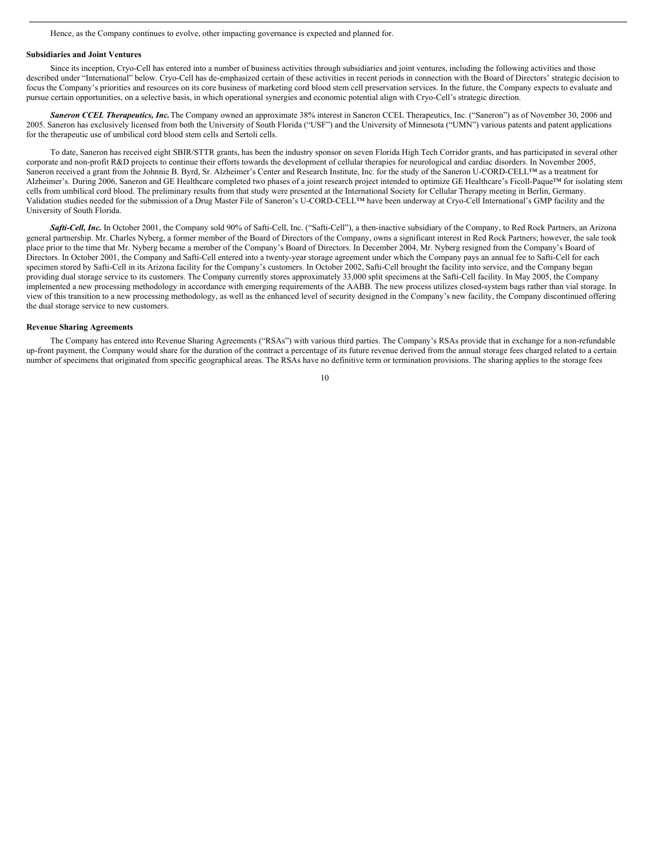Hence, as the Company continues to evolve, other impacting governance is expected and planned for.

#### **Subsidiaries and Joint Ventures**

Since its inception, Cryo-Cell has entered into a number of business activities through subsidiaries and joint ventures, including the following activities and those described under "International" below. Cryo-Cell has de-emphasized certain of these activities in recent periods in connection with the Board of Directors' strategic decision to focus the Company's priorities and resources on its core business of marketing cord blood stem cell preservation services. In the future, the Company expects to evaluate and pursue certain opportunities, on a selective basis, in which operational synergies and economic potential align with Cryo-Cell's strategic direction.

*Saneron CCEL Therapeutics, Inc.*The Company owned an approximate 38% interest in Saneron CCEL Therapeutics, Inc. ("Saneron") as of November 30, 2006 and 2005. Saneron has exclusively licensed from both the University of South Florida ("USF") and the University of Minnesota ("UMN") various patents and patent applications for the therapeutic use of umbilical cord blood stem cells and Sertoli cells.

To date, Saneron has received eight SBIR/STTR grants, has been the industry sponsor on seven Florida High Tech Corridor grants, and has participated in several other corporate and non-profit R&D projects to continue their efforts towards the development of cellular therapies for neurological and cardiac disorders. In November 2005, Saneron received a grant from the Johnnie B. Byrd, Sr. Alzheimer's Center and Research Institute, Inc. for the study of the Saneron U-CORD-CELL™ as a treatment for Alzheimer's. During 2006, Saneron and GE Healthcare completed two phases of a joint research project intended to optimize GE Healthcare's Ficoll-Paque™ for isolating stem cells from umbilical cord blood. The preliminary results from that study were presented at the International Society for Cellular Therapy meeting in Berlin, Germany. Validation studies needed for the submission of a Drug Master File of Saneron's U-CORD-CELL™ have been underway at Cryo-Cell International's GMP facility and the University of South Florida.

*Safti-Cell, Inc.* In October 2001, the Company sold 90% of Safti-Cell, Inc. ("Safti-Cell"), a then-inactive subsidiary of the Company, to Red Rock Partners, an Arizona general partnership. Mr. Charles Nyberg, a former member of the Board of Directors of the Company, owns a significant interest in Red Rock Partners; however, the sale took place prior to the time that Mr. Nyberg became a member of the Company's Board of Directors. In December 2004, Mr. Nyberg resigned from the Company's Board of Directors. In October 2001, the Company and Safti-Cell entered into a twenty-year storage agreement under which the Company pays an annual fee to Safti-Cell for each specimen stored by Safti-Cell in its Arizona facility for the Company's customers. In October 2002, Safti-Cell brought the facility into service, and the Company began providing dual storage service to its customers. The Company currently stores approximately 33,000 split specimens at the Safti-Cell facility. In May 2005, the Company implemented a new processing methodology in accordance with emerging requirements of the AABB. The new process utilizes closed-system bags rather than vial storage. In view of this transition to a new processing methodology, as well as the enhanced level of security designed in the Company's new facility, the Company discontinued offering the dual storage service to new customers.

#### **Revenue Sharing Agreements**

The Company has entered into Revenue Sharing Agreements ("RSAs") with various third parties. The Company's RSAs provide that in exchange for a non-refundable up-front payment, the Company would share for the duration of the contract a percentage of its future revenue derived from the annual storage fees charged related to a certain number of specimens that originated from specific geographical areas. The RSAs have no definitive term or termination provisions. The sharing applies to the storage fees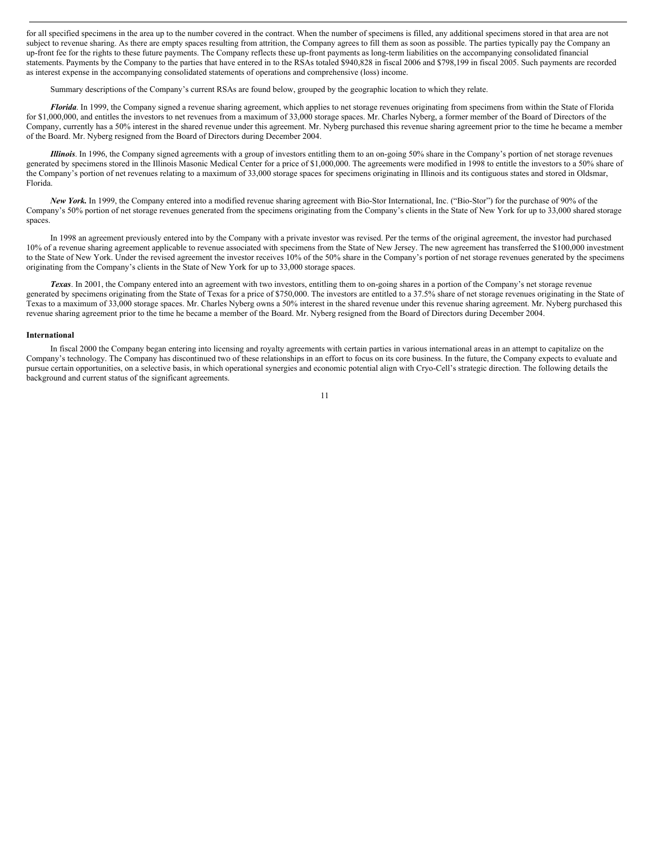for all specified specimens in the area up to the number covered in the contract. When the number of specimens is filled, any additional specimens stored in that area are not subject to revenue sharing. As there are empty spaces resulting from attrition, the Company agrees to fill them as soon as possible. The parties typically pay the Company an up-front fee for the rights to these future payments. The Company reflects these up-front payments as long-term liabilities on the accompanying consolidated financial statements. Payments by the Company to the parties that have entered in to the RSAs totaled \$940,828 in fiscal 2006 and \$798,199 in fiscal 2005. Such payments are recorded as interest expense in the accompanying consolidated statements of operations and comprehensive (loss) income.

Summary descriptions of the Company's current RSAs are found below, grouped by the geographic location to which they relate.

*Florida*. In 1999, the Company signed a revenue sharing agreement, which applies to net storage revenues originating from specimens from within the State of Florida for \$1,000,000, and entitles the investors to net revenues from a maximum of 33,000 storage spaces. Mr. Charles Nyberg, a former member of the Board of Directors of the Company, currently has a 50% interest in the shared revenue under this agreement. Mr. Nyberg purchased this revenue sharing agreement prior to the time he became a member of the Board. Mr. Nyberg resigned from the Board of Directors during December 2004.

*Illinois*. In 1996, the Company signed agreements with a group of investors entitling them to an on-going 50% share in the Company's portion of net storage revenues generated by specimens stored in the Illinois Masonic Medical Center for a price of \$1,000,000. The agreements were modified in 1998 to entitle the investors to a 50% share of the Company's portion of net revenues relating to a maximum of 33,000 storage spaces for specimens originating in Illinois and its contiguous states and stored in Oldsmar, Florida.

*New York.* In 1999, the Company entered into a modified revenue sharing agreement with Bio-Stor International, Inc. ("Bio-Stor") for the purchase of 90% of the Company's 50% portion of net storage revenues generated from the specimens originating from the Company's clients in the State of New York for up to 33,000 shared storage spaces.

In 1998 an agreement previously entered into by the Company with a private investor was revised. Per the terms of the original agreement, the investor had purchased 10% of a revenue sharing agreement applicable to revenue associated with specimens from the State of New Jersey. The new agreement has transferred the \$100,000 investment to the State of New York. Under the revised agreement the investor receives 10% of the 50% share in the Company's portion of net storage revenues generated by the specimens originating from the Company's clients in the State of New York for up to 33,000 storage spaces.

*Texas*. In 2001, the Company entered into an agreement with two investors, entitling them to on-going shares in a portion of the Company's net storage revenue generated by specimens originating from the State of Texas for a price of \$750,000. The investors are entitled to a 37.5% share of net storage revenues originating in the State of Texas to a maximum of 33,000 storage spaces. Mr. Charles Nyberg owns a 50% interest in the shared revenue under this revenue sharing agreement. Mr. Nyberg purchased this revenue sharing agreement prior to the time he became a member of the Board. Mr. Nyberg resigned from the Board of Directors during December 2004.

#### **International**

In fiscal 2000 the Company began entering into licensing and royalty agreements with certain parties in various international areas in an attempt to capitalize on the Company's technology. The Company has discontinued two of these relationships in an effort to focus on its core business. In the future, the Company expects to evaluate and pursue certain opportunities, on a selective basis, in which operational synergies and economic potential align with Cryo-Cell's strategic direction. The following details the background and current status of the significant agreements.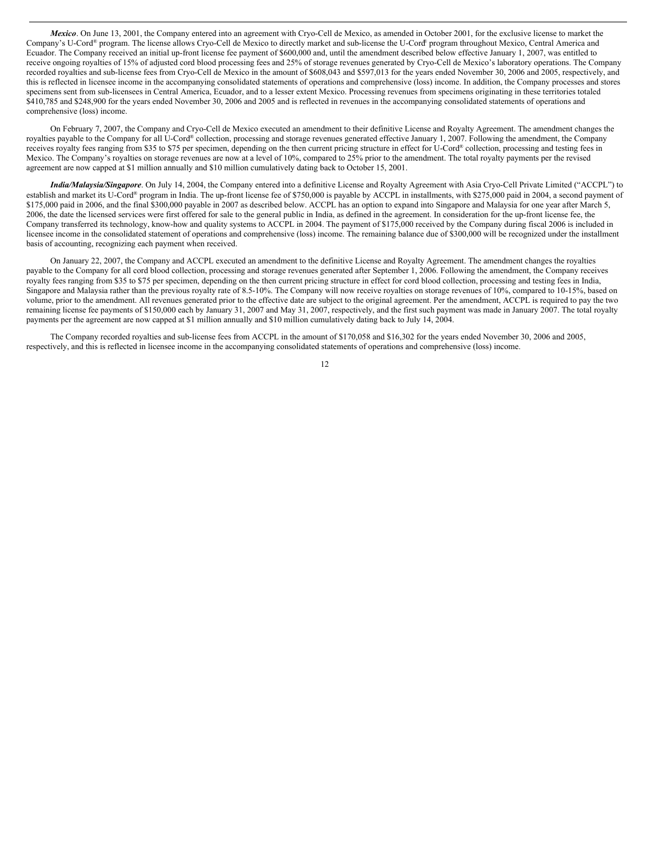*Mexico*. On June 13, 2001, the Company entered into an agreement with Cryo-Cell de Mexico, as amended in October 2001, for the exclusive license to market the Company's U-Cord® program. The license allows Cryo-Cell de Mexico to directly market and sub-license the U-Cord® program throughout Mexico, Central America and Ecuador. The Company received an initial up-front license fee payment of \$600,000 and, until the amendment described below effective January 1, 2007, was entitled to receive ongoing royalties of 15% of adjusted cord blood processing fees and 25% of storage revenues generated by Cryo-Cell de Mexico's laboratory operations. The Company recorded royalties and sub-license fees from Cryo-Cell de Mexico in the amount of \$608,043 and \$597,013 for the years ended November 30, 2006 and 2005, respectively, and this is reflected in licensee income in the accompanying consolidated statements of operations and comprehensive (loss) income. In addition, the Company processes and stores specimens sent from sub-licensees in Central America, Ecuador, and to a lesser extent Mexico. Processing revenues from specimens originating in these territories totaled \$410,785 and \$248,900 for the years ended November 30, 2006 and 2005 and is reflected in revenues in the accompanying consolidated statements of operations and comprehensive (loss) income.

On February 7, 2007, the Company and Cryo-Cell de Mexico executed an amendment to their definitive License and Royalty Agreement. The amendment changes the royalties payable to the Company for all U-Cord® collection, processing and storage revenues generated effective January 1, 2007. Following the amendment, the Company receives royalty fees ranging from \$35 to \$75 per specimen, depending on the then current pricing structure in effect for U-Cord® collection, processing and testing fees in Mexico. The Company's royalties on storage revenues are now at a level of 10%, compared to 25% prior to the amendment. The total royalty payments per the revised agreement are now capped at \$1 million annually and \$10 million cumulatively dating back to October 15, 2001.

*India/Malaysia/Singapore*. On July 14, 2004, the Company entered into a definitive License and Royalty Agreement with Asia Cryo-Cell Private Limited ("ACCPL") to establish and market its U-Cord® program in India. The up-front license fee of \$750,000 is payable by ACCPL in installments, with \$275,000 paid in 2004, a second payment of \$175,000 paid in 2006, and the final \$300,000 payable in 2007 as described below. ACCPL has an option to expand into Singapore and Malaysia for one year after March 5, 2006, the date the licensed services were first offered for sale to the general public in India, as defined in the agreement. In consideration for the up-front license fee, the Company transferred its technology, know-how and quality systems to ACCPL in 2004. The payment of \$175,000 received by the Company during fiscal 2006 is included in licensee income in the consolidated statement of operations and comprehensive (loss) income. The remaining balance due of \$300,000 will be recognized under the installment basis of accounting, recognizing each payment when received.

On January 22, 2007, the Company and ACCPL executed an amendment to the definitive License and Royalty Agreement. The amendment changes the royalties payable to the Company for all cord blood collection, processing and storage revenues generated after September 1, 2006. Following the amendment, the Company receives royalty fees ranging from \$35 to \$75 per specimen, depending on the then current pricing structure in effect for cord blood collection, processing and testing fees in India, Singapore and Malaysia rather than the previous royalty rate of 8.5-10%. The Company will now receive royalties on storage revenues of 10%, compared to 10-15%, based on volume, prior to the amendment. All revenues generated prior to the effective date are subject to the original agreement. Per the amendment, ACCPL is required to pay the two remaining license fee payments of \$150,000 each by January 31, 2007 and May 31, 2007, respectively, and the first such payment was made in January 2007. The total royalty payments per the agreement are now capped at \$1 million annually and \$10 million cumulatively dating back to July 14, 2004.

The Company recorded royalties and sub-license fees from ACCPL in the amount of \$170,058 and \$16,302 for the years ended November 30, 2006 and 2005, respectively, and this is reflected in licensee income in the accompanying consolidated statements of operations and comprehensive (loss) income.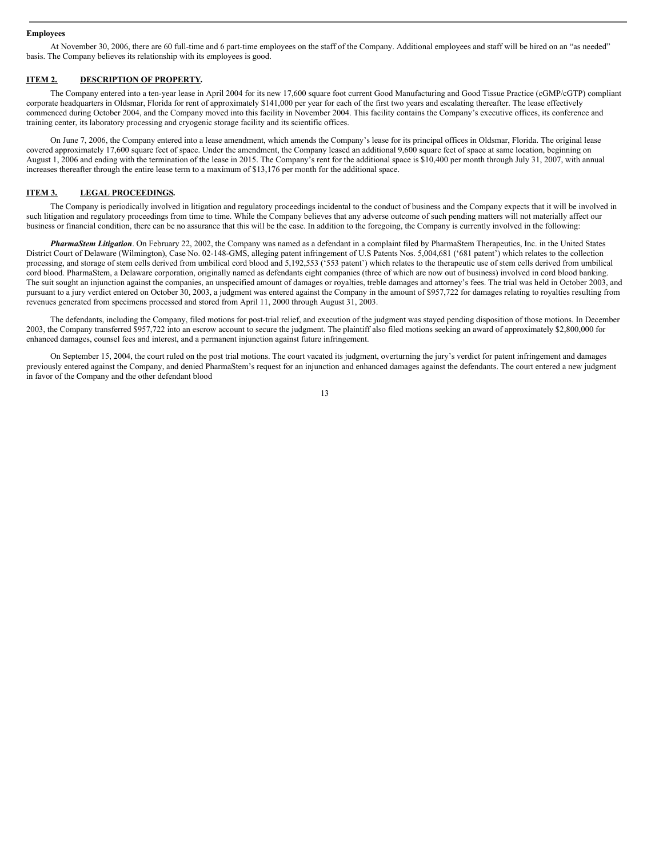#### **Employees**

At November 30, 2006, there are 60 full-time and 6 part-time employees on the staff of the Company. Additional employees and staff will be hired on an "as needed" basis. The Company believes its relationship with its employees is good.

## **ITEM 2. DESCRIPTION OF PROPERTY.**

The Company entered into a ten-year lease in April 2004 for its new 17,600 square foot current Good Manufacturing and Good Tissue Practice (cGMP/cGTP) compliant corporate headquarters in Oldsmar, Florida for rent of approximately \$141,000 per year for each of the first two years and escalating thereafter. The lease effectively commenced during October 2004, and the Company moved into this facility in November 2004. This facility contains the Company's executive offices, its conference and training center, its laboratory processing and cryogenic storage facility and its scientific offices.

On June 7, 2006, the Company entered into a lease amendment, which amends the Company's lease for its principal offices in Oldsmar, Florida. The original lease covered approximately 17,600 square feet of space. Under the amendment, the Company leased an additional 9,600 square feet of space at same location, beginning on August 1, 2006 and ending with the termination of the lease in 2015. The Company's rent for the additional space is \$10,400 per month through July 31, 2007, with annual increases thereafter through the entire lease term to a maximum of \$13,176 per month for the additional space.

## **ITEM 3. LEGAL PROCEEDINGS.**

The Company is periodically involved in litigation and regulatory proceedings incidental to the conduct of business and the Company expects that it will be involved in such litigation and regulatory proceedings from time to time. While the Company believes that any adverse outcome of such pending matters will not materially affect our business or financial condition, there can be no assurance that this will be the case. In addition to the foregoing, the Company is currently involved in the following:

*PharmaStem Litigation*. On February 22, 2002, the Company was named as a defendant in a complaint filed by PharmaStem Therapeutics, Inc. in the United States District Court of Delaware (Wilmington), Case No. 02-148-GMS, alleging patent infringement of U.S Patents Nos. 5,004,681 ('681 patent') which relates to the collection processing, and storage of stem cells derived from umbilical cord blood and 5,192,553 ('553 patent') which relates to the therapeutic use of stem cells derived from umbilical cord blood. PharmaStem, a Delaware corporation, originally named as defendants eight companies (three of which are now out of business) involved in cord blood banking. The suit sought an injunction against the companies, an unspecified amount of damages or royalties, treble damages and attorney's fees. The trial was held in October 2003, and pursuant to a jury verdict entered on October 30, 2003, a judgment was entered against the Company in the amount of \$957,722 for damages relating to royalties resulting from revenues generated from specimens processed and stored from April 11, 2000 through August 31, 2003.

The defendants, including the Company, filed motions for post-trial relief, and execution of the judgment was stayed pending disposition of those motions. In December 2003, the Company transferred \$957,722 into an escrow account to secure the judgment. The plaintiff also filed motions seeking an award of approximately \$2,800,000 for enhanced damages, counsel fees and interest, and a permanent injunction against future infringement.

On September 15, 2004, the court ruled on the post trial motions. The court vacated its judgment, overturning the jury's verdict for patent infringement and damages previously entered against the Company, and denied PharmaStem's request for an injunction and enhanced damages against the defendants. The court entered a new judgment in favor of the Company and the other defendant blood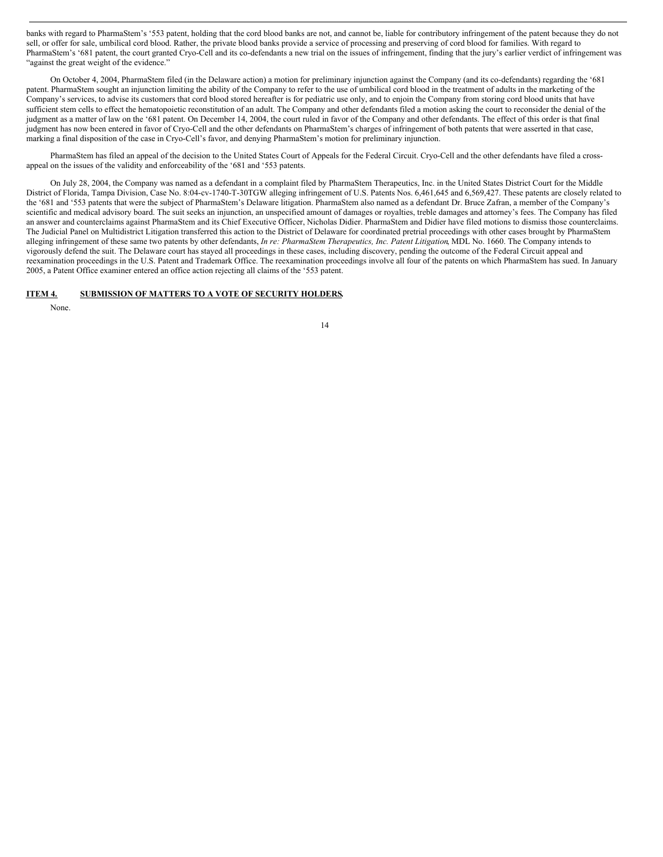banks with regard to PharmaStem's '553 patent, holding that the cord blood banks are not, and cannot be, liable for contributory infringement of the patent because they do not sell, or offer for sale, umbilical cord blood. Rather, the private blood banks provide a service of processing and preserving of cord blood for families. With regard to PharmaStem's '681 patent, the court granted Cryo-Cell and its co-defendants a new trial on the issues of infringement, finding that the jury's earlier verdict of infringement was "against the great weight of the evidence."

On October 4, 2004, PharmaStem filed (in the Delaware action) a motion for preliminary injunction against the Company (and its co-defendants) regarding the '681 patent. PharmaStem sought an injunction limiting the ability of the Company to refer to the use of umbilical cord blood in the treatment of adults in the marketing of the Company's services, to advise its customers that cord blood stored hereafter is for pediatric use only, and to enjoin the Company from storing cord blood units that have sufficient stem cells to effect the hematopoietic reconstitution of an adult. The Company and other defendants filed a motion asking the court to reconsider the denial of the judgment as a matter of law on the '681 patent. On December 14, 2004, the court ruled in favor of the Company and other defendants. The effect of this order is that final judgment has now been entered in favor of Cryo-Cell and the other defendants on PharmaStem's charges of infringement of both patents that were asserted in that case, marking a final disposition of the case in Cryo-Cell's favor, and denying PharmaStem's motion for preliminary injunction.

PharmaStem has filed an appeal of the decision to the United States Court of Appeals for the Federal Circuit. Cryo-Cell and the other defendants have filed a crossappeal on the issues of the validity and enforceability of the '681 and '553 patents.

On July 28, 2004, the Company was named as a defendant in a complaint filed by PharmaStem Therapeutics, Inc. in the United States District Court for the Middle District of Florida, Tampa Division, Case No. 8:04-cv-1740-T-30TGW alleging infringement of U.S. Patents Nos. 6,461,645 and 6,569,427. These patents are closely related to the '681 and '553 patents that were the subject of PharmaStem's Delaware litigation. PharmaStem also named as a defendant Dr. Bruce Zafran, a member of the Company's scientific and medical advisory board. The suit seeks an injunction, an unspecified amount of damages or royalties, treble damages and attorney's fees. The Company has filed an answer and counterclaims against PharmaStem and its Chief Executive Officer, Nicholas Didier. PharmaStem and Didier have filed motions to dismiss those counterclaims. The Judicial Panel on Multidistrict Litigation transferred this action to the District of Delaware for coordinated pretrial proceedings with other cases brought by PharmaStem alleging infringement of these same two patents by other defendants, *In re: PharmaStem Therapeutics, Inc. Patent Litigation*, MDL No. 1660. The Company intends to vigorously defend the suit. The Delaware court has stayed all proceedings in these cases, including discovery, pending the outcome of the Federal Circuit appeal and reexamination proceedings in the U.S. Patent and Trademark Office. The reexamination proceedings involve all four of the patents on which PharmaStem has sued. In January 2005, a Patent Office examiner entered an office action rejecting all claims of the '553 patent.

## **ITEM 4. SUBMISSION OF MATTERS TO A VOTE OF SECURITY HOLDERS.**

None.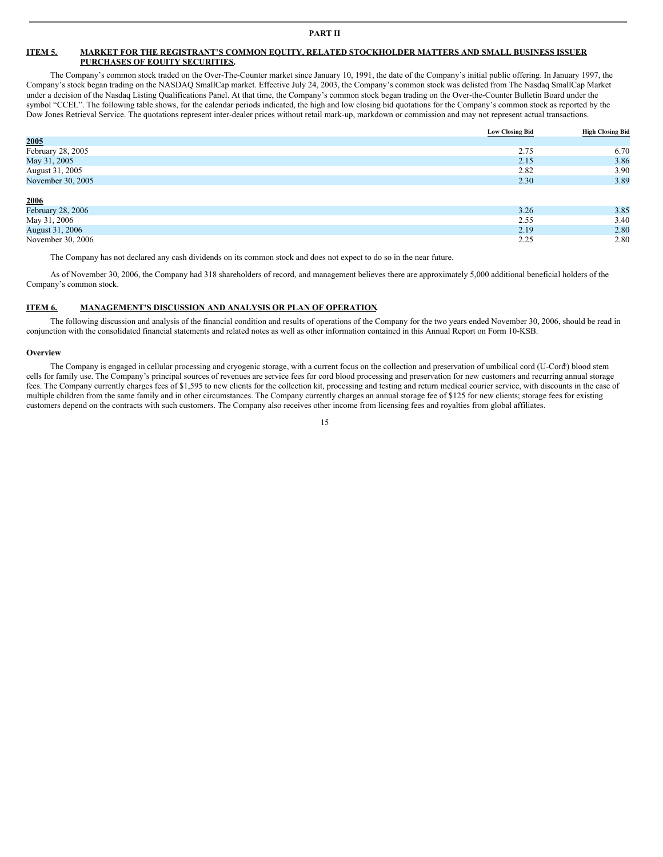## **ITEM 5. MARKET FOR THE REGISTRANT'S COMMON EQUITY, RELATED STOCKHOLDER MATTERS AND SMALL BUSINESS ISSUER PURCHASES OF EQUITY SECURITIES.**

The Company's common stock traded on the Over-The-Counter market since January 10, 1991, the date of the Company's initial public offering. In January 1997, the Company's stock began trading on the NASDAQ SmallCap market. Effective July 24, 2003, the Company's common stock was delisted from The Nasdaq SmallCap Market under a decision of the Nasdaq Listing Qualifications Panel. At that time, the Company's common stock began trading on the Over-the-Counter Bulletin Board under the symbol "CCEL". The following table shows, for the calendar periods indicated, the high and low closing bid quotations for the Company's common stock as reported by the Dow Jones Retrieval Service. The quotations represent inter-dealer prices without retail mark-up, markdown or commission and may not represent actual transactions.

|                   | <b>Low Closing Bid</b> | <b>High Closing Bid</b> |
|-------------------|------------------------|-------------------------|
| 2005              |                        |                         |
| February 28, 2005 | 2.75                   | 6.70                    |
| May 31, 2005      | 2.15                   | 3.86                    |
| August 31, 2005   | 2.82                   | 3.90                    |
| November 30, 2005 | 2.30                   | 3.89                    |
|                   |                        |                         |
| 2006              |                        |                         |
| February 28, 2006 | 3.26                   | 3.85                    |
| May 31, 2006      | 2.55                   | 3.40                    |
| August 31, 2006   | 2.19                   | 2.80                    |
| November 30, 2006 | 2.25                   | 2.80                    |

The Company has not declared any cash dividends on its common stock and does not expect to do so in the near future.

As of November 30, 2006, the Company had 318 shareholders of record, and management believes there are approximately 5,000 additional beneficial holders of the Company's common stock.

## **ITEM 6. MANAGEMENT'S DISCUSSION AND ANALYSIS OR PLAN OF OPERATION.**

The following discussion and analysis of the financial condition and results of operations of the Company for the two years ended November 30, 2006, should be read in conjunction with the consolidated financial statements and related notes as well as other information contained in this Annual Report on Form 10-KSB.

#### **Overview**

The Company is engaged in cellular processing and cryogenic storage, with a current focus on the collection and preservation of umbilical cord (U-Cord ®) blood stem cells for family use. The Company's principal sources of revenues are service fees for cord blood processing and preservation for new customers and recurring annual storage fees. The Company currently charges fees of \$1,595 to new clients for the collection kit, processing and testing and return medical courier service, with discounts in the case of multiple children from the same family and in other circumstances. The Company currently charges an annual storage fee of \$125 for new clients; storage fees for existing customers depend on the contracts with such customers. The Company also receives other income from licensing fees and royalties from global affiliates.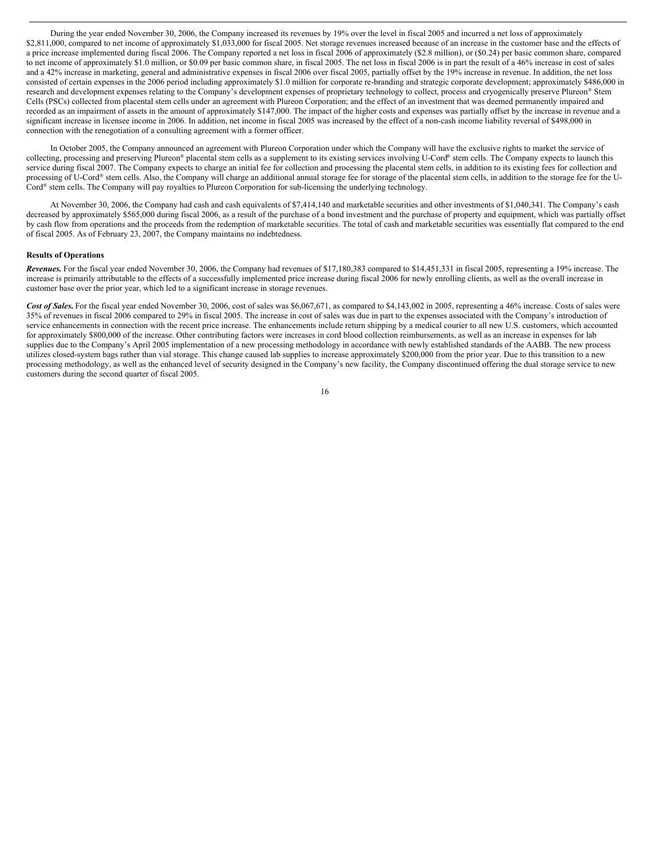During the year ended November 30, 2006, the Company increased its revenues by 19% over the level in fiscal 2005 and incurred a net loss of approximately \$2,811,000, compared to net income of approximately \$1,033,000 for fiscal 2005. Net storage revenues increased because of an increase in the customer base and the effects of a price increase implemented during fiscal 2006. The Company reported a net loss in fiscal 2006 of approximately (\$2.8 million), or (\$0.24) per basic common share, compared to net income of approximately \$1.0 million, or \$0.09 per basic common share, in fiscal 2005. The net loss in fiscal 2006 is in part the result of a 46% increase in cost of sales and a 42% increase in marketing, general and administrative expenses in fiscal 2006 over fiscal 2005, partially offset by the 19% increase in revenue. In addition, the net loss consisted of certain expenses in the 2006 period including approximately \$1.0 million for corporate re-branding and strategic corporate development; approximately \$486,000 in research and development expenses relating to the Company's development expenses of proprietary technology to collect, process and cryogenically preserve Plureon® Stem Cells (PSCs) collected from placental stem cells under an agreement with Plureon Corporation; and the effect of an investment that was deemed permanently impaired and recorded as an impairment of assets in the amount of approximately \$147,000. The impact of the higher costs and expenses was partially offset by the increase in revenue and a significant increase in licensee income in 2006. In addition, net income in fiscal 2005 was increased by the effect of a non-cash income liability reversal of \$498,000 in connection with the renegotiation of a consulting agreement with a former officer.

In October 2005, the Company announced an agreement with Plureon Corporation under which the Company will have the exclusive rights to market the service of collecting, processing and preserving Plureon® placental stem cells as a supplement to its existing services involving U-Cord® stem cells. The Company expects to launch this service during fiscal 2007. The Company expects to charge an initial fee for collection and processing the placental stem cells, in addition to its existing fees for collection and processing of U-Cord® stem cells. Also, the Company will charge an additional annual storage fee for storage of the placental stem cells, in addition to the storage fee for the U-Cord ® stem cells. The Company will pay royalties to Plureon Corporation for sub-licensing the underlying technology.

At November 30, 2006, the Company had cash and cash equivalents of \$7,414,140 and marketable securities and other investments of \$1,040,341. The Company's cash decreased by approximately \$565,000 during fiscal 2006, as a result of the purchase of a bond investment and the purchase of property and equipment, which was partially offset by cash flow from operations and the proceeds from the redemption of marketable securities. The total of cash and marketable securities was essentially flat compared to the end of fiscal 2005. As of February 23, 2007, the Company maintains no indebtedness.

#### **Results of Operations**

*Revenues.* For the fiscal year ended November 30, 2006, the Company had revenues of \$17,180,383 compared to \$14,451,331 in fiscal 2005, representing a 19% increase. The increase is primarily attributable to the effects of a successfully implemented price increase during fiscal 2006 for newly enrolling clients, as well as the overall increase in customer base over the prior year, which led to a significant increase in storage revenues.

Cost of Sales. For the fiscal year ended November 30, 2006, cost of sales was \$6,067,671, as compared to \$4,143,002 in 2005, representing a 46% increase. Costs of sales were 35% of revenues in fiscal 2006 compared to 29% in fiscal 2005. The increase in cost of sales was due in part to the expenses associated with the Company's introduction of service enhancements in connection with the recent price increase. The enhancements include return shipping by a medical courier to all new U.S. customers, which accounted for approximately \$800,000 of the increase. Other contributing factors were increases in cord blood collection reimbursements, as well as an increase in expenses for lab supplies due to the Company's April 2005 implementation of a new processing methodology in accordance with newly established standards of the AABB. The new process utilizes closed-system bags rather than vial storage. This change caused lab supplies to increase approximately \$200,000 from the prior year. Due to this transition to a new processing methodology, as well as the enhanced level of security designed in the Company's new facility, the Company discontinued offering the dual storage service to new customers during the second quarter of fiscal 2005.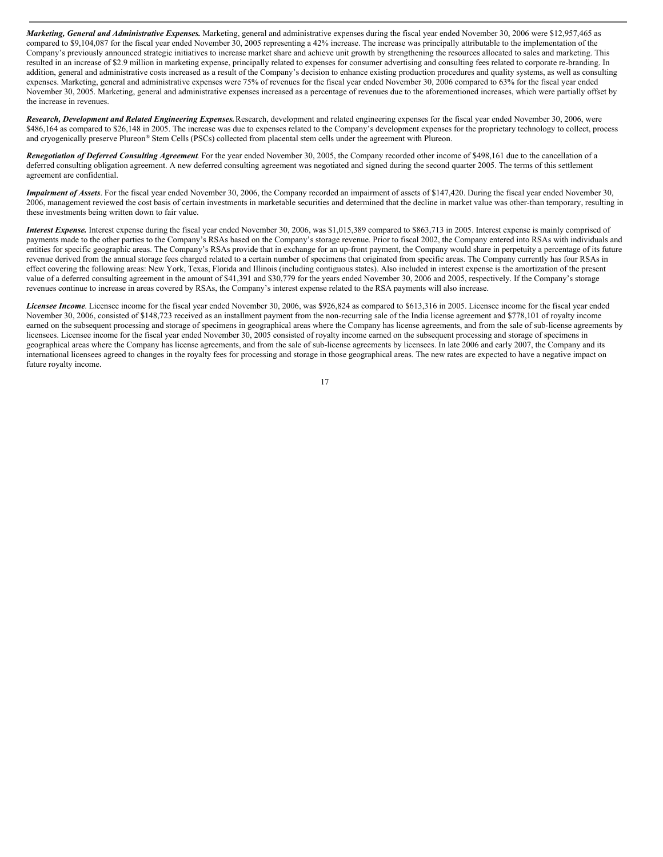*Marketing, General and Administrative Expenses.* Marketing, general and administrative expenses during the fiscal year ended November 30, 2006 were \$12,957,465 as compared to \$9,104,087 for the fiscal year ended November 30, 2005 representing a 42% increase. The increase was principally attributable to the implementation of the Company's previously announced strategic initiatives to increase market share and achieve unit growth by strengthening the resources allocated to sales and marketing. This resulted in an increase of \$2.9 million in marketing expense, principally related to expenses for consumer advertising and consulting fees related to corporate re-branding. In addition, general and administrative costs increased as a result of the Company's decision to enhance existing production procedures and quality systems, as well as consulting expenses. Marketing, general and administrative expenses were 75% of revenues for the fiscal year ended November 30, 2006 compared to 63% for the fiscal year ended November 30, 2005. Marketing, general and administrative expenses increased as a percentage of revenues due to the aforementioned increases, which were partially offset by the increase in revenues.

*Research, Development and Related Engineering Expenses.*Research, development and related engineering expenses for the fiscal year ended November 30, 2006, were \$486,164 as compared to \$26,148 in 2005. The increase was due to expenses related to the Company's development expenses for the proprietary technology to collect, process and cryogenically preserve Plureon ® Stem Cells (PSCs) collected from placental stem cells under the agreement with Plureon.

*Renegotiation of Deferred Consulting Agreement*. For the year ended November 30, 2005, the Company recorded other income of \$498,161 due to the cancellation of a deferred consulting obligation agreement. A new deferred consulting agreement was negotiated and signed during the second quarter 2005. The terms of this settlement agreement are confidential.

*Impairment of Assets*. For the fiscal year ended November 30, 2006, the Company recorded an impairment of assets of \$147,420. During the fiscal year ended November 30, 2006, management reviewed the cost basis of certain investments in marketable securities and determined that the decline in market value was other-than temporary, resulting in these investments being written down to fair value.

*Interest Expense.* Interest expense during the fiscal year ended November 30, 2006, was \$1,015,389 compared to \$863,713 in 2005. Interest expense is mainly comprised of payments made to the other parties to the Company's RSAs based on the Company's storage revenue. Prior to fiscal 2002, the Company entered into RSAs with individuals and entities for specific geographic areas. The Company's RSAs provide that in exchange for an up-front payment, the Company would share in perpetuity a percentage of its future revenue derived from the annual storage fees charged related to a certain number of specimens that originated from specific areas. The Company currently has four RSAs in effect covering the following areas: New York, Texas, Florida and Illinois (including contiguous states). Also included in interest expense is the amortization of the present value of a deferred consulting agreement in the amount of \$41,391 and \$30,779 for the years ended November 30, 2006 and 2005, respectively. If the Company's storage revenues continue to increase in areas covered by RSAs, the Company's interest expense related to the RSA payments will also increase.

*Licensee Income*. Licensee income for the fiscal year ended November 30, 2006, was \$926,824 as compared to \$613,316 in 2005. Licensee income for the fiscal year ended November 30, 2006, consisted of \$148,723 received as an installment payment from the non-recurring sale of the India license agreement and \$778,101 of royalty income earned on the subsequent processing and storage of specimens in geographical areas where the Company has license agreements, and from the sale of sub-license agreements by licensees. Licensee income for the fiscal year ended November 30, 2005 consisted of royalty income earned on the subsequent processing and storage of specimens in geographical areas where the Company has license agreements, and from the sale of sub-license agreements by licensees. In late 2006 and early 2007, the Company and its international licensees agreed to changes in the royalty fees for processing and storage in those geographical areas. The new rates are expected to have a negative impact on future royalty income.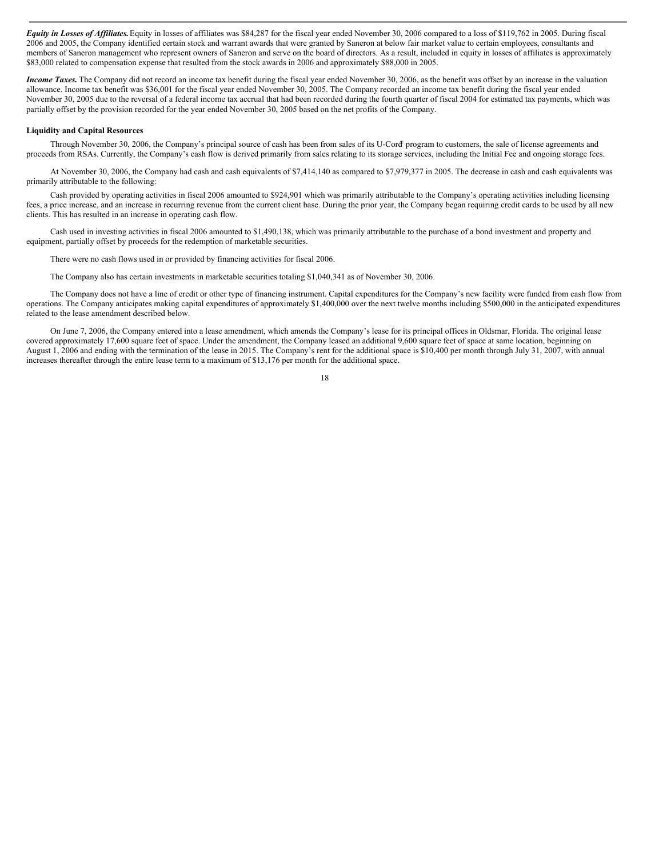*Equity in Losses of Af iliates.*Equity in losses of affiliates was \$84,287 for the fiscal year ended November 30, 2006 compared to a loss of \$119,762 in 2005. During fiscal 2006 and 2005, the Company identified certain stock and warrant awards that were granted by Saneron at below fair market value to certain employees, consultants and members of Saneron management who represent owners of Saneron and serve on the board of directors. As a result, included in equity in losses of affiliates is approximately \$83,000 related to compensation expense that resulted from the stock awards in 2006 and approximately \$88,000 in 2005.

*Income Taxes.* The Company did not record an income tax benefit during the fiscal year ended November 30, 2006, as the benefit was offset by an increase in the valuation allowance. Income tax benefit was \$36,001 for the fiscal year ended November 30, 2005. The Company recorded an income tax benefit during the fiscal year ended November 30, 2005 due to the reversal of a federal income tax accrual that had been recorded during the fourth quarter of fiscal 2004 for estimated tax payments, which was partially offset by the provision recorded for the year ended November 30, 2005 based on the net profits of the Company.

#### **Liquidity and Capital Resources**

Through November 30, 2006, the Company's principal source of cash has been from sales of its U-Cord ® program to customers, the sale of license agreements and proceeds from RSAs. Currently, the Company's cash flow is derived primarily from sales relating to its storage services, including the Initial Fee and ongoing storage fees.

At November 30, 2006, the Company had cash and cash equivalents of \$7,414,140 as compared to \$7,979,377 in 2005. The decrease in cash and cash equivalents was primarily attributable to the following:

Cash provided by operating activities in fiscal 2006 amounted to \$924,901 which was primarily attributable to the Company's operating activities including licensing fees, a price increase, and an increase in recurring revenue from the current client base. During the prior year, the Company began requiring credit cards to be used by all new clients. This has resulted in an increase in operating cash flow.

Cash used in investing activities in fiscal 2006 amounted to \$1,490,138, which was primarily attributable to the purchase of a bond investment and property and equipment, partially offset by proceeds for the redemption of marketable securities.

There were no cash flows used in or provided by financing activities for fiscal 2006.

The Company also has certain investments in marketable securities totaling \$1,040,341 as of November 30, 2006.

The Company does not have a line of credit or other type of financing instrument. Capital expenditures for the Company's new facility were funded from cash flow from operations. The Company anticipates making capital expenditures of approximately \$1,400,000 over the next twelve months including \$500,000 in the anticipated expenditures related to the lease amendment described below.

On June 7, 2006, the Company entered into a lease amendment, which amends the Company's lease for its principal offices in Oldsmar, Florida. The original lease covered approximately 17,600 square feet of space. Under the amendment, the Company leased an additional 9,600 square feet of space at same location, beginning on August 1, 2006 and ending with the termination of the lease in 2015. The Company's rent for the additional space is \$10,400 per month through July 31, 2007, with annual increases thereafter through the entire lease term to a maximum of \$13,176 per month for the additional space.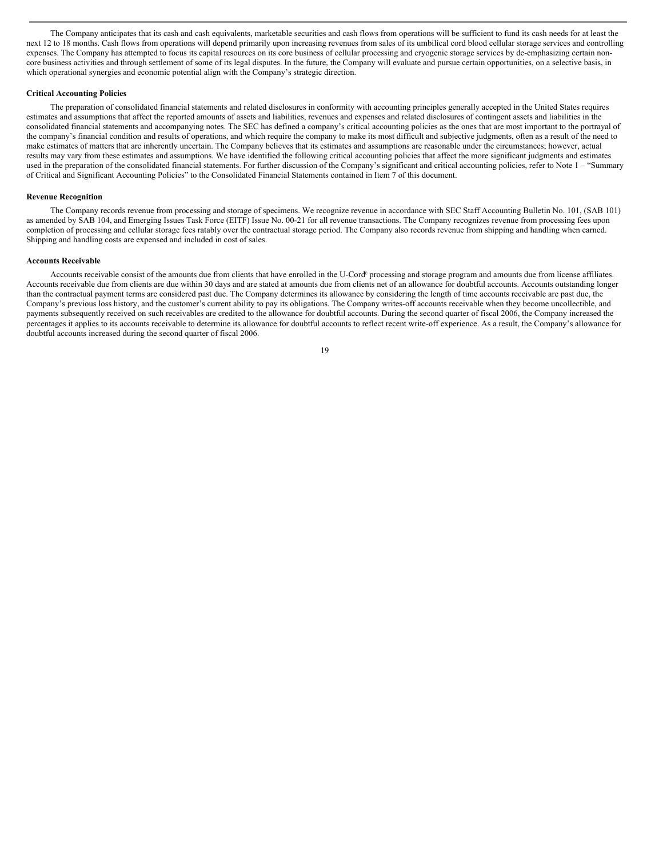The Company anticipates that its cash and cash equivalents, marketable securities and cash flows from operations will be sufficient to fund its cash needs for at least the next 12 to 18 months. Cash flows from operations will depend primarily upon increasing revenues from sales of its umbilical cord blood cellular storage services and controlling expenses. The Company has attempted to focus its capital resources on its core business of cellular processing and cryogenic storage services by de-emphasizing certain noncore business activities and through settlement of some of its legal disputes. In the future, the Company will evaluate and pursue certain opportunities, on a selective basis, in which operational synergies and economic potential align with the Company's strategic direction.

## **Critical Accounting Policies**

The preparation of consolidated financial statements and related disclosures in conformity with accounting principles generally accepted in the United States requires estimates and assumptions that affect the reported amounts of assets and liabilities, revenues and expenses and related disclosures of contingent assets and liabilities in the consolidated financial statements and accompanying notes. The SEC has defined a company's critical accounting policies as the ones that are most important to the portrayal of the company's financial condition and results of operations, and which require the company to make its most difficult and subjective judgments, often as a result of the need to make estimates of matters that are inherently uncertain. The Company believes that its estimates and assumptions are reasonable under the circumstances; however, actual results may vary from these estimates and assumptions. We have identified the following critical accounting policies that affect the more significant judgments and estimates used in the preparation of the consolidated financial statements. For further discussion of the Company's significant and critical accounting policies, refer to Note 1 – "Summary of Critical and Significant Accounting Policies" to the Consolidated Financial Statements contained in Item 7 of this document.

#### **Revenue Recognition**

The Company records revenue from processing and storage of specimens. We recognize revenue in accordance with SEC Staff Accounting Bulletin No. 101, (SAB 101) as amended by SAB 104, and Emerging Issues Task Force (EITF) Issue No. 00-21 for all revenue transactions. The Company recognizes revenue from processing fees upon completion of processing and cellular storage fees ratably over the contractual storage period. The Company also records revenue from shipping and handling when earned. Shipping and handling costs are expensed and included in cost of sales.

## **Accounts Receivable**

Accounts receivable consist of the amounts due from clients that have enrolled in the U-Cord<sup>®</sup> processing and storage program and amounts due from license affiliates. Accounts receivable due from clients are due within 30 days and are stated at amounts due from clients net of an allowance for doubtful accounts. Accounts outstanding longer than the contractual payment terms are considered past due. The Company determines its allowance by considering the length of time accounts receivable are past due, the Company's previous loss history, and the customer's current ability to pay its obligations. The Company writes-off accounts receivable when they become uncollectible, and payments subsequently received on such receivables are credited to the allowance for doubtful accounts. During the second quarter of fiscal 2006, the Company increased the percentages it applies to its accounts receivable to determine its allowance for doubtful accounts to reflect recent write-off experience. As a result, the Company's allowance for doubtful accounts increased during the second quarter of fiscal 2006.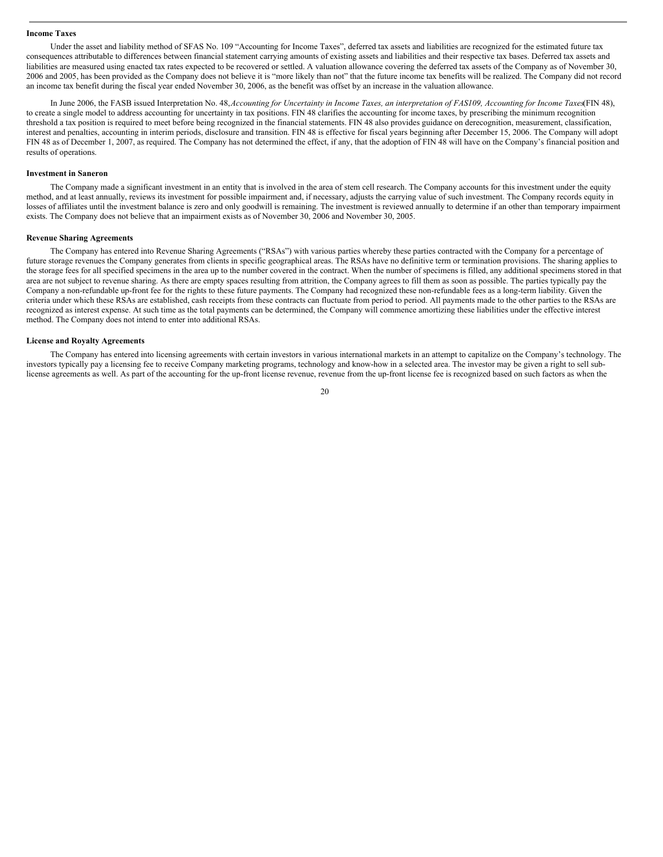#### **Income Taxes**

Under the asset and liability method of SFAS No. 109 "Accounting for Income Taxes", deferred tax assets and liabilities are recognized for the estimated future tax consequences attributable to differences between financial statement carrying amounts of existing assets and liabilities and their respective tax bases. Deferred tax assets and liabilities are measured using enacted tax rates expected to be recovered or settled. A valuation allowance covering the deferred tax assets of the Company as of November 30, 2006 and 2005, has been provided as the Company does not believe it is "more likely than not" that the future income tax benefits will be realized. The Company did not record an income tax benefit during the fiscal year ended November 30, 2006, as the benefit was offset by an increase in the valuation allowance.

In June 2006, the FASB issued Interpretation No. 48, Accounting for Uncertainty in Income Taxes, an interpretation of FAS109, Accounting for Income Taxes(FIN 48), to create a single model to address accounting for uncertainty in tax positions. FIN 48 clarifies the accounting for income taxes, by prescribing the minimum recognition threshold a tax position is required to meet before being recognized in the financial statements. FIN 48 also provides guidance on derecognition, measurement, classification, interest and penalties, accounting in interim periods, disclosure and transition. FIN 48 is effective for fiscal years beginning after December 15, 2006. The Company will adopt FIN 48 as of December 1, 2007, as required. The Company has not determined the effect, if any, that the adoption of FIN 48 will have on the Company's financial position and results of operations.

#### **Investment in Saneron**

The Company made a significant investment in an entity that is involved in the area of stem cell research. The Company accounts for this investment under the equity method, and at least annually, reviews its investment for possible impairment and, if necessary, adjusts the carrying value of such investment. The Company records equity in losses of affiliates until the investment balance is zero and only goodwill is remaining. The investment is reviewed annually to determine if an other than temporary impairment exists. The Company does not believe that an impairment exists as of November 30, 2006 and November 30, 2005.

#### **Revenue Sharing Agreements**

The Company has entered into Revenue Sharing Agreements ("RSAs") with various parties whereby these parties contracted with the Company for a percentage of future storage revenues the Company generates from clients in specific geographical areas. The RSAs have no definitive term or termination provisions. The sharing applies to the storage fees for all specified specimens in the area up to the number covered in the contract. When the number of specimens is filled, any additional specimens stored in that area are not subject to revenue sharing. As there are empty spaces resulting from attrition, the Company agrees to fill them as soon as possible. The parties typically pay the Company a non-refundable up-front fee for the rights to these future payments. The Company had recognized these non-refundable fees as a long-term liability. Given the criteria under which these RSAs are established, cash receipts from these contracts can fluctuate from period to period. All payments made to the other parties to the RSAs are recognized as interest expense. At such time as the total payments can be determined, the Company will commence amortizing these liabilities under the effective interest method. The Company does not intend to enter into additional RSAs.

#### **License and Royalty Agreements**

The Company has entered into licensing agreements with certain investors in various international markets in an attempt to capitalize on the Company's technology. The investors typically pay a licensing fee to receive Company marketing programs, technology and know-how in a selected area. The investor may be given a right to sell sublicense agreements as well. As part of the accounting for the up-front license revenue, revenue from the up-front license fee is recognized based on such factors as when the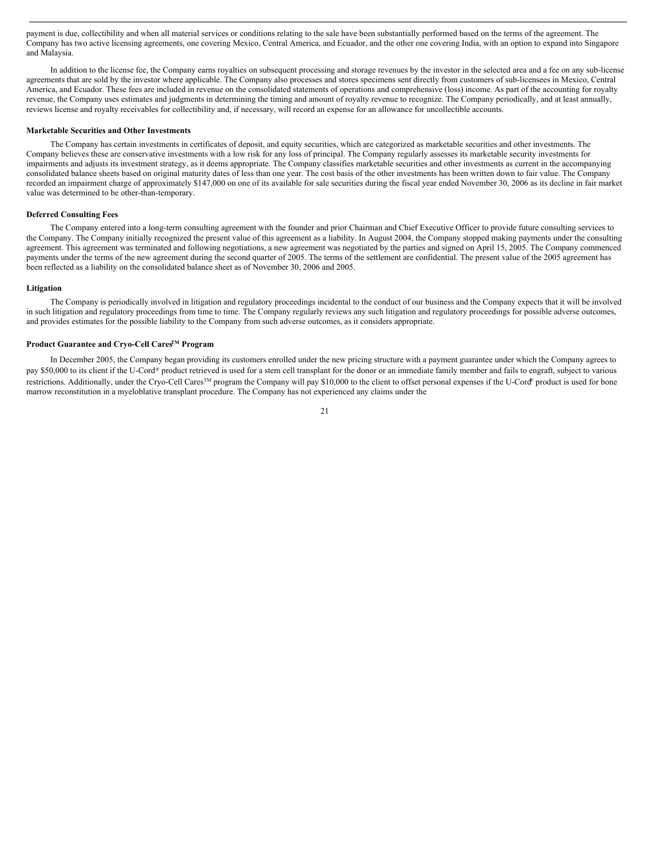payment is due, collectibility and when all material services or conditions relating to the sale have been substantially performed based on the terms of the agreement. The Company has two active licensing agreements, one covering Mexico, Central America, and Ecuador, and the other one covering India, with an option to expand into Singapore and Malaysia.

In addition to the license fee, the Company earns royalties on subsequent processing and storage revenues by the investor in the selected area and a fee on any sub-license agreements that are sold by the investor where applicable. The Company also processes and stores specimens sent directly from customers of sub-licensees in Mexico, Central America, and Ecuador. These fees are included in revenue on the consolidated statements of operations and comprehensive (loss) income. As part of the accounting for royalty revenue, the Company uses estimates and judgments in determining the timing and amount of royalty revenue to recognize. The Company periodically, and at least annually, reviews license and royalty receivables for collectibility and, if necessary, will record an expense for an allowance for uncollectible accounts.

#### **Marketable Securities and Other Investments**

The Company has certain investments in certificates of deposit, and equity securities, which are categorized as marketable securities and other investments. The Company believes these are conservative investments with a low risk for any loss of principal. The Company regularly assesses its marketable security investments for impairments and adjusts its investment strategy, as it deems appropriate. The Company classifies marketable securities and other investments as current in the accompanying consolidated balance sheets based on original maturity dates of less than one year. The cost basis of the other investments has been written down to fair value. The Company recorded an impairment charge of approximately \$147,000 on one of its available for sale securities during the fiscal year ended November 30, 2006 as its decline in fair market value was determined to be other-than-temporary.

## **Deferred Consulting Fees**

The Company entered into a long-term consulting agreement with the founder and prior Chairman and Chief Executive Officer to provide future consulting services to the Company. The Company initially recognized the present value of this agreement as a liability. In August 2004, the Company stopped making payments under the consulting agreement. This agreement was terminated and following negotiations, a new agreement was negotiated by the parties and signed on April 15, 2005. The Company commenced payments under the terms of the new agreement during the second quarter of 2005. The terms of the settlement are confidential. The present value of the 2005 agreement has been reflected as a liability on the consolidated balance sheet as of November 30, 2006 and 2005.

#### **Litigation**

The Company is periodically involved in litigation and regulatory proceedings incidental to the conduct of our business and the Company expects that it will be involved in such litigation and regulatory proceedings from time to time. The Company regularly reviews any such litigation and regulatory proceedings for possible adverse outcomes, and provides estimates for the possible liability to the Company from such adverse outcomes, as it considers appropriate.

## **Product Guarantee and Cryo-Cell CaresTM Program**

In December 2005, the Company began providing its customers enrolled under the new pricing structure with a payment guarantee under which the Company agrees to pay \$50,000 to its client if the U-Cord® product retrieved is used for a stem cell transplant for the donor or an immediate family member and fails to engraft, subject to various restrictions. Additionally, under the Cryo-Cell Cares<sup>™</sup> program the Company will pay \$10,000 to the client to offset personal expenses if the U-Cord® product is used for bone marrow reconstitution in a myeloblative transplant procedure. The Company has not experienced any claims under the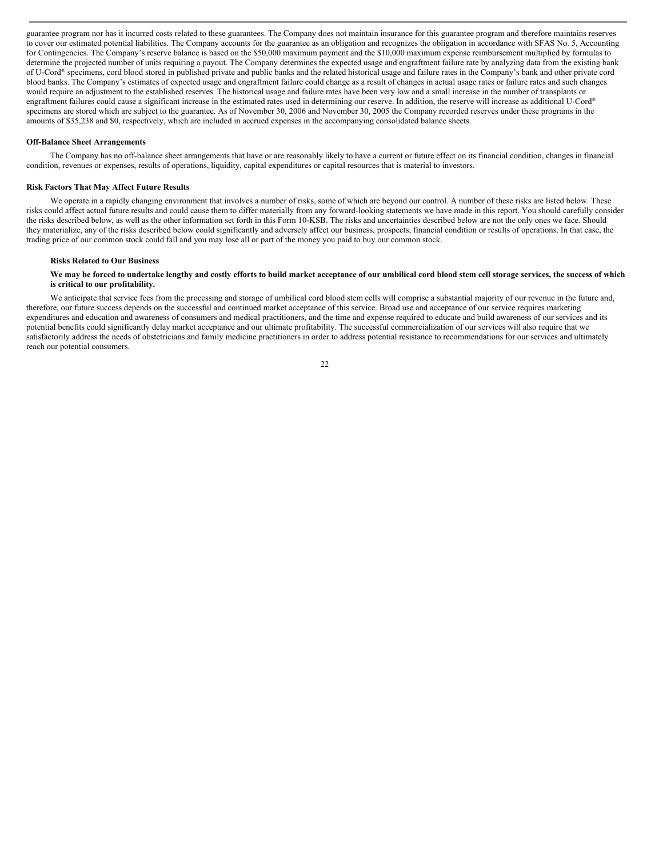guarantee program nor has it incurred costs related to these guarantees. The Company does not maintain insurance for this guarantee program and therefore maintains reserves to cover our estimated potential liabilities. The Company accounts for the guarantee as an obligation and recognizes the obligation in accordance with SFAS No. 5, Accounting for Contingencies. The Company's reserve balance is based on the \$50,000 maximum payment and the \$10,000 maximum expense reimbursement multiplied by formulas to determine the projected number of units requiring a payout. The Company determines the expected usage and engraftment failure rate by analyzing data from the existing bank of U-Cord ® specimens, cord blood stored in published private and public banks and the related historical usage and failure rates in the Company's bank and other private cord blood banks. The Company's estimates of expected usage and engraftment failure could change as a result of changes in actual usage rates or failure rates and such changes would require an adjustment to the established reserves. The historical usage and failure rates have been very low and a small increase in the number of transplants or engraftment failures could cause a significant increase in the estimated rates used in determining our reserve. In addition, the reserve will increase as additional U-Cord® specimens are stored which are subject to the guarantee. As of November 30, 2006 and November 30, 2005 the Company recorded reserves under these programs in the amounts of \$35,238 and \$0, respectively, which are included in accrued expenses in the accompanying consolidated balance sheets.

#### **Off-Balance Sheet Arrangements**

The Company has no off-balance sheet arrangements that have or are reasonably likely to have a current or future effect on its financial condition, changes in financial condition, revenues or expenses, results of operations, liquidity, capital expenditures or capital resources that is material to investors.

#### **Risk Factors That May Affect Future Results**

We operate in a rapidly changing environment that involves a number of risks, some of which are beyond our control. A number of these risks are listed below. These risks could affect actual future results and could cause them to differ materially from any forward-looking statements we have made in this report. You should carefully consider the risks described below, as well as the other information set forth in this Form 10-KSB. The risks and uncertainties described below are not the only ones we face. Should they materialize, any of the risks described below could significantly and adversely affect our business, prospects, financial condition or results of operations. In that case, the trading price of our common stock could fall and you may lose all or part of the money you paid to buy our common stock.

#### **Risks Related to Our Business**

#### We may be forced to undertake lengthy and costly efforts to build market acceptance of our umbilical cord blood stem cell storage services, the success of which **is critical to our profitability.**

We anticipate that service fees from the processing and storage of umbilical cord blood stem cells will comprise a substantial majority of our revenue in the future and, therefore, our future success depends on the successful and continued market acceptance of this service. Broad use and acceptance of our service requires marketing expenditures and education and awareness of consumers and medical practitioners, and the time and expense required to educate and build awareness of our services and its potential benefits could significantly delay market acceptance and our ultimate profitability. The successful commercialization of our services will also require that we satisfactorily address the needs of obstetricians and family medicine practitioners in order to address potential resistance to recommendations for our services and ultimately reach our potential consumers.

 $22$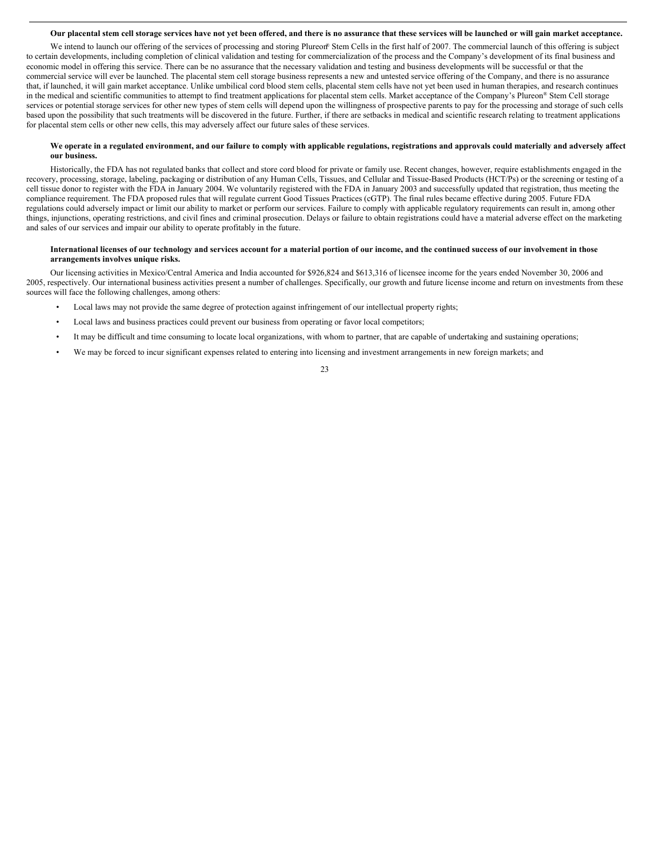#### Our placental stem cell storage services have not vet been offered, and there is no assurance that these services will be launched or will gain market acceptance.

We intend to launch our offering of the services of processing and storing Plureon® Stem Cells in the first half of 2007. The commercial launch of this offering is subject to certain developments, including completion of clinical validation and testing for commercialization of the process and the Company's development of its final business and economic model in offering this service. There can be no assurance that the necessary validation and testing and business developments will be successful or that the commercial service will ever be launched. The placental stem cell storage business represents a new and untested service offering of the Company, and there is no assurance that, if launched, it will gain market acceptance. Unlike umbilical cord blood stem cells, placental stem cells have not yet been used in human therapies, and research continues in the medical and scientific communities to attempt to find treatment applications for placental stem cells. Market acceptance of the Company's Plureon ® Stem Cell storage services or potential storage services for other new types of stem cells will depend upon the willingness of prospective parents to pay for the processing and storage of such cells based upon the possibility that such treatments will be discovered in the future. Further, if there are setbacks in medical and scientific research relating to treatment applications for placental stem cells or other new cells, this may adversely affect our future sales of these services.

#### We operate in a regulated environment, and our failure to comply with applicable regulations, registrations and approvals could materially and adversely affect **our business.**

Historically, the FDA has not regulated banks that collect and store cord blood for private or family use. Recent changes, however, require establishments engaged in the recovery, processing, storage, labeling, packaging or distribution of any Human Cells, Tissues, and Cellular and Tissue-Based Products (HCT/Ps) or the screening or testing of a cell tissue donor to register with the FDA in January 2004. We voluntarily registered with the FDA in January 2003 and successfully updated that registration, thus meeting the compliance requirement. The FDA proposed rules that will regulate current Good Tissues Practices (cGTP). The final rules became effective during 2005. Future FDA regulations could adversely impact or limit our ability to market or perform our services. Failure to comply with applicable regulatory requirements can result in, among other things, injunctions, operating restrictions, and civil fines and criminal prosecution. Delays or failure to obtain registrations could have a material adverse effect on the marketing and sales of our services and impair our ability to operate profitably in the future.

#### International licenses of our technology and services account for a material portion of our income, and the continued success of our involvement in those **arrangements involves unique risks.**

Our licensing activities in Mexico/Central America and India accounted for \$926,824 and \$613,316 of licensee income for the years ended November 30, 2006 and 2005, respectively. Our international business activities present a number of challenges. Specifically, our growth and future license income and return on investments from these sources will face the following challenges, among others:

- Local laws may not provide the same degree of protection against infringement of our intellectual property rights;
- Local laws and business practices could prevent our business from operating or favor local competitors;
- It may be difficult and time consuming to locate local organizations, with whom to partner, that are capable of undertaking and sustaining operations;
- We may be forced to incur significant expenses related to entering into licensing and investment arrangements in new foreign markets; and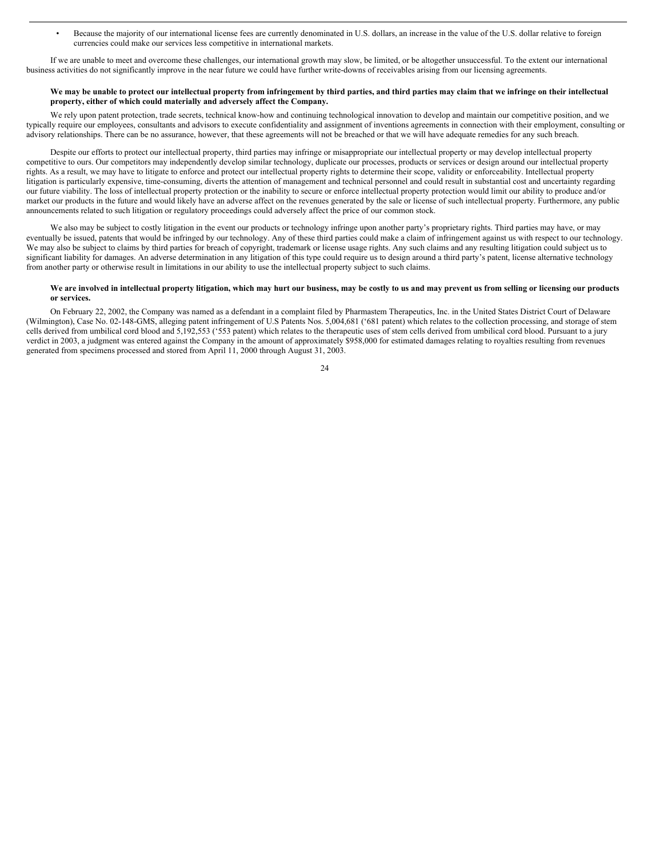• Because the majority of our international license fees are currently denominated in U.S. dollars, an increase in the value of the U.S. dollar relative to foreign currencies could make our services less competitive in international markets.

If we are unable to meet and overcome these challenges, our international growth may slow, be limited, or be altogether unsuccessful. To the extent our international business activities do not significantly improve in the near future we could have further write-downs of receivables arising from our licensing agreements.

#### We may be unable to protect our intellectual property from infringement by third parties, and third parties may claim that we infringe on their intellectual **property, either of which could materially and adversely affect the Company.**

We rely upon patent protection, trade secrets, technical know-how and continuing technological innovation to develop and maintain our competitive position, and we typically require our employees, consultants and advisors to execute confidentiality and assignment of inventions agreements in connection with their employment, consulting or advisory relationships. There can be no assurance, however, that these agreements will not be breached or that we will have adequate remedies for any such breach.

Despite our efforts to protect our intellectual property, third parties may infringe or misappropriate our intellectual property or may develop intellectual property competitive to ours. Our competitors may independently develop similar technology, duplicate our processes, products or services or design around our intellectual property rights. As a result, we may have to litigate to enforce and protect our intellectual property rights to determine their scope, validity or enforceability. Intellectual property litigation is particularly expensive, time-consuming, diverts the attention of management and technical personnel and could result in substantial cost and uncertainty regarding our future viability. The loss of intellectual property protection or the inability to secure or enforce intellectual property protection would limit our ability to produce and/or market our products in the future and would likely have an adverse affect on the revenues generated by the sale or license of such intellectual property. Furthermore, any public announcements related to such litigation or regulatory proceedings could adversely affect the price of our common stock.

We also may be subject to costly litigation in the event our products or technology infringe upon another party's proprietary rights. Third parties may have, or may eventually be issued, patents that would be infringed by our technology. Any of these third parties could make a claim of infringement against us with respect to our technology. We may also be subject to claims by third parties for breach of copyright, trademark or license usage rights. Any such claims and any resulting litigation could subject us to significant liability for damages. An adverse determination in any litigation of this type could require us to design around a third party's patent, license alternative technology from another party or otherwise result in limitations in our ability to use the intellectual property subject to such claims.

#### We are involved in intellectual property litigation, which may hurt our business, may be costly to us and may prevent us from selling or licensing our products **or services.**

On February 22, 2002, the Company was named as a defendant in a complaint filed by Pharmastem Therapeutics, Inc. in the United States District Court of Delaware (Wilmington), Case No. 02-148-GMS, alleging patent infringement of U.S Patents Nos. 5,004,681 ('681 patent) which relates to the collection processing, and storage of stem cells derived from umbilical cord blood and 5,192,553 ('553 patent) which relates to the therapeutic uses of stem cells derived from umbilical cord blood. Pursuant to a jury verdict in 2003, a judgment was entered against the Company in the amount of approximately \$958,000 for estimated damages relating to royalties resulting from revenues generated from specimens processed and stored from April 11, 2000 through August 31, 2003.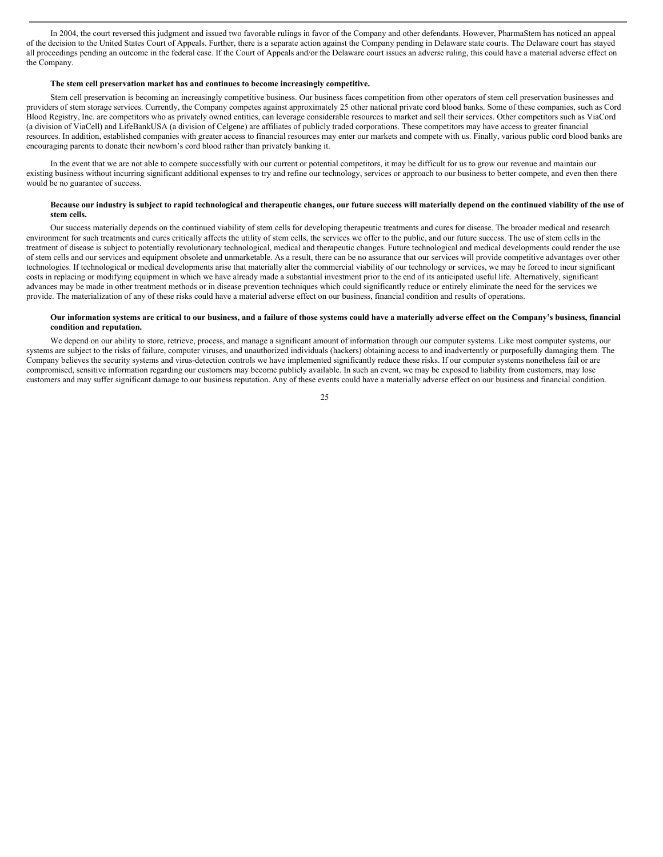In 2004, the court reversed this judgment and issued two favorable rulings in favor of the Company and other defendants. However, PharmaStem has noticed an appeal of the decision to the United States Court of Appeals. Further, there is a separate action against the Company pending in Delaware state courts. The Delaware court has stayed all proceedings pending an outcome in the federal case. If the Court of Appeals and/or the Delaware court issues an adverse ruling, this could have a material adverse effect on the Company.

#### **The stem cell preservation market has and continues to become increasingly competitive.**

Stem cell preservation is becoming an increasingly competitive business. Our business faces competition from other operators of stem cell preservation businesses and providers of stem storage services. Currently, the Company competes against approximately 25 other national private cord blood banks. Some of these companies, such as Cord Blood Registry, Inc. are competitors who as privately owned entities, can leverage considerable resources to market and sell their services. Other competitors such as ViaCord (a division of ViaCell) and LifeBankUSA (a division of Celgene) are affiliates of publicly traded corporations. These competitors may have access to greater financial resources. In addition, established companies with greater access to financial resources may enter our markets and compete with us. Finally, various public cord blood banks are encouraging parents to donate their newborn's cord blood rather than privately banking it.

In the event that we are not able to compete successfully with our current or potential competitors, it may be difficult for us to grow our revenue and maintain our existing business without incurring significant additional expenses to try and refine our technology, services or approach to our business to better compete, and even then there would be no guarantee of success.

#### Because our industry is subject to rapid technological and therapeutic changes, our future success will materially depend on the continued viability of the use of **stem cells.**

Our success materially depends on the continued viability of stem cells for developing therapeutic treatments and cures for disease. The broader medical and research environment for such treatments and cures critically affects the utility of stem cells, the services we offer to the public, and our future success. The use of stem cells in the treatment of disease is subject to potentially revolutionary technological, medical and therapeutic changes. Future technological and medical developments could render the use of stem cells and our services and equipment obsolete and unmarketable. As a result, there can be no assurance that our services will provide competitive advantages over other technologies. If technological or medical developments arise that materially alter the commercial viability of our technology or services, we may be forced to incur significant costs in replacing or modifying equipment in which we have already made a substantial investment prior to the end of its anticipated useful life. Alternatively, significant advances may be made in other treatment methods or in disease prevention techniques which could significantly reduce or entirely eliminate the need for the services we provide. The materialization of any of these risks could have a material adverse effect on our business, financial condition and results of operations.

#### Our information systems are critical to our business, and a failure of those systems could have a materially adverse effect on the Company's business, financial **condition and reputation.**

We depend on our ability to store, retrieve, process, and manage a significant amount of information through our computer systems. Like most computer systems, our systems are subject to the risks of failure, computer viruses, and unauthorized individuals (hackers) obtaining access to and inadvertently or purposefully damaging them. The Company believes the security systems and virus-detection controls we have implemented significantly reduce these risks. If our computer systems nonetheless fail or are compromised, sensitive information regarding our customers may become publicly available. In such an event, we may be exposed to liability from customers, may lose customers and may suffer significant damage to our business reputation. Any of these events could have a materially adverse effect on our business and financial condition.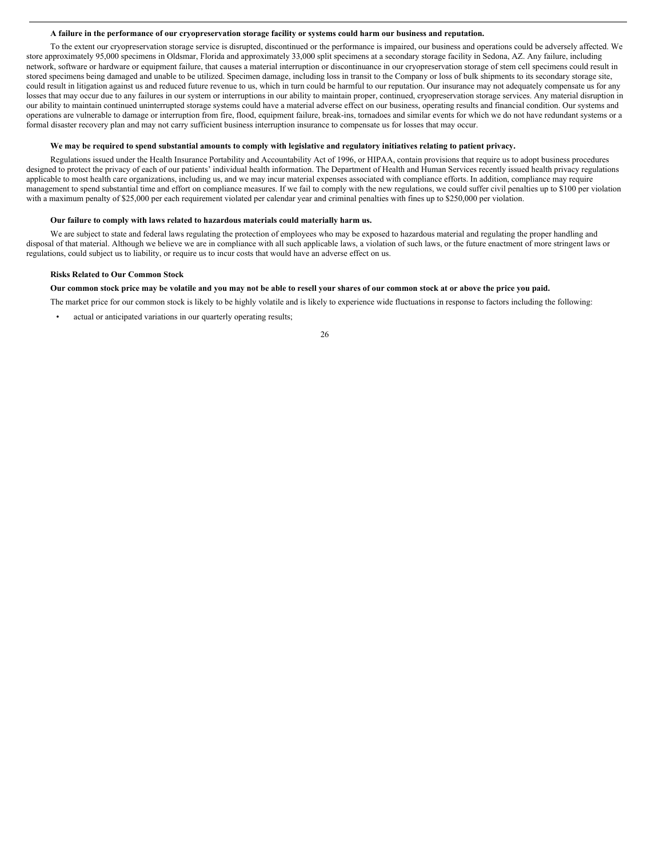#### A failure in the performance of our cryopreservation storage facility or systems could harm our business and reputation.

To the extent our cryopreservation storage service is disrupted, discontinued or the performance is impaired, our business and operations could be adversely affected. We store approximately 95,000 specimens in Oldsmar, Florida and approximately 33,000 split specimens at a secondary storage facility in Sedona, AZ. Any failure, including network, software or hardware or equipment failure, that causes a material interruption or discontinuance in our cryopreservation storage of stem cell specimens could result in stored specimens being damaged and unable to be utilized. Specimen damage, including loss in transit to the Company or loss of bulk shipments to its secondary storage site, could result in litigation against us and reduced future revenue to us, which in turn could be harmful to our reputation. Our insurance may not adequately compensate us for any losses that may occur due to any failures in our system or interruptions in our ability to maintain proper, continued, cryopreservation storage services. Any material disruption in our ability to maintain continued uninterrupted storage systems could have a material adverse effect on our business, operating results and financial condition. Our systems and operations are vulnerable to damage or interruption from fire, flood, equipment failure, break-ins, tornadoes and similar events for which we do not have redundant systems or a formal disaster recovery plan and may not carry sufficient business interruption insurance to compensate us for losses that may occur.

#### We may be required to spend substantial amounts to comply with legislative and regulatory initiatives relating to patient privacy.

Regulations issued under the Health Insurance Portability and Accountability Act of 1996, or HIPAA, contain provisions that require us to adopt business procedures designed to protect the privacy of each of our patients' individual health information. The Department of Health and Human Services recently issued health privacy regulations applicable to most health care organizations, including us, and we may incur material expenses associated with compliance efforts. In addition, compliance may require management to spend substantial time and effort on compliance measures. If we fail to comply with the new regulations, we could suffer civil penalties up to \$100 per violation with a maximum penalty of \$25,000 per each requirement violated per calendar year and criminal penalties with fines up to \$250,000 per violation.

## **Our failure to comply with laws related to hazardous materials could materially harm us.**

We are subject to state and federal laws regulating the protection of employees who may be exposed to hazardous material and regulating the proper handling and disposal of that material. Although we believe we are in compliance with all such applicable laws, a violation of such laws, or the future enactment of more stringent laws or regulations, could subject us to liability, or require us to incur costs that would have an adverse effect on us.

#### **Risks Related to Our Common Stock**

#### Our common stock price may be volatile and you may not be able to resell your shares of our common stock at or above the price you paid.

The market price for our common stock is likely to be highly volatile and is likely to experience wide fluctuations in response to factors including the following:

- actual or anticipated variations in our quarterly operating results;
- 26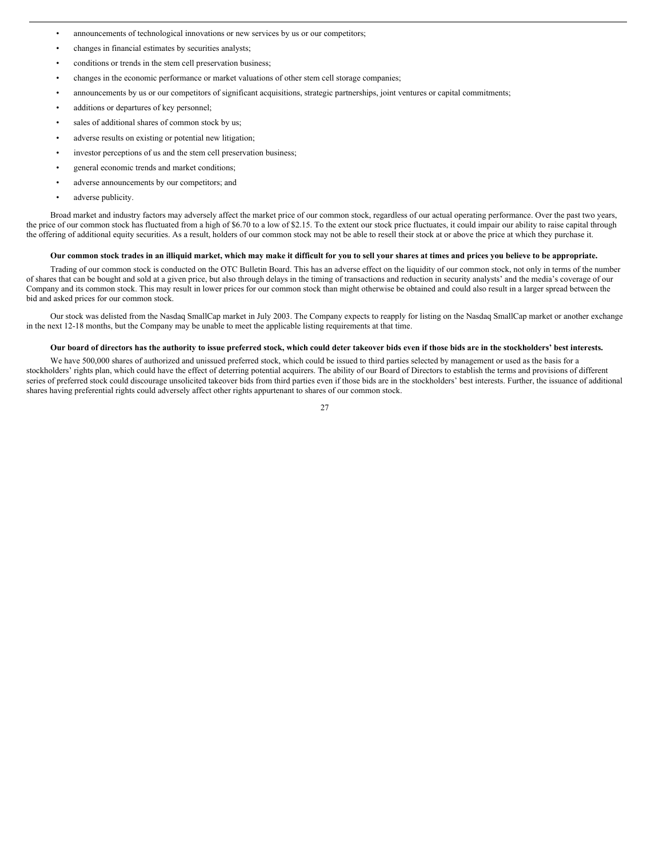- announcements of technological innovations or new services by us or our competitors;
- changes in financial estimates by securities analysts;
- conditions or trends in the stem cell preservation business;
- changes in the economic performance or market valuations of other stem cell storage companies;
- announcements by us or our competitors of significant acquisitions, strategic partnerships, joint ventures or capital commitments;
- additions or departures of key personnel;
- sales of additional shares of common stock by us;
- adverse results on existing or potential new litigation;
- investor perceptions of us and the stem cell preservation business;
- general economic trends and market conditions;
- adverse announcements by our competitors; and
- adverse publicity.

Broad market and industry factors may adversely affect the market price of our common stock, regardless of our actual operating performance. Over the past two years, the price of our common stock has fluctuated from a high of \$6.70 to a low of \$2.15. To the extent our stock price fluctuates, it could impair our ability to raise capital through the offering of additional equity securities. As a result, holders of our common stock may not be able to resell their stock at or above the price at which they purchase it.

#### Our common stock trades in an illiquid market, which may make it difficult for you to sell your shares at times and prices you believe to be appropriate.

Trading of our common stock is conducted on the OTC Bulletin Board. This has an adverse effect on the liquidity of our common stock, not only in terms of the number of shares that can be bought and sold at a given price, but also through delays in the timing of transactions and reduction in security analysts' and the media's coverage of our Company and its common stock. This may result in lower prices for our common stock than might otherwise be obtained and could also result in a larger spread between the bid and asked prices for our common stock.

Our stock was delisted from the Nasdaq SmallCap market in July 2003. The Company expects to reapply for listing on the Nasdaq SmallCap market or another exchange in the next 12-18 months, but the Company may be unable to meet the applicable listing requirements at that time.

#### Our board of directors has the authority to issue preferred stock, which could deter takeover bids even if those bids are in the stockholders' best interests.

We have 500,000 shares of authorized and unissued preferred stock, which could be issued to third parties selected by management or used as the basis for a stockholders' rights plan, which could have the effect of deterring potential acquirers. The ability of our Board of Directors to establish the terms and provisions of different series of preferred stock could discourage unsolicited takeover bids from third parties even if those bids are in the stockholders' best interests. Further, the issuance of additional shares having preferential rights could adversely affect other rights appurtenant to shares of our common stock.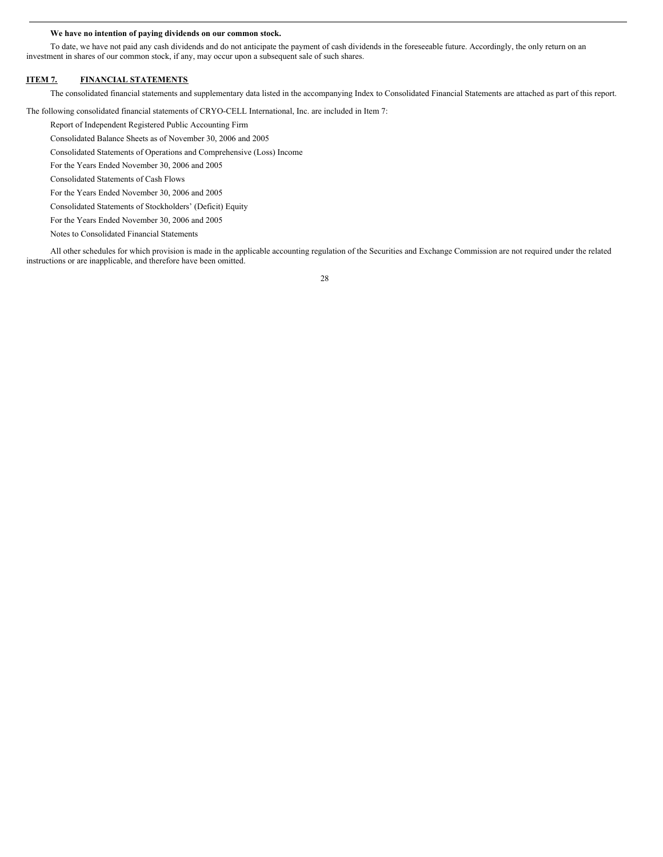#### **We have no intention of paying dividends on our common stock.**

To date, we have not paid any cash dividends and do not anticipate the payment of cash dividends in the foreseeable future. Accordingly, the only return on an investment in shares of our common stock, if any, may occur upon a subsequent sale of such shares.

## **ITEM 7. FINANCIAL STATEMENTS**

The consolidated financial statements and supplementary data listed in the accompanying Index to Consolidated Financial Statements are attached as part of this report.

The following consolidated financial statements of CRYO-CELL International, Inc. are included in Item 7:

Report of Independent Registered Public Accounting Firm

Consolidated Balance Sheets as of November 30, 2006 and 2005

Consolidated Statements of Operations and Comprehensive (Loss) Income

For the Years Ended November 30, 2006 and 2005

Consolidated Statements of Cash Flows

For the Years Ended November 30, 2006 and 2005

Consolidated Statements of Stockholders' (Deficit) Equity

For the Years Ended November 30, 2006 and 2005

Notes to Consolidated Financial Statements

All other schedules for which provision is made in the applicable accounting regulation of the Securities and Exchange Commission are not required under the related instructions or are inapplicable, and therefore have been omitted.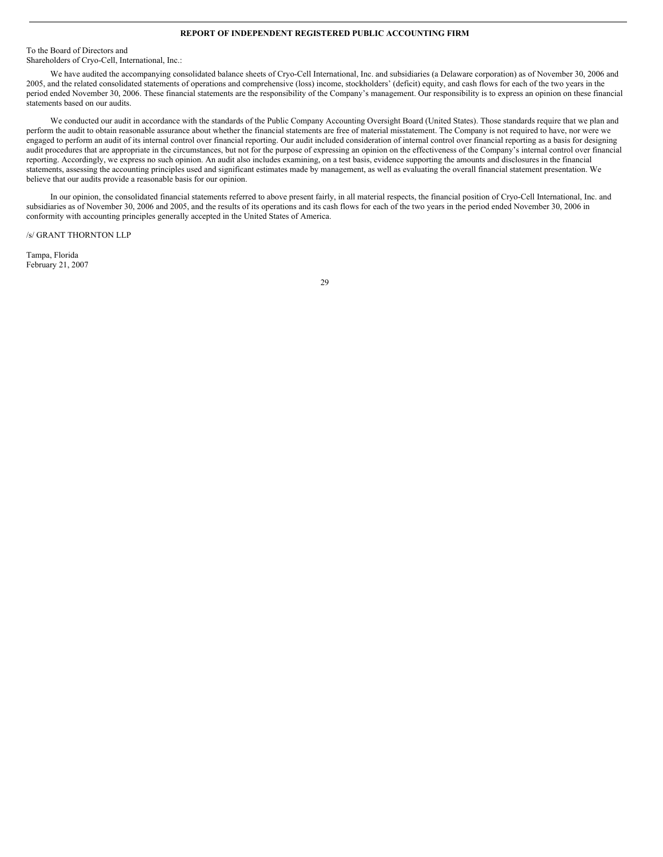## **REPORT OF INDEPENDENT REGISTERED PUBLIC ACCOUNTING FIRM**

To the Board of Directors and Shareholders of Cryo-Cell, International, Inc.:

We have audited the accompanying consolidated balance sheets of Cryo-Cell International, Inc. and subsidiaries (a Delaware corporation) as of November 30, 2006 and 2005, and the related consolidated statements of operations and comprehensive (loss) income, stockholders' (deficit) equity, and cash flows for each of the two years in the period ended November 30, 2006. These financial statements are the responsibility of the Company's management. Our responsibility is to express an opinion on these financial statements based on our audits.

We conducted our audit in accordance with the standards of the Public Company Accounting Oversight Board (United States). Those standards require that we plan and perform the audit to obtain reasonable assurance about whether the financial statements are free of material misstatement. The Company is not required to have, nor were we engaged to perform an audit of its internal control over financial reporting. Our audit included consideration of internal control over financial reporting as a basis for designing audit procedures that are appropriate in the circumstances, but not for the purpose of expressing an opinion on the effectiveness of the Company's internal control over financial reporting. Accordingly, we express no such opinion. An audit also includes examining, on a test basis, evidence supporting the amounts and disclosures in the financial statements, assessing the accounting principles used and significant estimates made by management, as well as evaluating the overall financial statement presentation. We believe that our audits provide a reasonable basis for our opinion.

In our opinion, the consolidated financial statements referred to above present fairly, in all material respects, the financial position of Cryo-Cell International, Inc. and subsidiaries as of November 30, 2006 and 2005, and the results of its operations and its cash flows for each of the two years in the period ended November 30, 2006 in conformity with accounting principles generally accepted in the United States of America.

/s/ GRANT THORNTON LLP

Tampa, Florida February 21, 2007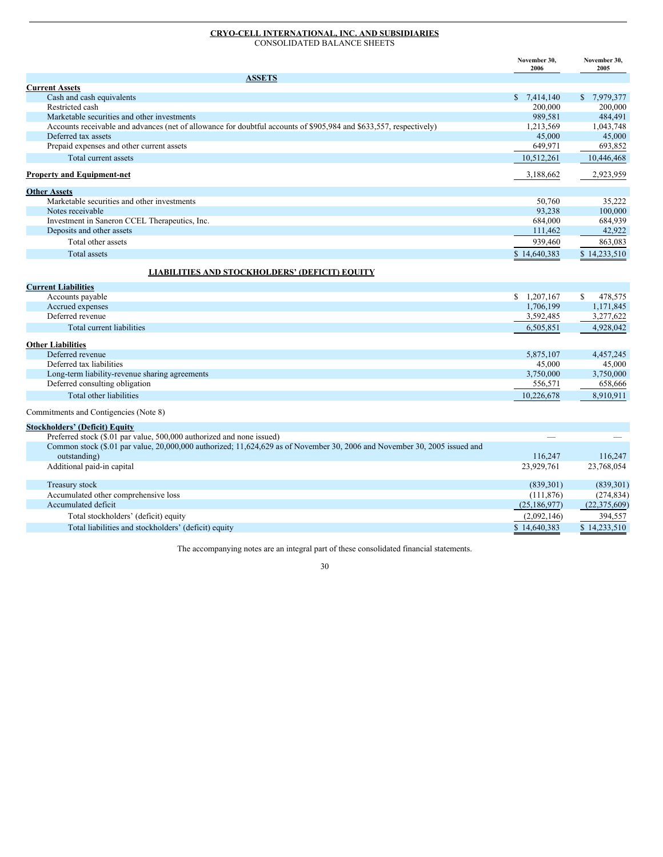#### **CRYO-CELL INTERNATIONAL, INC. AND SUBSIDIARIES** CONSOLIDATED BALANCE SHEETS

|                                                                                                                                           | November 30,<br>2006 | November 30,<br>2005     |
|-------------------------------------------------------------------------------------------------------------------------------------------|----------------------|--------------------------|
| <b>ASSETS</b>                                                                                                                             |                      |                          |
| <b>Current Assets</b>                                                                                                                     |                      |                          |
| Cash and cash equivalents                                                                                                                 | \$7,414,140          | \$7,979,377              |
| Restricted cash                                                                                                                           | 200,000              | 200,000                  |
| Marketable securities and other investments                                                                                               | 989,581              | 484,491                  |
| Accounts receivable and advances (net of allowance for doubtful accounts of \$905,984 and \$633,557, respectively)<br>Deferred tax assets | 1,213,569<br>45,000  | 1,043,748<br>45,000      |
| Prepaid expenses and other current assets                                                                                                 | 649,971              | 693,852                  |
| Total current assets                                                                                                                      | 10,512,261           | 10,446,468               |
|                                                                                                                                           |                      |                          |
| <b>Property and Equipment-net</b>                                                                                                         | 3,188,662            | 2,923,959                |
| <b>Other Assets</b>                                                                                                                       |                      |                          |
| Marketable securities and other investments                                                                                               | 50.760               | 35.222                   |
| Notes receivable                                                                                                                          | 93,238               | 100,000                  |
| Investment in Saneron CCEL Therapeutics, Inc.                                                                                             | 684,000              | 684,939                  |
| Deposits and other assets                                                                                                                 | 111,462              | 42,922                   |
| Total other assets                                                                                                                        | 939,460              | 863.083                  |
| <b>Total assets</b>                                                                                                                       | \$14,640,383         | \$14,233,510             |
| <b>LIABILITIES AND STOCKHOLDERS' (DEFICIT) EQUITY</b>                                                                                     |                      |                          |
| <b>Current Liabilities</b>                                                                                                                |                      |                          |
| Accounts payable                                                                                                                          | \$1,207,167          | 478,575<br><sup>\$</sup> |
| Accrued expenses                                                                                                                          | 1,706,199            | 1,171,845                |
| Deferred revenue                                                                                                                          | 3,592,485            | 3,277,622                |
| Total current liabilities                                                                                                                 | 6,505,851            | 4,928,042                |
| <b>Other Liabilities</b>                                                                                                                  |                      |                          |
| Deferred revenue                                                                                                                          | 5,875,107            | 4,457,245                |
| Deferred tax liabilities                                                                                                                  | 45,000               | 45,000                   |
| Long-term liability-revenue sharing agreements                                                                                            | 3,750,000            | 3,750,000                |
| Deferred consulting obligation                                                                                                            | 556,571              | 658,666                  |
| Total other liabilities                                                                                                                   | 10,226,678           | 8,910,911                |
| Commitments and Contigencies (Note 8)                                                                                                     |                      |                          |
| <b>Stockholders' (Deficit) Equity</b>                                                                                                     |                      |                          |
| Preferred stock (\$.01 par value, 500,000 authorized and none issued)                                                                     |                      |                          |
| Common stock (\$.01 par value, 20,000,000 authorized; 11,624,629 as of November 30, 2006 and November 30, 2005 issued and<br>outstanding) | 116,247              | 116,247                  |
| Additional paid-in capital                                                                                                                | 23,929,761           | 23,768,054               |
| Treasury stock                                                                                                                            | (839, 301)           | (839, 301)               |
| Accumulated other comprehensive loss                                                                                                      | (111, 876)           | (274, 834)               |
| Accumulated deficit                                                                                                                       | (25, 186, 977)       | (22, 375, 609)           |
| Total stockholders' (deficit) equity                                                                                                      | (2,092,146)          | 394,557                  |

Total liabilities and stockholders' (deficit) equity \$ 14,640,383 \$ 14,233,510

The accompanying notes are an integral part of these consolidated financial statements.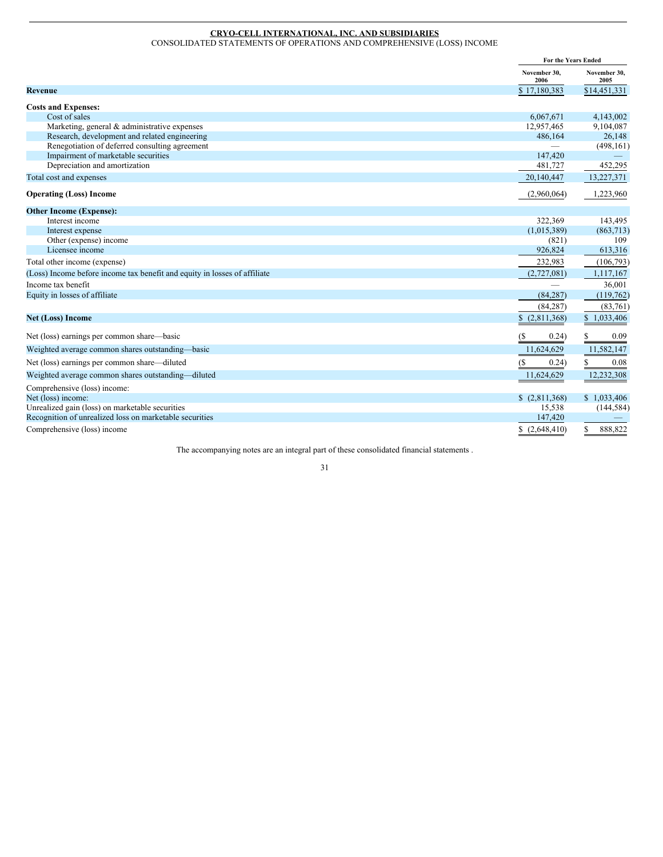## **CRYO-CELL INTERNATIONAL, INC. AND SUBSIDIARIES**

CONSOLIDATED STATEMENTS OF OPERATIONS AND COMPREHENSIVE (LOSS) INCOME

|                                                                           | For the Years Ended                  |                      |
|---------------------------------------------------------------------------|--------------------------------------|----------------------|
|                                                                           | November 30.<br>2006                 | November 30.<br>2005 |
| <b>Revenue</b>                                                            | \$17,180,383                         | \$14,451,331         |
| <b>Costs and Expenses:</b>                                                |                                      |                      |
| Cost of sales                                                             | 6,067,671                            | 4,143,002            |
| Marketing, general & administrative expenses                              | 12,957,465                           | 9,104,087            |
| Research, development and related engineering                             | 486,164                              | 26,148               |
| Renegotiation of deferred consulting agreement                            |                                      | (498, 161)           |
| Impairment of marketable securities                                       | 147,420                              |                      |
| Depreciation and amortization                                             | 481,727                              | 452,295              |
| Total cost and expenses                                                   | 20,140,447                           | 13,227,371           |
| <b>Operating (Loss) Income</b>                                            | (2,960,064)                          | 1,223,960            |
| <b>Other Income (Expense):</b>                                            |                                      |                      |
| Interest income                                                           | 322,369                              | 143,495              |
| Interest expense                                                          | (1,015,389)                          | (863,713)            |
| Other (expense) income                                                    | (821)                                | 109                  |
| Licensee income                                                           | 926,824                              | 613,316              |
| Total other income (expense)                                              | 232,983                              | (106, 793)           |
| (Loss) Income before income tax benefit and equity in losses of affiliate | (2,727,081)                          | 1,117,167            |
| Income tax benefit                                                        |                                      | 36,001               |
| Equity in losses of affiliate                                             | (84, 287)                            | (119, 762)           |
|                                                                           | (84, 287)                            | (83,761)             |
| <b>Net (Loss) Income</b>                                                  | \$(2,811,368)                        | \$1,033,406          |
| Net (loss) earnings per common share—basic                                | $\left( \mathcal{S}\right)$<br>0.24) | S<br>0.09            |
| Weighted average common shares outstanding—basic                          | 11,624,629                           | 11,582,147           |
| Net (loss) earnings per common share—diluted                              | 0.24)<br>(S                          | 0.08<br>S            |
| Weighted average common shares outstanding—diluted                        | 11,624,629                           | 12,232,308           |
| Comprehensive (loss) income:                                              |                                      |                      |
| Net (loss) income:                                                        | \$(2,811,368)                        | \$1,033,406          |
| Unrealized gain (loss) on marketable securities                           | 15,538                               | (144, 584)           |
| Recognition of unrealized loss on marketable securities                   | 147,420                              |                      |
| Comprehensive (loss) income                                               | \$(2,648,410)                        | 888,822<br>\$        |

The accompanying notes are an integral part of these consolidated financial statements .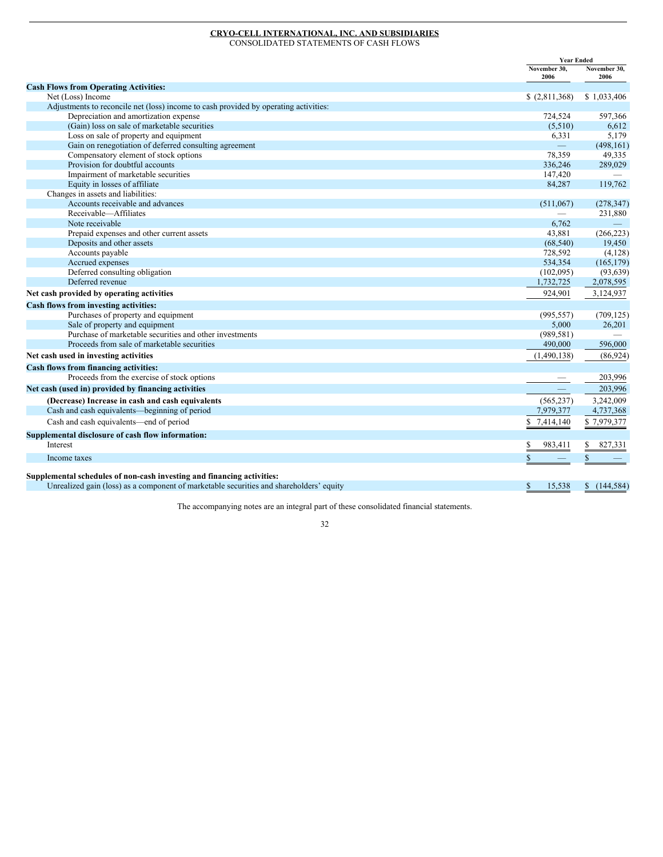# **CRYO-CELL INTERNATIONAL, INC. AND SUBSIDIARIES**

CONSOLIDATED STATEMENTS OF CASH FLOWS

|                                                                                         | <b>Year Ended</b>               |                      |
|-----------------------------------------------------------------------------------------|---------------------------------|----------------------|
|                                                                                         | November 30,<br>2006            | November 30,<br>2006 |
| <b>Cash Flows from Operating Activities:</b>                                            |                                 |                      |
| Net (Loss) Income                                                                       | \$(2,811,368)                   | \$1,033,406          |
| Adjustments to reconcile net (loss) income to cash provided by operating activities:    |                                 |                      |
| Depreciation and amortization expense                                                   | 724,524                         | 597,366              |
| (Gain) loss on sale of marketable securities                                            | (5,510)                         | 6,612                |
| Loss on sale of property and equipment                                                  | 6,331                           | 5,179                |
| Gain on renegotiation of deferred consulting agreement                                  | $\equiv$                        | (498, 161)           |
| Compensatory element of stock options                                                   | 78,359                          | 49,335               |
| Provision for doubtful accounts                                                         | 336,246                         | 289,029              |
| Impairment of marketable securities                                                     | 147,420                         |                      |
| Equity in losses of affiliate                                                           | 84,287                          | 119,762              |
| Changes in assets and liabilities:                                                      |                                 |                      |
| Accounts receivable and advances                                                        | (511,067)                       | (278, 347)           |
| Receivable-Affiliates                                                                   |                                 | 231,880              |
| Note receivable                                                                         | 6.762                           |                      |
| Prepaid expenses and other current assets                                               | 43,881                          | (266, 223)           |
| Deposits and other assets                                                               | (68, 540)                       | 19,450               |
| Accounts payable                                                                        | 728,592                         | (4,128)              |
| Accrued expenses                                                                        | 534,354                         | (165, 179)           |
| Deferred consulting obligation                                                          | (102,095)                       | (93, 639)            |
| Deferred revenue                                                                        | 1,732,725                       | 2,078,595            |
| Net cash provided by operating activities                                               | 924,901                         | 3,124,937            |
| Cash flows from investing activities:                                                   |                                 |                      |
| Purchases of property and equipment                                                     | (995, 557)                      | (709, 125)           |
| Sale of property and equipment                                                          | 5,000                           | 26,201               |
| Purchase of marketable securities and other investments                                 | (989, 581)                      |                      |
| Proceeds from sale of marketable securities                                             | 490,000                         | 596,000              |
| Net cash used in investing activities                                                   | (1,490,138)                     | (86, 924)            |
| Cash flows from financing activities:                                                   |                                 |                      |
| Proceeds from the exercise of stock options                                             | $\hspace{0.1mm}-\hspace{0.1mm}$ | 203,996              |
| Net cash (used in) provided by financing activities                                     |                                 | 203,996              |
| (Decrease) Increase in cash and cash equivalents                                        | (565, 237)                      | 3,242,009            |
| Cash and cash equivalents—beginning of period                                           | 7,979,377                       | 4,737,368            |
| Cash and cash equivalents—end of period                                                 | \$7,414,140                     | \$7,979,377          |
| Supplemental disclosure of cash flow information:                                       |                                 |                      |
| Interest                                                                                | \$<br>983,411                   | \$<br>827,331        |
| Income taxes                                                                            | $\mathbb{S}$                    | \$                   |
|                                                                                         |                                 |                      |
| Supplemental schedules of non-cash investing and financing activities:                  |                                 |                      |
| Unrealized gain (loss) as a component of marketable securities and shareholders' equity | \$<br>15,538                    | (144, 584)<br>\$     |

The accompanying notes are an integral part of these consolidated financial statements.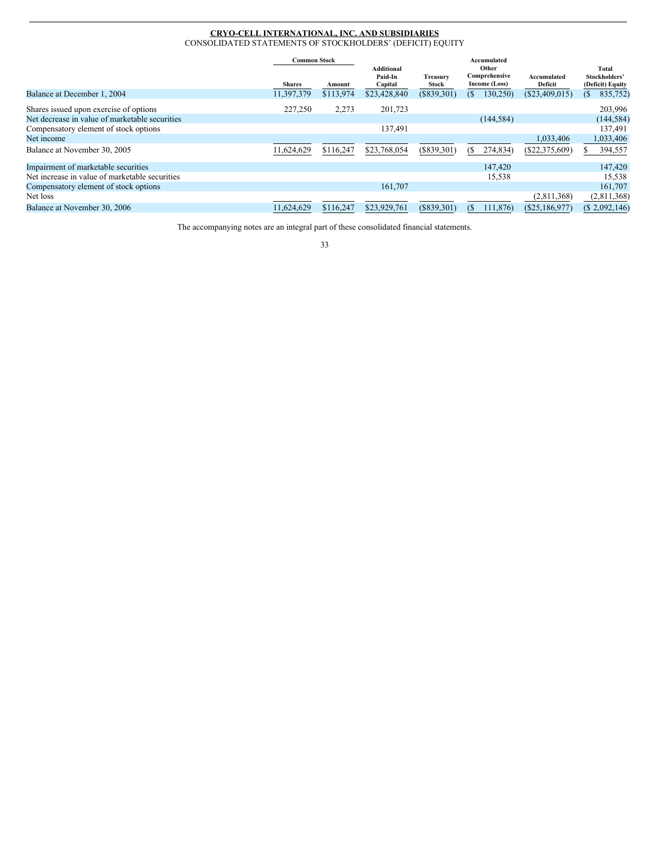## **CRYO-CELL INTERNATIONAL, INC. AND SUBSIDIARIES** CONSOLIDATED STATEMENTS OF STOCKHOLDERS' (DEFICIT) EQUITY

|                                                | <b>Common Stock</b> |           |                                         |                   | Accumulated                             |                        |                                            |
|------------------------------------------------|---------------------|-----------|-----------------------------------------|-------------------|-----------------------------------------|------------------------|--------------------------------------------|
|                                                | <b>Shares</b>       | Amount    | <b>Additional</b><br>Paid-In<br>Capital | Treasury<br>Stock | Other<br>Comprehensive<br>Income (Loss) | Accumulated<br>Deficit | Total<br>Stockholders'<br>(Deficit) Equity |
| Balance at December 1, 2004                    | 11,397,379          | \$113,974 | \$23,428,840                            | $(\$839,301)$     | 130,250)<br>`S                          | (\$23,409,015)         | 835,752)<br>(S                             |
| Shares issued upon exercise of options         | 227,250             | 2,273     | 201,723                                 |                   |                                         |                        | 203,996                                    |
| Net decrease in value of marketable securities |                     |           |                                         |                   | (144, 584)                              |                        | (144, 584)                                 |
| Compensatory element of stock options          |                     |           | 137,491                                 |                   |                                         |                        | 137,491                                    |
| Net income                                     |                     |           |                                         |                   |                                         | 1,033,406              | 1,033,406                                  |
| Balance at November 30, 2005                   | 11,624,629          | \$116,247 | \$23,768,054                            | (S839,301)        | 274,834<br>ß.                           | $(\$22,375,609)$       | 394,557<br>ъ.                              |
| Impairment of marketable securities            |                     |           |                                         |                   | 147,420                                 |                        | 147,420                                    |
| Net increase in value of marketable securities |                     |           |                                         |                   | 15,538                                  |                        | 15,538                                     |
| Compensatory element of stock options          |                     |           | 161,707                                 |                   |                                         |                        | 161,707                                    |
| Net loss                                       |                     |           |                                         |                   |                                         | (2,811,368)            | (2,811,368)                                |
| Balance at November 30, 2006                   | 11.624.629          | \$116,247 | \$23,929,761                            | (\$839,301)       | 111,876)<br>(S                          | (\$25,186,977)         | (S, 2,092,146)                             |

The accompanying notes are an integral part of these consolidated financial statements.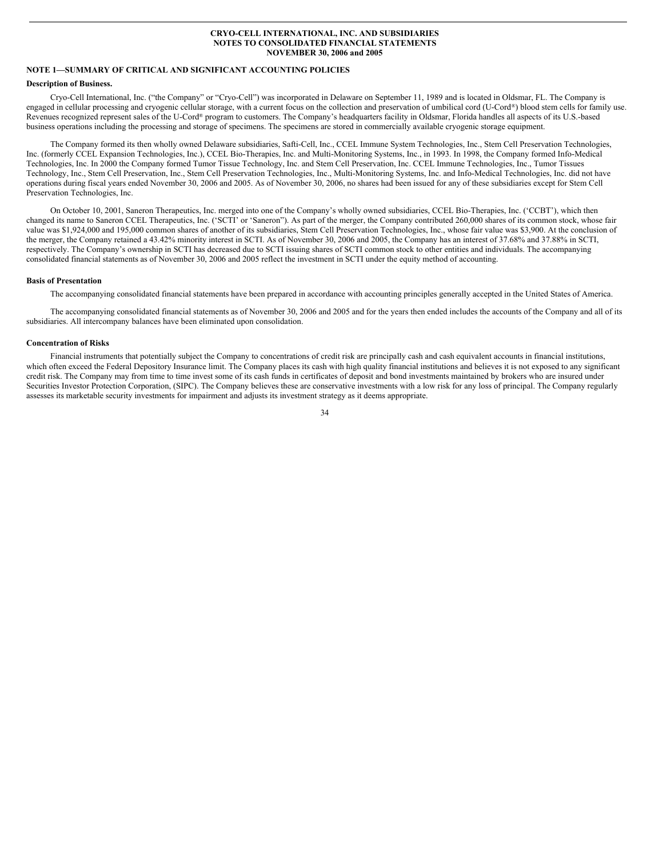#### **CRYO-CELL INTERNATIONAL, INC. AND SUBSIDIARIES NOTES TO CONSOLIDATED FINANCIAL STATEMENTS NOVEMBER 30, 2006 and 2005**

## **NOTE 1—SUMMARY OF CRITICAL AND SIGNIFICANT ACCOUNTING POLICIES**

#### **Description of Business.**

Cryo-Cell International, Inc. ("the Company" or "Cryo-Cell") was incorporated in Delaware on September 11, 1989 and is located in Oldsmar, FL. The Company is engaged in cellular processing and cryogenic cellular storage, with a current focus on the collection and preservation of umbilical cord (U-Cord®) blood stem cells for family use. Revenues recognized represent sales of the U-Cord® program to customers. The Company's headquarters facility in Oldsmar, Florida handles all aspects of its U.S.-based business operations including the processing and storage of specimens. The specimens are stored in commercially available cryogenic storage equipment.

The Company formed its then wholly owned Delaware subsidiaries, Safti-Cell, Inc., CCEL Immune System Technologies, Inc., Stem Cell Preservation Technologies, Inc. (formerly CCEL Expansion Technologies, Inc.), CCEL Bio-Therapies, Inc. and Multi-Monitoring Systems, Inc., in 1993. In 1998, the Company formed Info-Medical Technologies, Inc. In 2000 the Company formed Tumor Tissue Technology, Inc. and Stem Cell Preservation, Inc. CCEL Immune Technologies, Inc., Tumor Tissues Technology, Inc., Stem Cell Preservation, Inc., Stem Cell Preservation Technologies, Inc., Multi-Monitoring Systems, Inc. and Info-Medical Technologies, Inc. did not have operations during fiscal years ended November 30, 2006 and 2005. As of November 30, 2006, no shares had been issued for any of these subsidiaries except for Stem Cell Preservation Technologies, Inc.

On October 10, 2001, Saneron Therapeutics, Inc. merged into one of the Company's wholly owned subsidiaries, CCEL Bio-Therapies, Inc. ('CCBT'), which then changed its name to Saneron CCEL Therapeutics, Inc. ('SCTI' or 'Saneron"). As part of the merger, the Company contributed 260,000 shares of its common stock, whose fair value was \$1,924,000 and 195,000 common shares of another of its subsidiaries, Stem Cell Preservation Technologies, Inc., whose fair value was \$3,900. At the conclusion of the merger, the Company retained a 43.42% minority interest in SCTI. As of November 30, 2006 and 2005, the Company has an interest of 37.68% and 37.88% in SCTI, respectively. The Company's ownership in SCTI has decreased due to SCTI issuing shares of SCTI common stock to other entities and individuals. The accompanying consolidated financial statements as of November 30, 2006 and 2005 reflect the investment in SCTI under the equity method of accounting.

#### **Basis of Presentation**

The accompanying consolidated financial statements have been prepared in accordance with accounting principles generally accepted in the United States of America.

The accompanying consolidated financial statements as of November 30, 2006 and 2005 and for the years then ended includes the accounts of the Company and all of its subsidiaries. All intercompany balances have been eliminated upon consolidation.

#### **Concentration of Risks**

Financial instruments that potentially subject the Company to concentrations of credit risk are principally cash and cash equivalent accounts in financial institutions, which often exceed the Federal Depository Insurance limit. The Company places its cash with high quality financial institutions and believes it is not exposed to any significant credit risk. The Company may from time to time invest some of its cash funds in certificates of deposit and bond investments maintained by brokers who are insured under Securities Investor Protection Corporation, (SIPC). The Company believes these are conservative investments with a low risk for any loss of principal. The Company regularly assesses its marketable security investments for impairment and adjusts its investment strategy as it deems appropriate.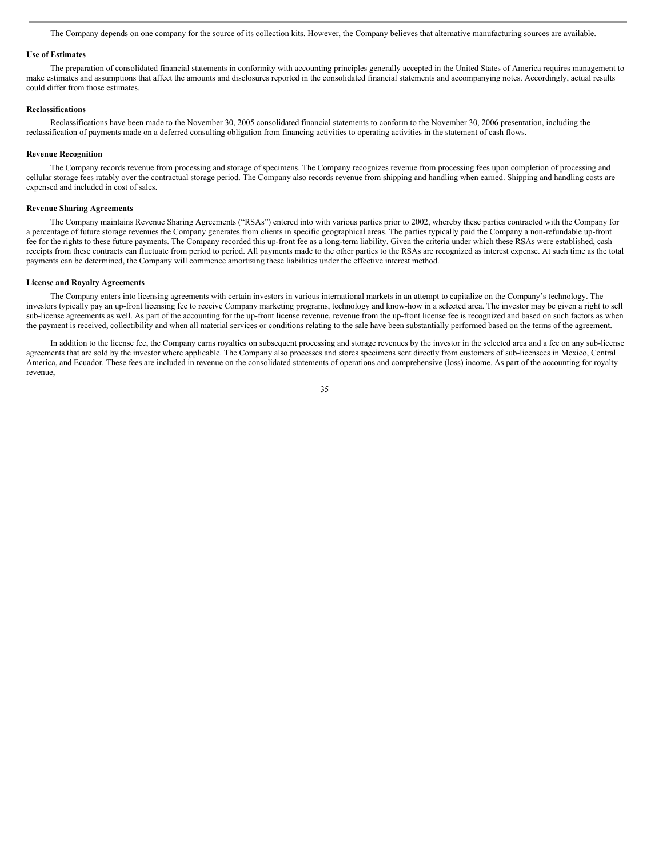The Company depends on one company for the source of its collection kits. However, the Company believes that alternative manufacturing sources are available.

#### **Use of Estimates**

The preparation of consolidated financial statements in conformity with accounting principles generally accepted in the United States of America requires management to make estimates and assumptions that affect the amounts and disclosures reported in the consolidated financial statements and accompanying notes. Accordingly, actual results could differ from those estimates.

## **Reclassifications**

Reclassifications have been made to the November 30, 2005 consolidated financial statements to conform to the November 30, 2006 presentation, including the reclassification of payments made on a deferred consulting obligation from financing activities to operating activities in the statement of cash flows.

#### **Revenue Recognition**

The Company records revenue from processing and storage of specimens. The Company recognizes revenue from processing fees upon completion of processing and cellular storage fees ratably over the contractual storage period. The Company also records revenue from shipping and handling when earned. Shipping and handling costs are expensed and included in cost of sales.

#### **Revenue Sharing Agreements**

The Company maintains Revenue Sharing Agreements ("RSAs") entered into with various parties prior to 2002, whereby these parties contracted with the Company for a percentage of future storage revenues the Company generates from clients in specific geographical areas. The parties typically paid the Company a non-refundable up-front fee for the rights to these future payments. The Company recorded this up-front fee as a long-term liability. Given the criteria under which these RSAs were established, cash receipts from these contracts can fluctuate from period to period. All payments made to the other parties to the RSAs are recognized as interest expense. At such time as the total payments can be determined, the Company will commence amortizing these liabilities under the effective interest method.

#### **License and Royalty Agreements**

The Company enters into licensing agreements with certain investors in various international markets in an attempt to capitalize on the Company's technology. The investors typically pay an up-front licensing fee to receive Company marketing programs, technology and know-how in a selected area. The investor may be given a right to sell sub-license agreements as well. As part of the accounting for the up-front license revenue, revenue from the up-front license fee is recognized and based on such factors as when the payment is received, collectibility and when all material services or conditions relating to the sale have been substantially performed based on the terms of the agreement.

In addition to the license fee, the Company earns royalties on subsequent processing and storage revenues by the investor in the selected area and a fee on any sub-license agreements that are sold by the investor where applicable. The Company also processes and stores specimens sent directly from customers of sub-licensees in Mexico, Central America, and Ecuador. These fees are included in revenue on the consolidated statements of operations and comprehensive (loss) income. As part of the accounting for royalty revenue,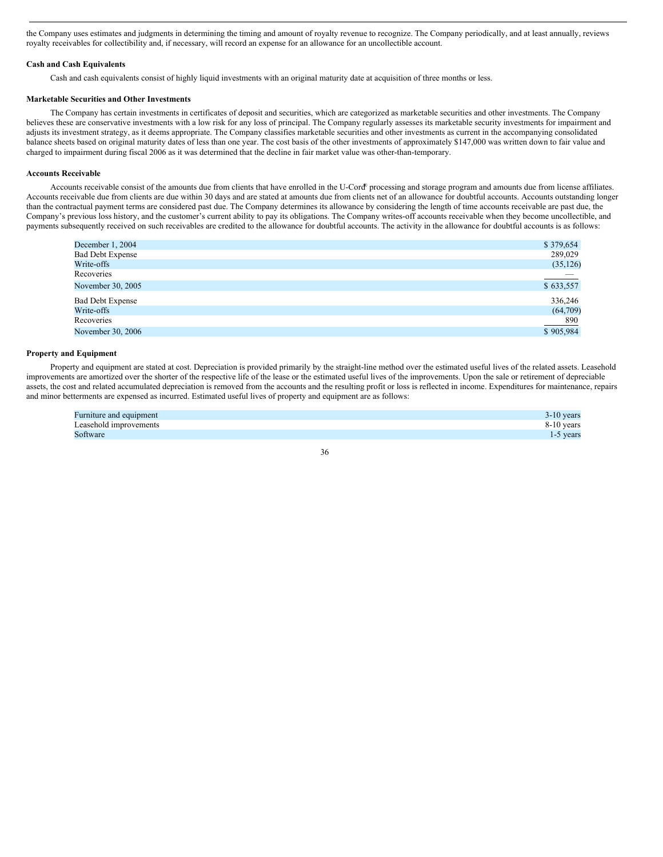the Company uses estimates and judgments in determining the timing and amount of royalty revenue to recognize. The Company periodically, and at least annually, reviews royalty receivables for collectibility and, if necessary, will record an expense for an allowance for an uncollectible account.

## **Cash and Cash Equivalents**

Cash and cash equivalents consist of highly liquid investments with an original maturity date at acquisition of three months or less.

## **Marketable Securities and Other Investments**

The Company has certain investments in certificates of deposit and securities, which are categorized as marketable securities and other investments. The Company believes these are conservative investments with a low risk for any loss of principal. The Company regularly assesses its marketable security investments for impairment and adjusts its investment strategy, as it deems appropriate. The Company classifies marketable securities and other investments as current in the accompanying consolidated balance sheets based on original maturity dates of less than one year. The cost basis of the other investments of approximately \$147,000 was written down to fair value and charged to impairment during fiscal 2006 as it was determined that the decline in fair market value was other-than-temporary.

#### **Accounts Receivable**

Accounts receivable consist of the amounts due from clients that have enrolled in the U-Cord<sup>®</sup> processing and storage program and amounts due from license affiliates. Accounts receivable due from clients are due within 30 days and are stated at amounts due from clients net of an allowance for doubtful accounts. Accounts outstanding longer than the contractual payment terms are considered past due. The Company determines its allowance by considering the length of time accounts receivable are past due, the Company's previous loss history, and the customer's current ability to pay its obligations. The Company writes-off accounts receivable when they become uncollectible, and payments subsequently received on such receivables are credited to the allowance for doubtful accounts. The activity in the allowance for doubtful accounts is as follows:

| December 1, 2004        | \$379,654 |
|-------------------------|-----------|
| <b>Bad Debt Expense</b> | 289,029   |
| Write-offs              | (35, 126) |
| Recoveries              |           |
| November 30, 2005       | \$633,557 |
| <b>Bad Debt Expense</b> | 336,246   |
| Write-offs              | (64,709)  |
| Recoveries              | 890       |
| November 30, 2006       | \$905,984 |

#### **Property and Equipment**

Property and equipment are stated at cost. Depreciation is provided primarily by the straight-line method over the estimated useful lives of the related assets. Leasehold improvements are amortized over the shorter of the respective life of the lease or the estimated useful lives of the improvements. Upon the sale or retirement of depreciable assets, the cost and related accumulated depreciation is removed from the accounts and the resulting profit or loss is reflected in income. Expenditures for maintenance, repairs and minor betterments are expensed as incurred. Estimated useful lives of property and equipment are as follows:

| Furniture and equipment | $3-10$ years |
|-------------------------|--------------|
| Leasehold improvements  | $8-10$ years |
| Software                | 1-5 years    |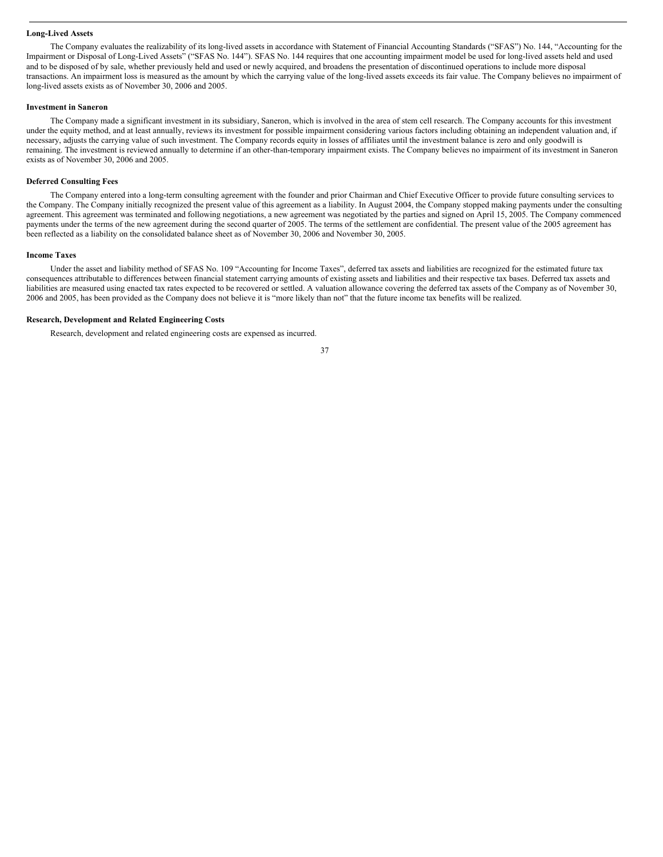## **Long-Lived Assets**

The Company evaluates the realizability of its long-lived assets in accordance with Statement of Financial Accounting Standards ("SFAS") No. 144, "Accounting for the Impairment or Disposal of Long-Lived Assets" ("SFAS No. 144"). SFAS No. 144 requires that one accounting impairment model be used for long-lived assets held and used and to be disposed of by sale, whether previously held and used or newly acquired, and broadens the presentation of discontinued operations to include more disposal transactions. An impairment loss is measured as the amount by which the carrying value of the long-lived assets exceeds its fair value. The Company believes no impairment of long-lived assets exists as of November 30, 2006 and 2005.

#### **Investment in Saneron**

The Company made a significant investment in its subsidiary, Saneron, which is involved in the area of stem cell research. The Company accounts for this investment under the equity method, and at least annually, reviews its investment for possible impairment considering various factors including obtaining an independent valuation and, if necessary, adjusts the carrying value of such investment. The Company records equity in losses of affiliates until the investment balance is zero and only goodwill is remaining. The investment is reviewed annually to determine if an other-than-temporary impairment exists. The Company believes no impairment of its investment in Saneron exists as of November 30, 2006 and 2005.

#### **Deferred Consulting Fees**

The Company entered into a long-term consulting agreement with the founder and prior Chairman and Chief Executive Officer to provide future consulting services to the Company. The Company initially recognized the present value of this agreement as a liability. In August 2004, the Company stopped making payments under the consulting agreement. This agreement was terminated and following negotiations, a new agreement was negotiated by the parties and signed on April 15, 2005. The Company commenced payments under the terms of the new agreement during the second quarter of 2005. The terms of the settlement are confidential. The present value of the 2005 agreement has been reflected as a liability on the consolidated balance sheet as of November 30, 2006 and November 30, 2005.

#### **Income Taxes**

Under the asset and liability method of SFAS No. 109 "Accounting for Income Taxes", deferred tax assets and liabilities are recognized for the estimated future tax consequences attributable to differences between financial statement carrying amounts of existing assets and liabilities and their respective tax bases. Deferred tax assets and liabilities are measured using enacted tax rates expected to be recovered or settled. A valuation allowance covering the deferred tax assets of the Company as of November 30, 2006 and 2005, has been provided as the Company does not believe it is "more likely than not" that the future income tax benefits will be realized.

## **Research, Development and Related Engineering Costs**

Research, development and related engineering costs are expensed as incurred.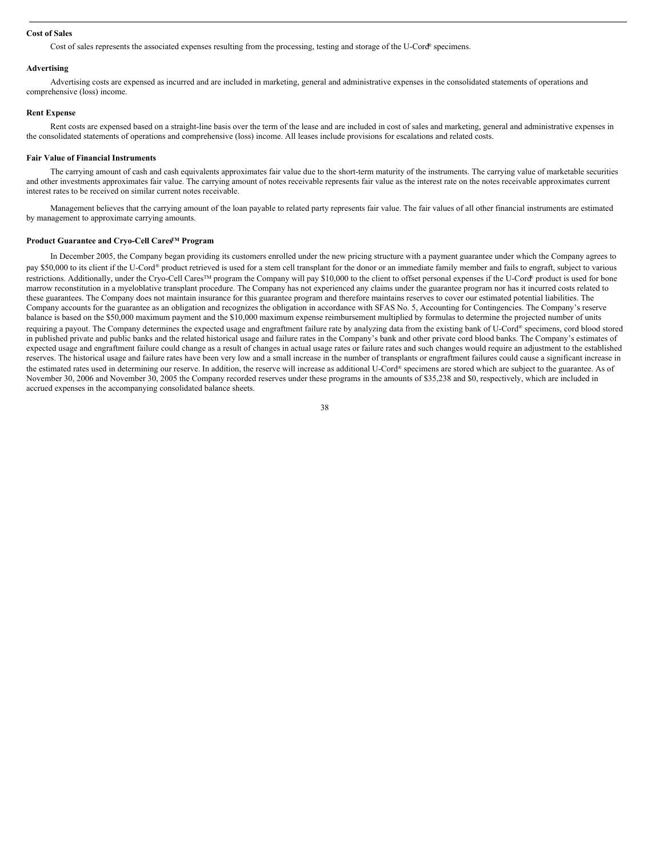#### **Cost of Sales**

Cost of sales represents the associated expenses resulting from the processing, testing and storage of the U-Cord® specimens.

#### **Advertising**

Advertising costs are expensed as incurred and are included in marketing, general and administrative expenses in the consolidated statements of operations and comprehensive (loss) income.

#### **Rent Expense**

Rent costs are expensed based on a straight-line basis over the term of the lease and are included in cost of sales and marketing, general and administrative expenses in the consolidated statements of operations and comprehensive (loss) income. All leases include provisions for escalations and related costs.

#### **Fair Value of Financial Instruments**

The carrying amount of cash and cash equivalents approximates fair value due to the short-term maturity of the instruments. The carrying value of marketable securities and other investments approximates fair value. The carrying amount of notes receivable represents fair value as the interest rate on the notes receivable approximates current interest rates to be received on similar current notes receivable.

Management believes that the carrying amount of the loan payable to related party represents fair value. The fair values of all other financial instruments are estimated by management to approximate carrying amounts.

#### **Product Guarantee and Cryo-Cell CaresTM Program**

In December 2005, the Company began providing its customers enrolled under the new pricing structure with a payment guarantee under which the Company agrees to pay \$50,000 to its client if the U-Cord® product retrieved is used for a stem cell transplant for the donor or an immediate family member and fails to engraft, subject to various restrictions. Additionally, under the Cryo-Cell Cares<sup>™</sup> program the Company will pay \$10,000 to the client to offset personal expenses if the U-Cord® product is used for bone marrow reconstitution in a myeloblative transplant procedure. The Company has not experienced any claims under the guarantee program nor has it incurred costs related to these guarantees. The Company does not maintain insurance for this guarantee program and therefore maintains reserves to cover our estimated potential liabilities. The Company accounts for the guarantee as an obligation and recognizes the obligation in accordance with SFAS No. 5, Accounting for Contingencies. The Company's reserve balance is based on the \$50,000 maximum payment and the \$10,000 maximum expense reimbursement multiplied by formulas to determine the projected number of units requiring a payout. The Company determines the expected usage and engraftment failure rate by analyzing data from the existing bank of U-Cord® specimens, cord blood stored in published private and public banks and the related historical usage and failure rates in the Company's bank and other private cord blood banks. The Company's estimates of expected usage and engraftment failure could change as a result of changes in actual usage rates or failure rates and such changes would require an adjustment to the established reserves. The historical usage and failure rates have been very low and a small increase in the number of transplants or engraftment failures could cause a significant increase in the estimated rates used in determining our reserve. In addition, the reserve will increase as additional U-Cord® specimens are stored which are subject to the guarantee. As of November 30, 2006 and November 30, 2005 the Company recorded reserves under these programs in the amounts of \$35,238 and \$0, respectively, which are included in accrued expenses in the accompanying consolidated balance sheets.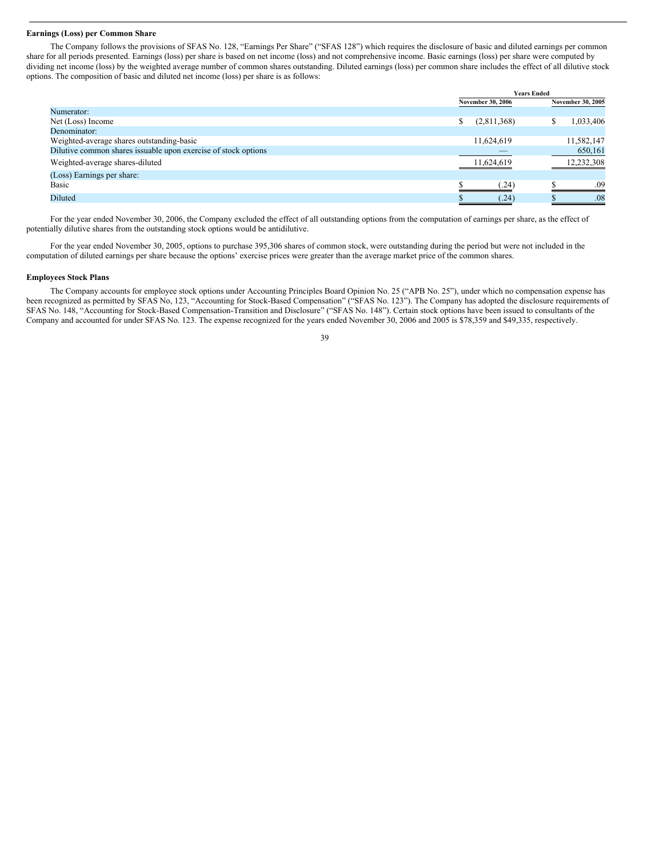#### **Earnings (Loss) per Common Share**

The Company follows the provisions of SFAS No. 128, "Earnings Per Share" ("SFAS 128") which requires the disclosure of basic and diluted earnings per common share for all periods presented. Earnings (loss) per share is based on net income (loss) and not comprehensive income. Basic earnings (loss) per share were computed by dividing net income (loss) by the weighted average number of common shares outstanding. Diluted earnings (loss) per common share includes the effect of all dilutive stock options. The composition of basic and diluted net income (loss) per share is as follows:

|                                                                | <b>Years Ended</b> |                          |  |                   |
|----------------------------------------------------------------|--------------------|--------------------------|--|-------------------|
|                                                                |                    | <b>November 30, 2006</b> |  | November 30, 2005 |
| Numerator:                                                     |                    |                          |  |                   |
| Net (Loss) Income                                              | \$                 | (2,811,368)              |  | 1,033,406         |
| Denominator:                                                   |                    |                          |  |                   |
| Weighted-average shares outstanding-basic                      |                    | 11,624,619               |  | 11,582,147        |
| Dilutive common shares issuable upon exercise of stock options |                    | _                        |  | 650,161           |
| Weighted-average shares-diluted                                |                    | 11,624,619               |  | 12,232,308        |
| (Loss) Earnings per share:                                     |                    |                          |  |                   |
| Basic                                                          |                    | (24)                     |  | .09               |
| Diluted                                                        |                    | (.24)                    |  | .08               |

For the year ended November 30, 2006, the Company excluded the effect of all outstanding options from the computation of earnings per share, as the effect of potentially dilutive shares from the outstanding stock options would be antidilutive.

For the year ended November 30, 2005, options to purchase 395,306 shares of common stock, were outstanding during the period but were not included in the computation of diluted earnings per share because the options' exercise prices were greater than the average market price of the common shares.

#### **Employees Stock Plans**

The Company accounts for employee stock options under Accounting Principles Board Opinion No. 25 ("APB No. 25"), under which no compensation expense has been recognized as permitted by SFAS No, 123, "Accounting for Stock-Based Compensation" ("SFAS No. 123"). The Company has adopted the disclosure requirements of SFAS No. 148, "Accounting for Stock-Based Compensation-Transition and Disclosure" ("SFAS No. 148"). Certain stock options have been issued to consultants of the Company and accounted for under SFAS No. 123. The expense recognized for the years ended November 30, 2006 and 2005 is \$78,359 and \$49,335, respectively.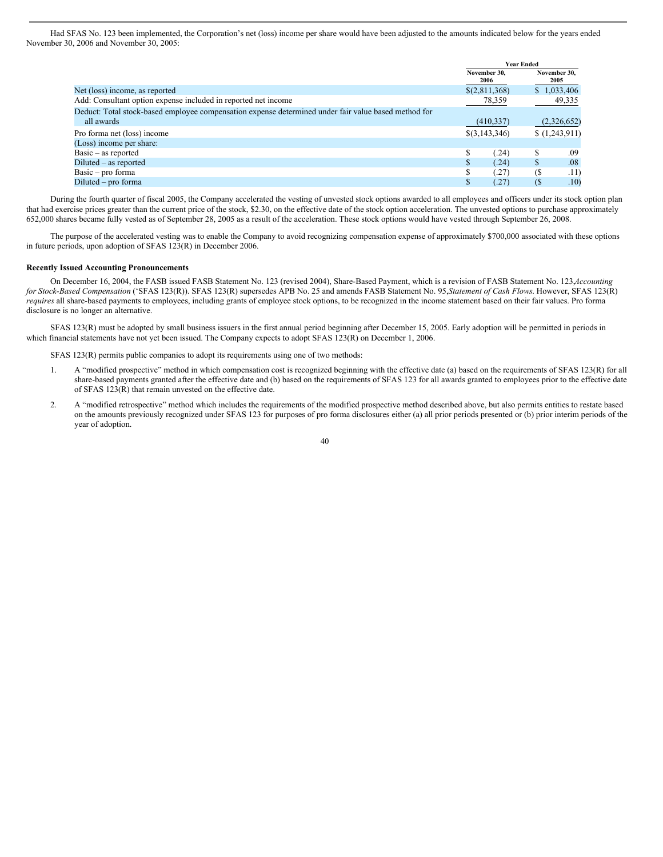Had SFAS No. 123 been implemented, the Corporation's net (loss) income per share would have been adjusted to the amounts indicated below for the years ended November 30, 2006 and November 30, 2005:

|                                                                                                      | <b>Year Ended</b> |                      |     |                      |
|------------------------------------------------------------------------------------------------------|-------------------|----------------------|-----|----------------------|
|                                                                                                      |                   | November 30,<br>2006 |     | November 30.<br>2005 |
| Net (loss) income, as reported                                                                       |                   | \$(2,811,368)        |     | \$1,033,406          |
| Add: Consultant option expense included in reported net income                                       |                   | 78,359               |     | 49,335               |
| Deduct: Total stock-based employee compensation expense determined under fair value based method for |                   |                      |     |                      |
| all awards                                                                                           |                   | (410, 337)           |     | (2,326,652)          |
| Pro forma net (loss) income                                                                          |                   | \$(3,143,346)        |     | (1,243,911)          |
| (Loss) income per share:                                                                             |                   |                      |     |                      |
| $Basic - as reported$                                                                                |                   | (.24)                |     | .09                  |
| $Diluted - as reported$                                                                              |                   | (.24)                | S   | .08                  |
| $Basic - pro forma$                                                                                  |                   | (.27)                | (\$ | .11)                 |
| Diluted – pro forma                                                                                  |                   | (.27)                | (\$ | .10)                 |

During the fourth quarter of fiscal 2005, the Company accelerated the vesting of unvested stock options awarded to all employees and officers under its stock option plan that had exercise prices greater than the current price of the stock, \$2.30, on the effective date of the stock option acceleration. The unvested options to purchase approximately 652,000 shares became fully vested as of September 28, 2005 as a result of the acceleration. These stock options would have vested through September 26, 2008.

The purpose of the accelerated vesting was to enable the Company to avoid recognizing compensation expense of approximately \$700,000 associated with these options in future periods, upon adoption of SFAS 123(R) in December 2006.

#### **Recently Issued Accounting Pronouncements**

On December 16, 2004, the FASB issued FASB Statement No. 123 (revised 2004), Share-Based Payment, which is a revision of FASB Statement No. 123,*Accounting for Stock-Based Compensation* ('SFAS 123(R)). SFAS 123(R) supersedes APB No. 25 and amends FASB Statement No. 95,*Statement of Cash Flows*. However, SFAS 123(R) *requires* all share-based payments to employees, including grants of employee stock options, to be recognized in the income statement based on their fair values. Pro forma disclosure is no longer an alternative.

SFAS 123(R) must be adopted by small business issuers in the first annual period beginning after December 15, 2005. Early adoption will be permitted in periods in which financial statements have not yet been issued. The Company expects to adopt SFAS 123(R) on December 1, 2006.

SFAS 123(R) permits public companies to adopt its requirements using one of two methods:

- 1. A "modified prospective" method in which compensation cost is recognized beginning with the effective date (a) based on the requirements of SFAS 123(R) for all share-based payments granted after the effective date and (b) based on the requirements of SFAS 123 for all awards granted to employees prior to the effective date of SFAS 123(R) that remain unvested on the effective date.
- 2. A "modified retrospective" method which includes the requirements of the modified prospective method described above, but also permits entities to restate based on the amounts previously recognized under SFAS 123 for purposes of pro forma disclosures either (a) all prior periods presented or (b) prior interim periods of the year of adoption.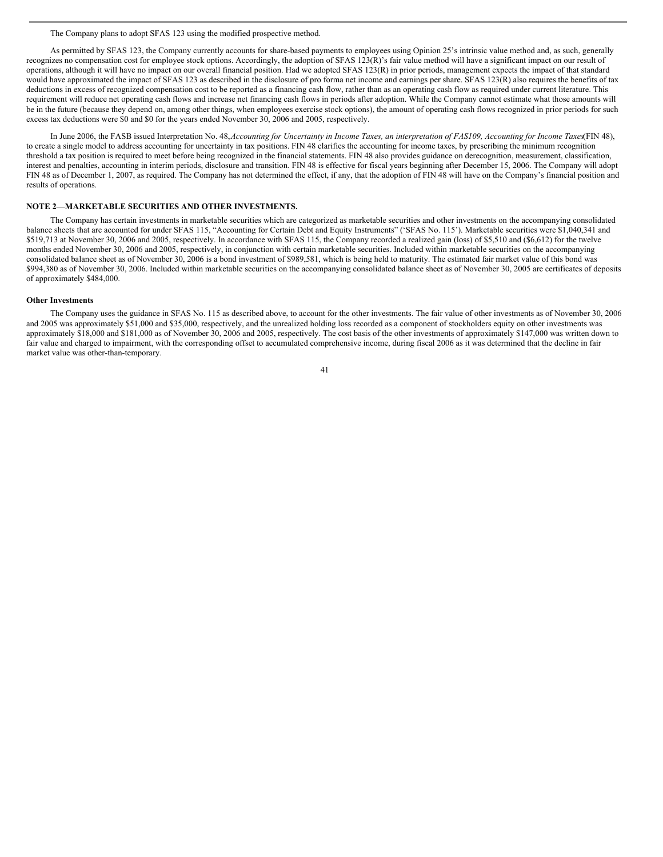#### The Company plans to adopt SFAS 123 using the modified prospective method.

As permitted by SFAS 123, the Company currently accounts for share-based payments to employees using Opinion 25's intrinsic value method and, as such, generally recognizes no compensation cost for employee stock options. Accordingly, the adoption of SFAS 123(R)'s fair value method will have a significant impact on our result of operations, although it will have no impact on our overall financial position. Had we adopted SFAS 123(R) in prior periods, management expects the impact of that standard would have approximated the impact of SFAS 123 as described in the disclosure of pro forma net income and earnings per share. SFAS 123(R) also requires the benefits of tax deductions in excess of recognized compensation cost to be reported as a financing cash flow, rather than as an operating cash flow as required under current literature. This requirement will reduce net operating cash flows and increase net financing cash flows in periods after adoption. While the Company cannot estimate what those amounts will be in the future (because they depend on, among other things, when employees exercise stock options), the amount of operating cash flows recognized in prior periods for such excess tax deductions were \$0 and \$0 for the years ended November 30, 2006 and 2005, respectively.

In June 2006, the FASB issued Interpretation No. 48, Accounting for Uncertainty in Income Taxes, an interpretation of FAS109, Accounting for Income Taxes(FIN 48), to create a single model to address accounting for uncertainty in tax positions. FIN 48 clarifies the accounting for income taxes, by prescribing the minimum recognition threshold a tax position is required to meet before being recognized in the financial statements. FIN 48 also provides guidance on derecognition, measurement, classification, interest and penalties, accounting in interim periods, disclosure and transition. FIN 48 is effective for fiscal years beginning after December 15, 2006. The Company will adopt FIN 48 as of December 1, 2007, as required. The Company has not determined the effect, if any, that the adoption of FIN 48 will have on the Company's financial position and results of operations.

## **NOTE 2—MARKETABLE SECURITIES AND OTHER INVESTMENTS.**

The Company has certain investments in marketable securities which are categorized as marketable securities and other investments on the accompanying consolidated balance sheets that are accounted for under SFAS 115, "Accounting for Certain Debt and Equity Instruments" ('SFAS No. 115'). Marketable securities were \$1,040,341 and \$519,713 at November 30, 2006 and 2005, respectively. In accordance with SFAS 115, the Company recorded a realized gain (loss) of \$5,510 and (\$6,612) for the twelve months ended November 30, 2006 and 2005, respectively, in conjunction with certain marketable securities. Included within marketable securities on the accompanying consolidated balance sheet as of November 30, 2006 is a bond investment of \$989,581, which is being held to maturity. The estimated fair market value of this bond was \$994,380 as of November 30, 2006. Included within marketable securities on the accompanying consolidated balance sheet as of November 30, 2005 are certificates of deposits of approximately \$484,000.

#### **Other Investments**

The Company uses the guidance in SFAS No. 115 as described above, to account for the other investments. The fair value of other investments as of November 30, 2006 and 2005 was approximately \$51,000 and \$35,000, respectively, and the unrealized holding loss recorded as a component of stockholders equity on other investments was approximately \$18,000 and \$181,000 as of November 30, 2006 and 2005, respectively. The cost basis of the other investments of approximately \$147,000 was written down to fair value and charged to impairment, with the corresponding offset to accumulated comprehensive income, during fiscal 2006 as it was determined that the decline in fair market value was other-than-temporary.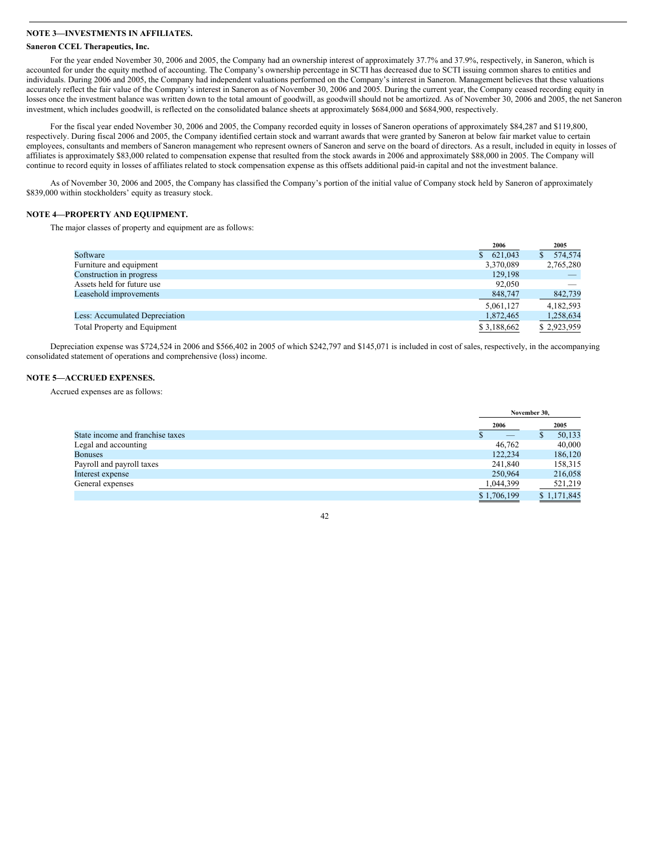## **NOTE 3—INVESTMENTS IN AFFILIATES.**

## **Saneron CCEL Therapeutics, Inc.**

For the year ended November 30, 2006 and 2005, the Company had an ownership interest of approximately 37.7% and 37.9%, respectively, in Saneron, which is accounted for under the equity method of accounting. The Company's ownership percentage in SCTI has decreased due to SCTI issuing common shares to entities and individuals. During 2006 and 2005, the Company had independent valuations performed on the Company's interest in Saneron. Management believes that these valuations accurately reflect the fair value of the Company's interest in Saneron as of November 30, 2006 and 2005. During the current year, the Company ceased recording equity in losses once the investment balance was written down to the total amount of goodwill, as goodwill should not be amortized. As of November 30, 2006 and 2005, the net Saneron investment, which includes goodwill, is reflected on the consolidated balance sheets at approximately \$684,000 and \$684,900, respectively.

For the fiscal year ended November 30, 2006 and 2005, the Company recorded equity in losses of Saneron operations of approximately \$84,287 and \$119,800, respectively. During fiscal 2006 and 2005, the Company identified certain stock and warrant awards that were granted by Saneron at below fair market value to certain employees, consultants and members of Saneron management who represent owners of Saneron and serve on the board of directors. As a result, included in equity in losses of affiliates is approximately \$83,000 related to compensation expense that resulted from the stock awards in 2006 and approximately \$88,000 in 2005. The Company will continue to record equity in losses of affiliates related to stock compensation expense as this offsets additional paid-in capital and not the investment balance.

As of November 30, 2006 and 2005, the Company has classified the Company's portion of the initial value of Company stock held by Saneron of approximately \$839,000 within stockholders' equity as treasury stock.

## **NOTE 4—PROPERTY AND EQUIPMENT.**

The major classes of property and equipment are as follows:

|                                       | 2006        | 2005        |
|---------------------------------------|-------------|-------------|
| Software                              | \$621,043   | 574,574     |
| Furniture and equipment               | 3,370,089   | 2,765,280   |
| Construction in progress              | 129,198     |             |
| Assets held for future use            | 92,050      |             |
| Leasehold improvements                | 848,747     | 842,739     |
|                                       | 5.061.127   | 4,182,593   |
| <b>Less: Accumulated Depreciation</b> | 1,872,465   | 1,258,634   |
| <b>Total Property and Equipment</b>   | \$3,188,662 | \$2,923,959 |

Depreciation expense was \$724,524 in 2006 and \$566,402 in 2005 of which \$242,797 and \$145,071 is included in cost of sales, respectively, in the accompanying consolidated statement of operations and comprehensive (loss) income.

## **NOTE 5—ACCRUED EXPENSES.**

Accrued expenses are as follows:

|                                  |                          | November 30. |
|----------------------------------|--------------------------|--------------|
|                                  | 2006                     | 2005         |
| State income and franchise taxes | $\qquad \qquad - \qquad$ | 50,133<br>a  |
| Legal and accounting             | 46,762                   | 40,000       |
| <b>Bonuses</b>                   | 122,234                  | 186,120      |
| Payroll and payroll taxes        | 241,840                  | 158,315      |
| Interest expense                 | 250,964                  | 216,058      |
| General expenses                 | 1,044,399                | 521,219      |
|                                  | \$1,706,199              | \$1.171.845  |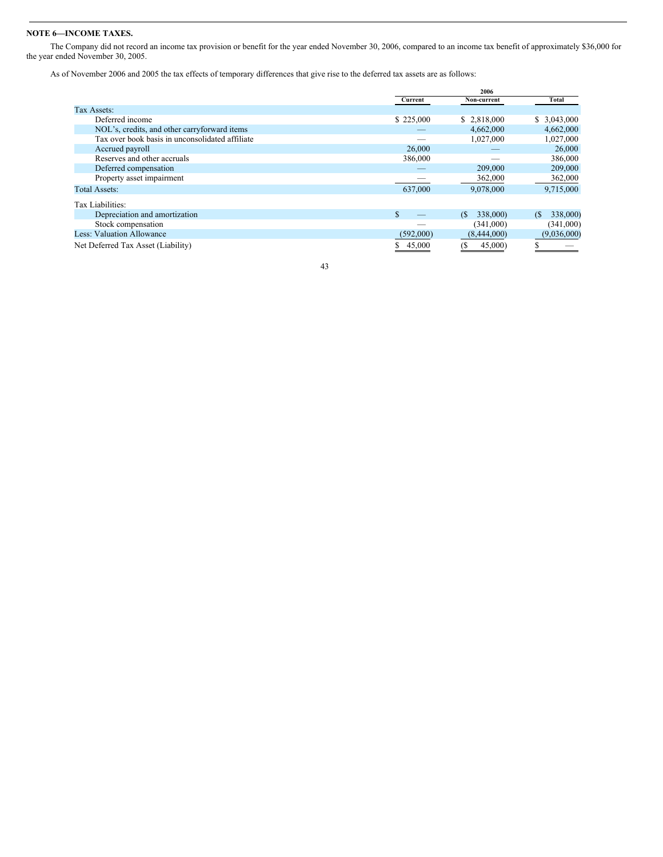## **NOTE 6—INCOME TAXES.**

The Company did not record an income tax provision or benefit for the year ended November 30, 2006, compared to an income tax benefit of approximately \$36,000 for the year ended November 30, 2005.

As of November 2006 and 2005 the tax effects of temporary differences that give rise to the deferred tax assets are as follows:

|                                                 |               | 2006           |                |
|-------------------------------------------------|---------------|----------------|----------------|
|                                                 | Current       | Non-current    | Total          |
| Tax Assets:                                     |               |                |                |
| Deferred income                                 | \$225,000     | \$2,818,000    | \$3,043,000    |
| NOL's, credits, and other carryforward items    |               | 4,662,000      | 4,662,000      |
| Tax over book basis in unconsolidated affiliate |               | 1,027,000      | 1,027,000      |
| Accrued payroll                                 | 26,000        |                | 26,000         |
| Reserves and other accruals                     | 386,000       |                | 386,000        |
| Deferred compensation                           |               | 209,000        | 209,000        |
| Property asset impairment                       |               | 362,000        | 362,000        |
| <b>Total Assets:</b>                            | 637,000       | 9,078,000      | 9,715,000      |
| Tax Liabilities:                                |               |                |                |
| Depreciation and amortization                   | $\mathcal{S}$ | 338,000)<br>(S | 338,000)<br>(S |
| Stock compensation                              |               | (341,000)      | (341,000)      |
| Less: Valuation Allowance                       | (592,000)     | (8,444,000)    | (9,036,000)    |
| Net Deferred Tax Asset (Liability)              | 45,000<br>S   | 45,000<br>(S   |                |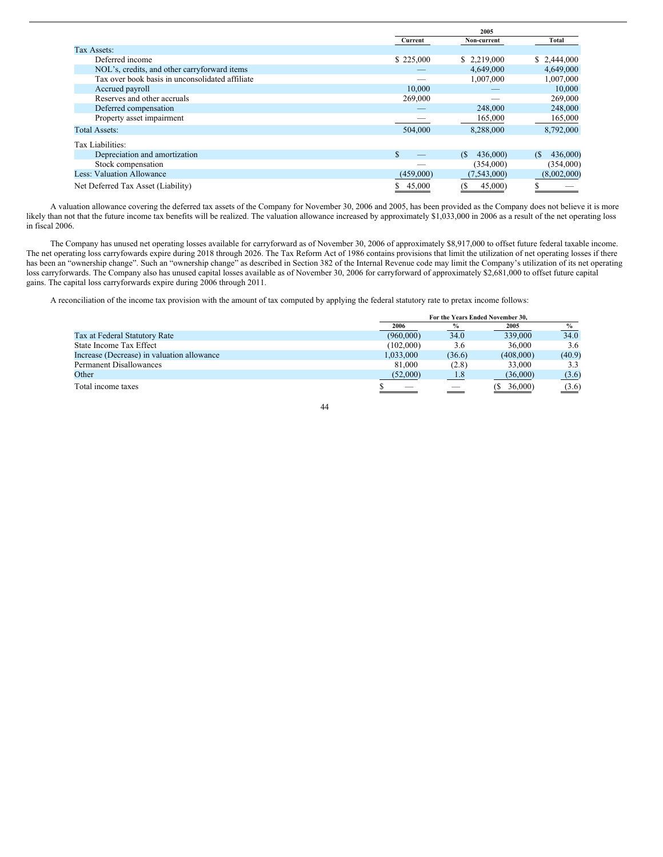|                                                 |           | 2005           |                        |
|-------------------------------------------------|-----------|----------------|------------------------|
|                                                 | Current   | Non-current    | Total                  |
| Tax Assets:                                     |           |                |                        |
| Deferred income                                 | \$225,000 | \$ 2,219,000   | \$2,444,000            |
| NOL's, credits, and other carryforward items    |           | 4,649,000      | 4,649,000              |
| Tax over book basis in unconsolidated affiliate |           | 1,007,000      | 1,007,000              |
| Accrued payroll                                 | 10,000    |                | 10,000                 |
| Reserves and other accruals                     | 269,000   |                | 269,000                |
| Deferred compensation                           |           | 248,000        | 248,000                |
| Property asset impairment                       |           | 165,000        | 165,000                |
| <b>Total Assets:</b>                            | 504,000   | 8,288,000      | 8,792,000              |
| Tax Liabilities:                                |           |                |                        |
| Depreciation and amortization                   | \$        | 436,000)<br>(S | 436,000)<br>$\sqrt{S}$ |
| Stock compensation                              |           | (354,000)      | (354,000)              |
| <b>Less: Valuation Allowance</b>                | (459,000) | (7,543,000)    | (8,002,000)            |
| Net Deferred Tax Asset (Liability)              | 45,000    | 45,000)        |                        |

A valuation allowance covering the deferred tax assets of the Company for November 30, 2006 and 2005, has been provided as the Company does not believe it is more likely than not that the future income tax benefits will be realized. The valuation allowance increased by approximately \$1,033,000 in 2006 as a result of the net operating loss in fiscal 2006.

The Company has unused net operating losses available for carryforward as of November 30, 2006 of approximately \$8,917,000 to offset future federal taxable income. The net operating loss carryfowards expire during 2018 through 2026. The Tax Reform Act of 1986 contains provisions that limit the utilization of net operating losses if there has been an "ownership change". Such an "ownership change" as described in Section 382 of the Internal Revenue code may limit the Company's utilization of its net operating loss carryforwards. The Company also has unused capital losses available as of November 30, 2006 for carryforward of approximately \$2,681,000 to offset future capital gains. The capital loss carryforwards expire during 2006 through 2011.

A reconciliation of the income tax provision with the amount of tax computed by applying the federal statutory rate to pretax income follows:

|                                            | For the Years Ended November 30. |               |           |                   |
|--------------------------------------------|----------------------------------|---------------|-----------|-------------------|
|                                            | 2006                             | $\%$          | 2005      | $\frac{9}{0}$     |
| Tax at Federal Statutory Rate              | (960,000)                        | 34.0          | 339,000   | 34.0              |
| State Income Tax Effect                    | (102,000)                        | 3.6           | 36,000    | 3.6               |
| Increase (Decrease) in valuation allowance | 1.033.000                        | (36.6)        | (408,000) | (40.9)            |
| <b>Permanent Disallowances</b>             | 81,000                           | (2.8)         | 33,000    | 3.3               |
| Other                                      | (52,000)                         | $\boxed{1.8}$ | (36,000)  | (3.6)             |
| Total income taxes                         |                                  |               | 36,000)   | $\frac{(3.6)}{2}$ |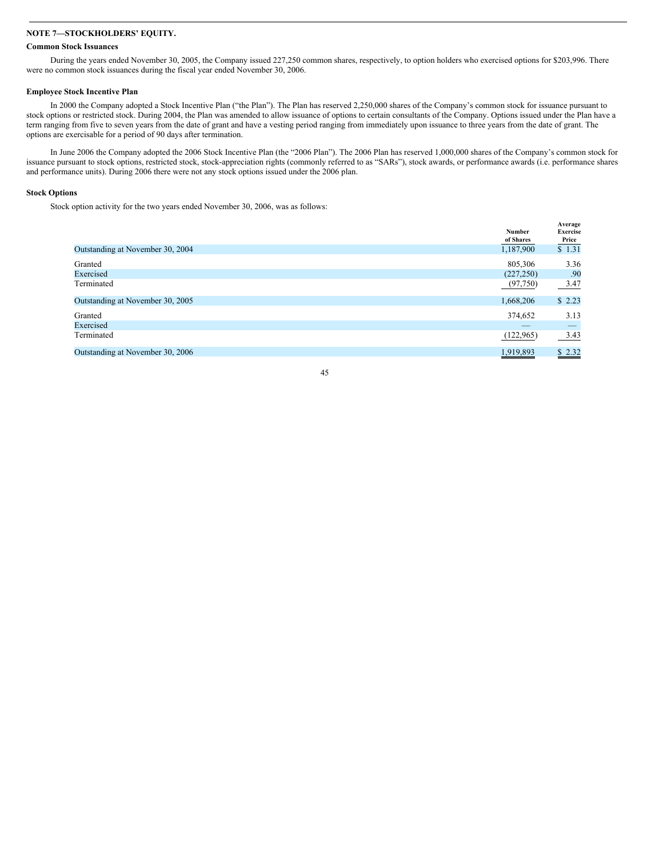## **NOTE 7—STOCKHOLDERS' EQUITY.**

## **Common Stock Issuances**

During the years ended November 30, 2005, the Company issued 227,250 common shares, respectively, to option holders who exercised options for \$203,996. There were no common stock issuances during the fiscal year ended November 30, 2006.

#### **Employee Stock Incentive Plan**

In 2000 the Company adopted a Stock Incentive Plan ("the Plan"). The Plan has reserved 2,250,000 shares of the Company's common stock for issuance pursuant to stock options or restricted stock. During 2004, the Plan was amended to allow issuance of options to certain consultants of the Company. Options issued under the Plan have a term ranging from five to seven years from the date of grant and have a vesting period ranging from immediately upon issuance to three years from the date of grant. The options are exercisable for a period of 90 days after termination.

In June 2006 the Company adopted the 2006 Stock Incentive Plan (the "2006 Plan"). The 2006 Plan has reserved 1,000,000 shares of the Company's common stock for issuance pursuant to stock options, restricted stock, stock-appreciation rights (commonly referred to as "SARs"), stock awards, or performance awards (i.e. performance shares and performance units). During 2006 there were not any stock options issued under the 2006 plan.

#### **Stock Options**

Stock option activity for the two years ended November 30, 2006, was as follows:

|                                  | Number<br>of Shares | Average<br>Exercise<br>Price    |
|----------------------------------|---------------------|---------------------------------|
| Outstanding at November 30, 2004 | 1,187,900           | \$1.31                          |
| Granted                          | 805,306             | 3.36                            |
| Exercised                        | (227, 250)          | .90                             |
| Terminated                       | (97, 750)           | 3.47                            |
| Outstanding at November 30, 2005 | 1,668,206           | \$2.23                          |
| Granted                          | 374,652             | 3.13                            |
| Exercised                        |                     | $\hspace{0.1mm}-\hspace{0.1mm}$ |
| Terminated                       | (122, 965)          | 3.43                            |
| Outstanding at November 30, 2006 | 1,919,893           | \$2.32                          |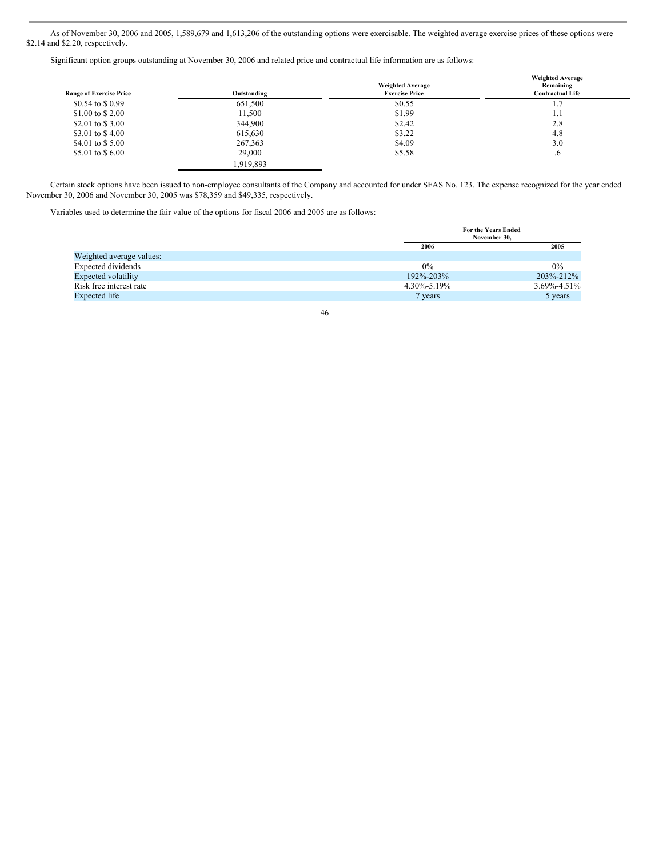As of November 30, 2006 and 2005, 1,589,679 and 1,613,206 of the outstanding options were exercisable. The weighted average exercise prices of these options were \$2.14 and \$2.20, respectively.

Significant option groups outstanding at November 30, 2006 and related price and contractual life information are as follows:

| <b>Range of Exercise Price</b> | Outstanding | <b>Weighted Average</b><br><b>Exercise Price</b> | <b>Weighted Average</b><br>Remaining<br><b>Contractual Life</b> |
|--------------------------------|-------------|--------------------------------------------------|-----------------------------------------------------------------|
| \$0.54 to \$0.99               | 651,500     | \$0.55                                           | 1.7                                                             |
| \$1.00 to \$2.00               | 11,500      | \$1.99                                           | 1.1                                                             |
| \$2.01 to \$3.00               | 344,900     | \$2.42                                           | 2.8                                                             |
| \$3.01 to \$4.00               | 615,630     | \$3.22                                           | 4.8                                                             |
| \$4.01 to \$5.00               | 267,363     | \$4.09                                           | 3.0                                                             |
| \$5.01 to \$6.00               | 29,000      | \$5.58                                           | $\cdot$                                                         |
|                                | 1,919,893   |                                                  |                                                                 |

Certain stock options have been issued to non-employee consultants of the Company and accounted for under SFAS No. 123. The expense recognized for the year ended November 30, 2006 and November 30, 2005 was \$78,359 and \$49,335, respectively.

Variables used to determine the fair value of the options for fiscal 2006 and 2005 are as follows:

| <b>For the Years Ended</b> |                   |  |
|----------------------------|-------------------|--|
| November 30.               |                   |  |
| 2006                       | 2005              |  |
|                            |                   |  |
| $0\%$                      | 0%                |  |
| 192\%-203\%                | 203\%-212\%       |  |
|                            | $3.69\% - 4.51\%$ |  |
| 7 years                    | 5 years           |  |
|                            | $4.30\% - 5.19\%$ |  |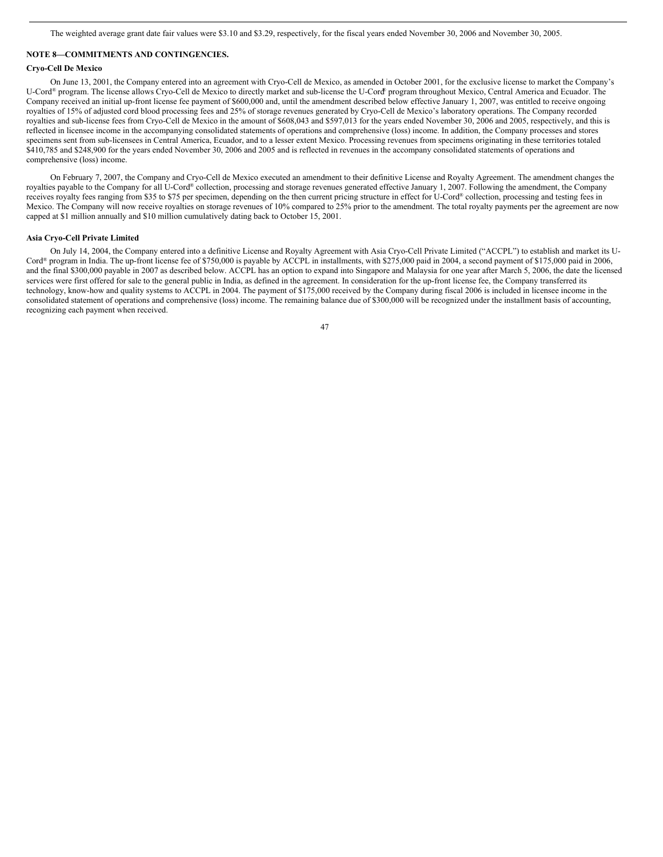## **NOTE 8—COMMITMENTS AND CONTINGENCIES.**

#### **Cryo-Cell De Mexico**

On June 13, 2001, the Company entered into an agreement with Cryo-Cell de Mexico, as amended in October 2001, for the exclusive license to market the Company's U-Cord<sup>®</sup> program. The license allows Cryo-Cell de Mexico to directly market and sub-license the U-Cord<sup>®</sup> program throughout Mexico, Central America and Ecuador. The Company received an initial up-front license fee payment of \$600,000 and, until the amendment described below effective January 1, 2007, was entitled to receive ongoing royalties of 15% of adjusted cord blood processing fees and 25% of storage revenues generated by Cryo-Cell de Mexico's laboratory operations. The Company recorded royalties and sub-license fees from Cryo-Cell de Mexico in the amount of \$608,043 and \$597,013 for the years ended November 30, 2006 and 2005, respectively, and this is reflected in licensee income in the accompanying consolidated statements of operations and comprehensive (loss) income. In addition, the Company processes and stores specimens sent from sub-licensees in Central America, Ecuador, and to a lesser extent Mexico. Processing revenues from specimens originating in these territories totaled \$410,785 and \$248,900 for the years ended November 30, 2006 and 2005 and is reflected in revenues in the accompany consolidated statements of operations and comprehensive (loss) income.

On February 7, 2007, the Company and Cryo-Cell de Mexico executed an amendment to their definitive License and Royalty Agreement. The amendment changes the royalties payable to the Company for all U-Cord® collection, processing and storage revenues generated effective January 1, 2007. Following the amendment, the Company receives royalty fees ranging from \$35 to \$75 per specimen, depending on the then current pricing structure in effect for U-Cord® collection, processing and testing fees in Mexico. The Company will now receive royalties on storage revenues of 10% compared to 25% prior to the amendment. The total royalty payments per the agreement are now capped at \$1 million annually and \$10 million cumulatively dating back to October 15, 2001.

#### **Asia Cryo-Cell Private Limited**

On July 14, 2004, the Company entered into a definitive License and Royalty Agreement with Asia Cryo-Cell Private Limited ("ACCPL") to establish and market its U-Cord ® program in India. The up-front license fee of \$750,000 is payable by ACCPL in installments, with \$275,000 paid in 2004, a second payment of \$175,000 paid in 2006, and the final \$300,000 payable in 2007 as described below. ACCPL has an option to expand into Singapore and Malaysia for one year after March 5, 2006, the date the licensed services were first offered for sale to the general public in India, as defined in the agreement. In consideration for the up-front license fee, the Company transferred its technology, know-how and quality systems to ACCPL in 2004. The payment of \$175,000 received by the Company during fiscal 2006 is included in licensee income in the consolidated statement of operations and comprehensive (loss) income. The remaining balance due of \$300,000 will be recognized under the installment basis of accounting, recognizing each payment when received.

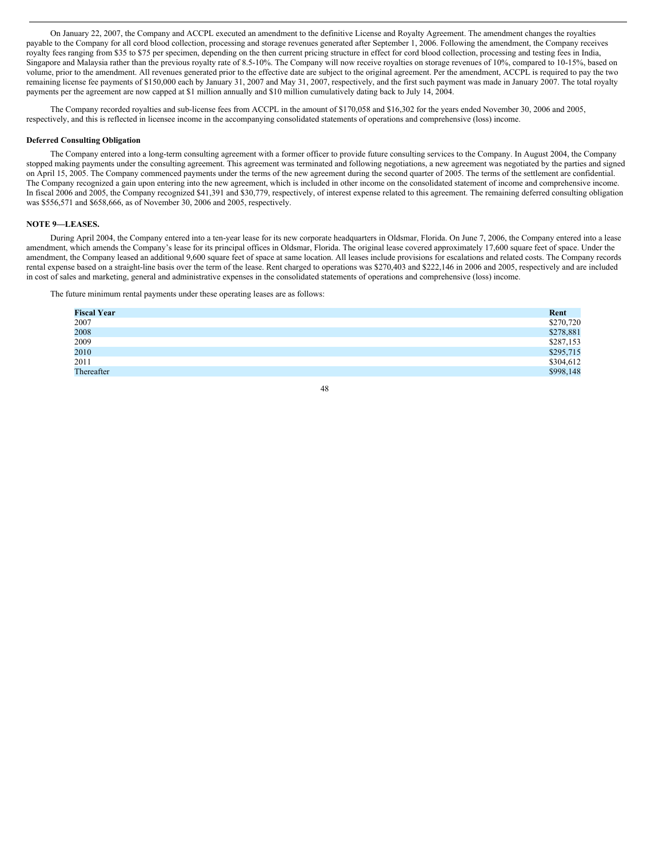On January 22, 2007, the Company and ACCPL executed an amendment to the definitive License and Royalty Agreement. The amendment changes the royalties payable to the Company for all cord blood collection, processing and storage revenues generated after September 1, 2006. Following the amendment, the Company receives royalty fees ranging from \$35 to \$75 per specimen, depending on the then current pricing structure in effect for cord blood collection, processing and testing fees in India, Singapore and Malaysia rather than the previous royalty rate of 8.5-10%. The Company will now receive royalties on storage revenues of 10%, compared to 10-15%, based on volume, prior to the amendment. All revenues generated prior to the effective date are subject to the original agreement. Per the amendment, ACCPL is required to pay the two remaining license fee payments of \$150,000 each by January 31, 2007 and May 31, 2007, respectively, and the first such payment was made in January 2007. The total royalty payments per the agreement are now capped at \$1 million annually and \$10 million cumulatively dating back to July 14, 2004.

The Company recorded royalties and sub-license fees from ACCPL in the amount of \$170,058 and \$16,302 for the years ended November 30, 2006 and 2005, respectively, and this is reflected in licensee income in the accompanying consolidated statements of operations and comprehensive (loss) income.

#### **Deferred Consulting Obligation**

The Company entered into a long-term consulting agreement with a former officer to provide future consulting services to the Company. In August 2004, the Company stopped making payments under the consulting agreement. This agreement was terminated and following negotiations, a new agreement was negotiated by the parties and signed on April 15, 2005. The Company commenced payments under the terms of the new agreement during the second quarter of 2005. The terms of the settlement are confidential. The Company recognized a gain upon entering into the new agreement, which is included in other income on the consolidated statement of income and comprehensive income. In fiscal 2006 and 2005, the Company recognized \$41,391 and \$30,779, respectively, of interest expense related to this agreement. The remaining deferred consulting obligation was \$556,571 and \$658,666, as of November 30, 2006 and 2005, respectively.

#### **NOTE 9—LEASES.**

During April 2004, the Company entered into a ten-year lease for its new corporate headquarters in Oldsmar, Florida. On June 7, 2006, the Company entered into a lease amendment, which amends the Company's lease for its principal offices in Oldsmar, Florida. The original lease covered approximately 17,600 square feet of space. Under the amendment, the Company leased an additional 9,600 square feet of space at same location. All leases include provisions for escalations and related costs. The Company records rental expense based on a straight-line basis over the term of the lease. Rent charged to operations was \$270,403 and \$222,146 in 2006 and 2005, respectively and are included in cost of sales and marketing, general and administrative expenses in the consolidated statements of operations and comprehensive (loss) income.

The future minimum rental payments under these operating leases are as follows:

| <b>Fiscal Year</b> | Rent      |
|--------------------|-----------|
| 2007               | \$270,720 |
| 2008               | \$278,881 |
| 2009               | \$287,153 |
| 2010               | \$295,715 |
| 2011               | \$304,612 |
| Thereafter         | \$998,148 |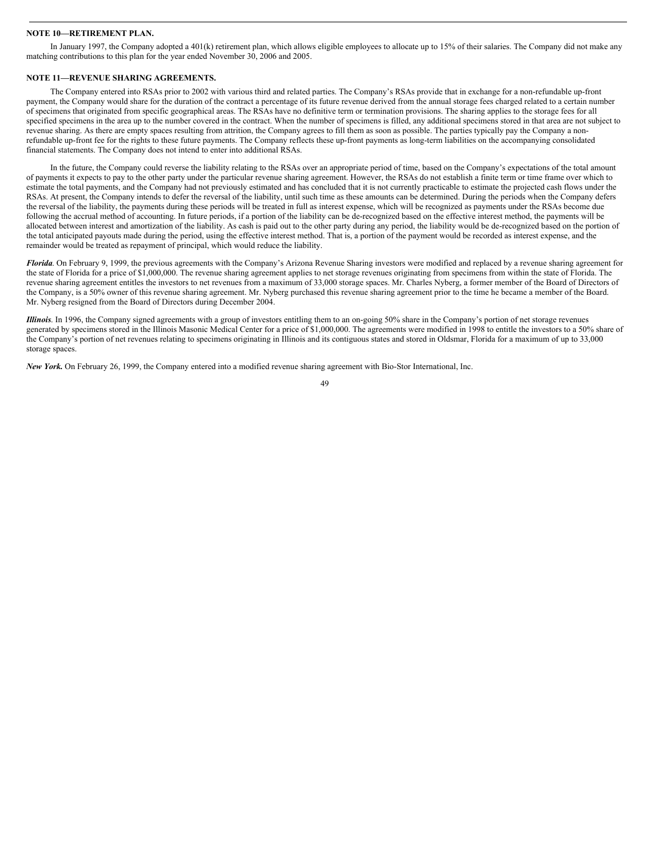#### **NOTE 10—RETIREMENT PLAN.**

In January 1997, the Company adopted a 401(k) retirement plan, which allows eligible employees to allocate up to 15% of their salaries. The Company did not make any matching contributions to this plan for the year ended November 30, 2006 and 2005.

## **NOTE 11—REVENUE SHARING AGREEMENTS.**

The Company entered into RSAs prior to 2002 with various third and related parties. The Company's RSAs provide that in exchange for a non-refundable up-front payment, the Company would share for the duration of the contract a percentage of its future revenue derived from the annual storage fees charged related to a certain number of specimens that originated from specific geographical areas. The RSAs have no definitive term or termination provisions. The sharing applies to the storage fees for all specified specimens in the area up to the number covered in the contract. When the number of specimens is filled, any additional specimens stored in that area are not subject to revenue sharing. As there are empty spaces resulting from attrition, the Company agrees to fill them as soon as possible. The parties typically pay the Company a nonrefundable up-front fee for the rights to these future payments. The Company reflects these up-front payments as long-term liabilities on the accompanying consolidated financial statements. The Company does not intend to enter into additional RSAs.

In the future, the Company could reverse the liability relating to the RSAs over an appropriate period of time, based on the Company's expectations of the total amount of payments it expects to pay to the other party under the particular revenue sharing agreement. However, the RSAs do not establish a finite term or time frame over which to estimate the total payments, and the Company had not previously estimated and has concluded that it is not currently practicable to estimate the projected cash flows under the RSAs. At present, the Company intends to defer the reversal of the liability, until such time as these amounts can be determined. During the periods when the Company defers the reversal of the liability, the payments during these periods will be treated in full as interest expense, which will be recognized as payments under the RSAs become due following the accrual method of accounting. In future periods, if a portion of the liability can be de-recognized based on the effective interest method, the payments will be allocated between interest and amortization of the liability. As cash is paid out to the other party during any period, the liability would be de-recognized based on the portion of the total anticipated payouts made during the period, using the effective interest method. That is, a portion of the payment would be recorded as interest expense, and the remainder would be treated as repayment of principal, which would reduce the liability.

*Florida*. On February 9, 1999, the previous agreements with the Company's Arizona Revenue Sharing investors were modified and replaced by a revenue sharing agreement for the state of Florida for a price of \$1,000,000. The revenue sharing agreement applies to net storage revenues originating from specimens from within the state of Florida. The revenue sharing agreement entitles the investors to net revenues from a maximum of 33,000 storage spaces. Mr. Charles Nyberg, a former member of the Board of Directors of the Company, is a 50% owner of this revenue sharing agreement. Mr. Nyberg purchased this revenue sharing agreement prior to the time he became a member of the Board. Mr. Nyberg resigned from the Board of Directors during December 2004.

*Illinois*. In 1996, the Company signed agreements with a group of investors entitling them to an on-going 50% share in the Company's portion of net storage revenues generated by specimens stored in the Illinois Masonic Medical Center for a price of \$1,000,000. The agreements were modified in 1998 to entitle the investors to a 50% share of the Company's portion of net revenues relating to specimens originating in Illinois and its contiguous states and stored in Oldsmar, Florida for a maximum of up to 33,000 storage spaces.

*New York.* On February 26, 1999, the Company entered into a modified revenue sharing agreement with Bio-Stor International, Inc.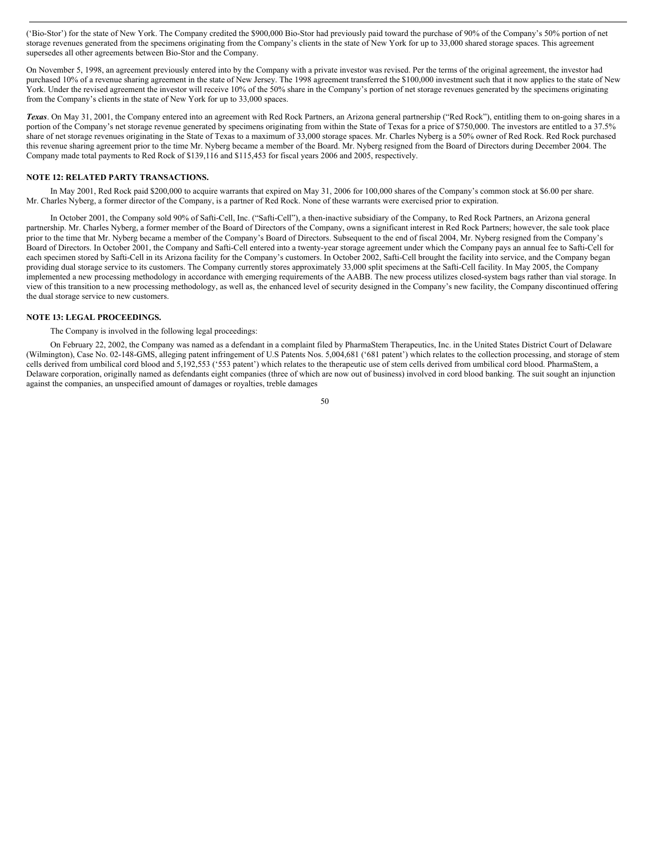('Bio-Stor') for the state of New York. The Company credited the \$900,000 Bio-Stor had previously paid toward the purchase of 90% of the Company's 50% portion of net storage revenues generated from the specimens originating from the Company's clients in the state of New York for up to 33,000 shared storage spaces. This agreement supersedes all other agreements between Bio-Stor and the Company.

On November 5, 1998, an agreement previously entered into by the Company with a private investor was revised. Per the terms of the original agreement, the investor had purchased 10% of a revenue sharing agreement in the state of New Jersey. The 1998 agreement transferred the \$100,000 investment such that it now applies to the state of New York. Under the revised agreement the investor will receive 10% of the 50% share in the Company's portion of net storage revenues generated by the specimens originating from the Company's clients in the state of New York for up to 33,000 spaces.

*Texas*. On May 31, 2001, the Company entered into an agreement with Red Rock Partners, an Arizona general partnership ("Red Rock"), entitling them to on-going shares in a portion of the Company's net storage revenue generated by specimens originating from within the State of Texas for a price of \$750,000. The investors are entitled to a 37.5% share of net storage revenues originating in the State of Texas to a maximum of 33,000 storage spaces. Mr. Charles Nyberg is a 50% owner of Red Rock. Red Rock purchased this revenue sharing agreement prior to the time Mr. Nyberg became a member of the Board. Mr. Nyberg resigned from the Board of Directors during December 2004. The Company made total payments to Red Rock of \$139,116 and \$115,453 for fiscal years 2006 and 2005, respectively.

#### **NOTE 12: RELATED PARTY TRANSACTIONS.**

In May 2001, Red Rock paid \$200,000 to acquire warrants that expired on May 31, 2006 for 100,000 shares of the Company's common stock at \$6.00 per share. Mr. Charles Nyberg, a former director of the Company, is a partner of Red Rock. None of these warrants were exercised prior to expiration.

In October 2001, the Company sold 90% of Safti-Cell, Inc. ("Safti-Cell"), a then-inactive subsidiary of the Company, to Red Rock Partners, an Arizona general partnership. Mr. Charles Nyberg, a former member of the Board of Directors of the Company, owns a significant interest in Red Rock Partners; however, the sale took place prior to the time that Mr. Nyberg became a member of the Company's Board of Directors. Subsequent to the end of fiscal 2004, Mr. Nyberg resigned from the Company's Board of Directors. In October 2001, the Company and Safti-Cell entered into a twenty-year storage agreement under which the Company pays an annual fee to Safti-Cell for each specimen stored by Safti-Cell in its Arizona facility for the Company's customers. In October 2002, Safti-Cell brought the facility into service, and the Company began providing dual storage service to its customers. The Company currently stores approximately 33,000 split specimens at the Safti-Cell facility. In May 2005, the Company implemented a new processing methodology in accordance with emerging requirements of the AABB. The new process utilizes closed-system bags rather than vial storage. In view of this transition to a new processing methodology, as well as, the enhanced level of security designed in the Company's new facility, the Company discontinued offering the dual storage service to new customers.

#### **NOTE 13: LEGAL PROCEEDINGS.**

The Company is involved in the following legal proceedings:

On February 22, 2002, the Company was named as a defendant in a complaint filed by PharmaStem Therapeutics, Inc. in the United States District Court of Delaware (Wilmington), Case No. 02-148-GMS, alleging patent infringement of U.S Patents Nos. 5,004,681 ('681 patent') which relates to the collection processing, and storage of stem cells derived from umbilical cord blood and 5,192,553 ('553 patent') which relates to the therapeutic use of stem cells derived from umbilical cord blood. PharmaStem, a Delaware corporation, originally named as defendants eight companies (three of which are now out of business) involved in cord blood banking. The suit sought an injunction against the companies, an unspecified amount of damages or royalties, treble damages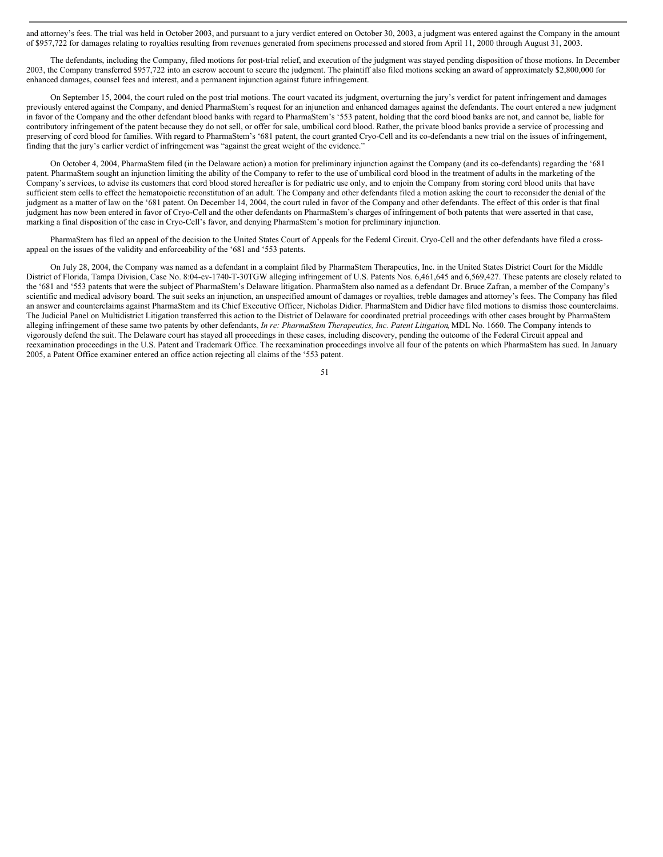and attorney's fees. The trial was held in October 2003, and pursuant to a jury verdict entered on October 30, 2003, a judgment was entered against the Company in the amount of \$957,722 for damages relating to royalties resulting from revenues generated from specimens processed and stored from April 11, 2000 through August 31, 2003.

The defendants, including the Company, filed motions for post-trial relief, and execution of the judgment was stayed pending disposition of those motions. In December 2003, the Company transferred \$957,722 into an escrow account to secure the judgment. The plaintiff also filed motions seeking an award of approximately \$2,800,000 for enhanced damages, counsel fees and interest, and a permanent injunction against future infringement.

On September 15, 2004, the court ruled on the post trial motions. The court vacated its judgment, overturning the jury's verdict for patent infringement and damages previously entered against the Company, and denied PharmaStem's request for an injunction and enhanced damages against the defendants. The court entered a new judgment in favor of the Company and the other defendant blood banks with regard to PharmaStem's '553 patent, holding that the cord blood banks are not, and cannot be, liable for contributory infringement of the patent because they do not sell, or offer for sale, umbilical cord blood. Rather, the private blood banks provide a service of processing and preserving of cord blood for families. With regard to PharmaStem's '681 patent, the court granted Cryo-Cell and its co-defendants a new trial on the issues of infringement, finding that the jury's earlier verdict of infringement was "against the great weight of the evidence."

On October 4, 2004, PharmaStem filed (in the Delaware action) a motion for preliminary injunction against the Company (and its co-defendants) regarding the '681 patent. PharmaStem sought an injunction limiting the ability of the Company to refer to the use of umbilical cord blood in the treatment of adults in the marketing of the Company's services, to advise its customers that cord blood stored hereafter is for pediatric use only, and to enjoin the Company from storing cord blood units that have sufficient stem cells to effect the hematopoietic reconstitution of an adult. The Company and other defendants filed a motion asking the court to reconsider the denial of the judgment as a matter of law on the '681 patent. On December 14, 2004, the court ruled in favor of the Company and other defendants. The effect of this order is that final judgment has now been entered in favor of Cryo-Cell and the other defendants on PharmaStem's charges of infringement of both patents that were asserted in that case, marking a final disposition of the case in Cryo-Cell's favor, and denying PharmaStem's motion for preliminary injunction.

PharmaStem has filed an appeal of the decision to the United States Court of Appeals for the Federal Circuit. Cryo-Cell and the other defendants have filed a crossappeal on the issues of the validity and enforceability of the '681 and '553 patents.

On July 28, 2004, the Company was named as a defendant in a complaint filed by PharmaStem Therapeutics, Inc. in the United States District Court for the Middle District of Florida, Tampa Division, Case No. 8:04-cv-1740-T-30TGW alleging infringement of U.S. Patents Nos. 6,461,645 and 6,569,427. These patents are closely related to the '681 and '553 patents that were the subject of PharmaStem's Delaware litigation. PharmaStem also named as a defendant Dr. Bruce Zafran, a member of the Company's scientific and medical advisory board. The suit seeks an injunction, an unspecified amount of damages or royalties, treble damages and attorney's fees. The Company has filed an answer and counterclaims against PharmaStem and its Chief Executive Officer, Nicholas Didier. PharmaStem and Didier have filed motions to dismiss those counterclaims. The Judicial Panel on Multidistrict Litigation transferred this action to the District of Delaware for coordinated pretrial proceedings with other cases brought by PharmaStem alleging infringement of these same two patents by other defendants, *In re: PharmaStem Therapeutics, Inc. Patent Litigation*, MDL No. 1660. The Company intends to vigorously defend the suit. The Delaware court has stayed all proceedings in these cases, including discovery, pending the outcome of the Federal Circuit appeal and reexamination proceedings in the U.S. Patent and Trademark Office. The reexamination proceedings involve all four of the patents on which PharmaStem has sued. In January 2005, a Patent Office examiner entered an office action rejecting all claims of the '553 patent.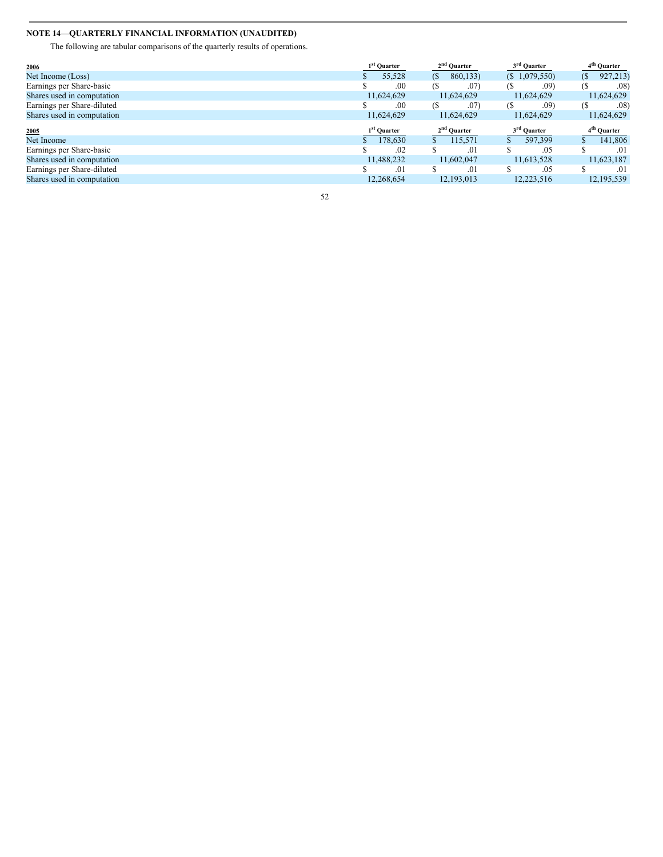## **NOTE 14—QUARTERLY FINANCIAL INFORMATION (UNAUDITED)**

The following are tabular comparisons of the quarterly results of operations.

| 2006                       | 1 <sup>st</sup> Quarter | 2 <sup>nd</sup> Quarter    | 3 <sup>rd</sup> Quarter | 4 <sup>th</sup> Quarter |
|----------------------------|-------------------------|----------------------------|-------------------------|-------------------------|
| Net Income (Loss)          | 55.528                  | 860,133)<br>(S             | $(S\ 1,079,550)$        | 927,213)<br>(S          |
| Earnings per Share-basic   | .00                     | <b>(S</b><br>$.07^{\circ}$ | .09)<br>(\$             | $.08^\circ$<br>68       |
| Shares used in computation | 11,624,629              | 11,624,629                 | 11,624,629              | 11,624,629              |
| Earnings per Share-diluted | .00                     | .07<br>(S                  | .09)<br>(S              | .08<br>(S               |
| Shares used in computation | 11,624,629              | 11,624,629                 | 11,624,629              | 11,624,629              |
|                            |                         |                            |                         |                         |
|                            | 1 <sup>st</sup> Quarter | 2 <sup>nd</sup> Quarter    | 3 <sup>rd</sup> Quarter | 4 <sup>th</sup> Quarter |
| 2005<br>Net Income         | 178,630                 | 115.571                    | 597.399                 | 141,806                 |
| Earnings per Share-basic   | .02                     | S<br>.01                   | .05                     | .01                     |
| Shares used in computation | 11,488,232              | 11,602,047                 | 11,613,528              | 11,623,187              |
| Earnings per Share-diluted | .01                     | .01                        | .05                     | .01                     |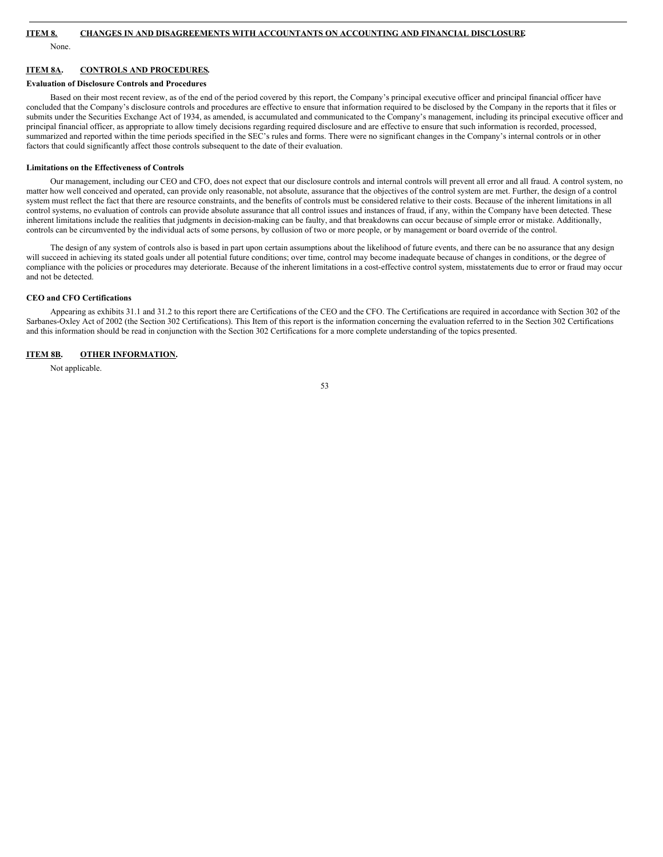None.

## **ITEM 8A. CONTROLS AND PROCEDURES.**

#### **Evaluation of Disclosure Controls and Procedures**

Based on their most recent review, as of the end of the period covered by this report, the Company's principal executive officer and principal financial officer have concluded that the Company's disclosure controls and procedures are effective to ensure that information required to be disclosed by the Company in the reports that it files or submits under the Securities Exchange Act of 1934, as amended, is accumulated and communicated to the Company's management, including its principal executive officer and principal financial officer, as appropriate to allow timely decisions regarding required disclosure and are effective to ensure that such information is recorded, processed, summarized and reported within the time periods specified in the SEC's rules and forms. There were no significant changes in the Company's internal controls or in other factors that could significantly affect those controls subsequent to the date of their evaluation.

#### **Limitations on the Effectiveness of Controls**

Our management, including our CEO and CFO, does not expect that our disclosure controls and internal controls will prevent all error and all fraud. A control system, no matter how well conceived and operated, can provide only reasonable, not absolute, assurance that the objectives of the control system are met. Further, the design of a control system must reflect the fact that there are resource constraints, and the benefits of controls must be considered relative to their costs. Because of the inherent limitations in all control systems, no evaluation of controls can provide absolute assurance that all control issues and instances of fraud, if any, within the Company have been detected. These inherent limitations include the realities that judgments in decision-making can be faulty, and that breakdowns can occur because of simple error or mistake. Additionally, controls can be circumvented by the individual acts of some persons, by collusion of two or more people, or by management or board override of the control.

The design of any system of controls also is based in part upon certain assumptions about the likelihood of future events, and there can be no assurance that any design will succeed in achieving its stated goals under all potential future conditions; over time, control may become inadequate because of changes in conditions, or the degree of compliance with the policies or procedures may deteriorate. Because of the inherent limitations in a cost-effective control system, misstatements due to error or fraud may occur and not be detected.

#### **CEO and CFO Certifications**

Appearing as exhibits 31.1 and 31.2 to this report there are Certifications of the CEO and the CFO. The Certifications are required in accordance with Section 302 of the Sarbanes-Oxley Act of 2002 (the Section 302 Certifications). This Item of this report is the information concerning the evaluation referred to in the Section 302 Certifications and this information should be read in conjunction with the Section 302 Certifications for a more complete understanding of the topics presented.

## **ITEM 8B. OTHER INFORMATION.**

Not applicable.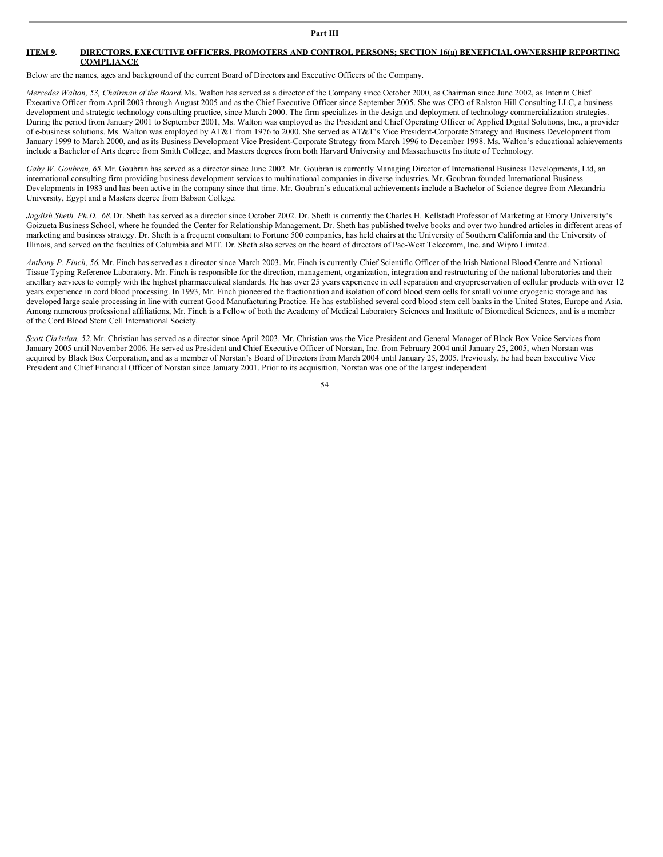## **ITEM 9. DIRECTORS, EXECUTIVE OFFICERS, PROMOTERS AND CONTROL PERSONS; SECTION 16(a) BENEFICIAL OWNERSHIP REPORTING COMPLIANCE**

Below are the names, ages and background of the current Board of Directors and Executive Officers of the Company.

*Mercedes Walton, 53, Chairman of the Board.*Ms. Walton has served as a director of the Company since October 2000, as Chairman since June 2002, as Interim Chief Executive Officer from April 2003 through August 2005 and as the Chief Executive Officer since September 2005. She was CEO of Ralston Hill Consulting LLC, a business development and strategic technology consulting practice, since March 2000. The firm specializes in the design and deployment of technology commercialization strategies. During the period from January 2001 to September 2001, Ms. Walton was employed as the President and Chief Operating Officer of Applied Digital Solutions, Inc., a provider of e-business solutions. Ms. Walton was employed by AT&T from 1976 to 2000. She served as AT&T's Vice President-Corporate Strategy and Business Development from January 1999 to March 2000, and as its Business Development Vice President-Corporate Strategy from March 1996 to December 1998. Ms. Walton's educational achievements include a Bachelor of Arts degree from Smith College, and Masters degrees from both Harvard University and Massachusetts Institute of Technology.

*Gaby W. Goubran, 65.*Mr. Goubran has served as a director since June 2002. Mr. Goubran is currently Managing Director of International Business Developments, Ltd, an international consulting firm providing business development services to multinational companies in diverse industries. Mr. Goubran founded International Business Developments in 1983 and has been active in the company since that time. Mr. Goubran's educational achievements include a Bachelor of Science degree from Alexandria University, Egypt and a Masters degree from Babson College.

*Jagdish Sheth, Ph.D., 68.* Dr. Sheth has served as a director since October 2002. Dr. Sheth is currently the Charles H. Kellstadt Professor of Marketing at Emory University's Goizueta Business School, where he founded the Center for Relationship Management. Dr. Sheth has published twelve books and over two hundred articles in different areas of marketing and business strategy. Dr. Sheth is a frequent consultant to Fortune 500 companies, has held chairs at the University of Southern California and the University of Illinois, and served on the faculties of Columbia and MIT. Dr. Sheth also serves on the board of directors of Pac-West Telecomm, Inc. and Wipro Limited.

*Anthony P. Finch, 56*. Mr. Finch has served as a director since March 2003. Mr. Finch is currently Chief Scientific Officer of the Irish National Blood Centre and National Tissue Typing Reference Laboratory. Mr. Finch is responsible for the direction, management, organization, integration and restructuring of the national laboratories and their ancillary services to comply with the highest pharmaceutical standards. He has over 25 years experience in cell separation and cryopreservation of cellular products with over 12 years experience in cord blood processing. In 1993, Mr. Finch pioneered the fractionation and isolation of cord blood stem cells for small volume cryogenic storage and has developed large scale processing in line with current Good Manufacturing Practice. He has established several cord blood stem cell banks in the United States, Europe and Asia. Among numerous professional affiliations, Mr. Finch is a Fellow of both the Academy of Medical Laboratory Sciences and Institute of Biomedical Sciences, and is a member of the Cord Blood Stem Cell International Society.

*Scott Christian, 52.* Mr. Christian has served as a director since April 2003. Mr. Christian was the Vice President and General Manager of Black Box Voice Services from January 2005 until November 2006. He served as President and Chief Executive Officer of Norstan, Inc. from February 2004 until January 25, 2005, when Norstan was acquired by Black Box Corporation, and as a member of Norstan's Board of Directors from March 2004 until January 25, 2005. Previously, he had been Executive Vice President and Chief Financial Officer of Norstan since January 2001. Prior to its acquisition, Norstan was one of the largest independent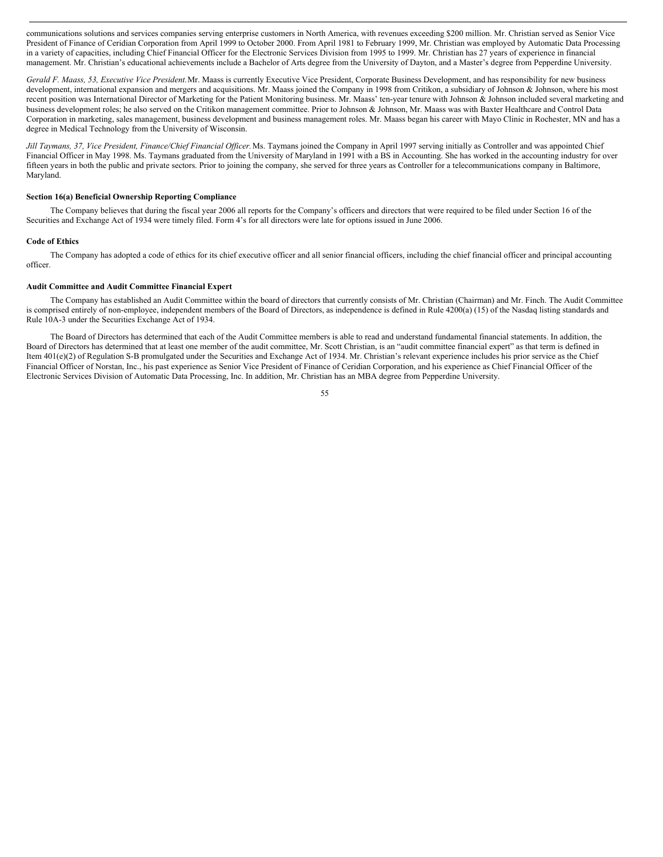communications solutions and services companies serving enterprise customers in North America, with revenues exceeding \$200 million. Mr. Christian served as Senior Vice President of Finance of Ceridian Corporation from April 1999 to October 2000. From April 1981 to February 1999, Mr. Christian was employed by Automatic Data Processing in a variety of capacities, including Chief Financial Officer for the Electronic Services Division from 1995 to 1999. Mr. Christian has 27 years of experience in financial management. Mr. Christian's educational achievements include a Bachelor of Arts degree from the University of Dayton, and a Master's degree from Pepperdine University.

*Gerald F. Maass, 53, Executive Vice President.*Mr. Maass is currently Executive Vice President, Corporate Business Development, and has responsibility for new business development, international expansion and mergers and acquisitions. Mr. Maass joined the Company in 1998 from Critikon, a subsidiary of Johnson & Johnson, where his most recent position was International Director of Marketing for the Patient Monitoring business. Mr. Maass' ten-year tenure with Johnson & Johnson included several marketing and business development roles; he also served on the Critikon management committee. Prior to Johnson & Johnson, Mr. Maass was with Baxter Healthcare and Control Data Corporation in marketing, sales management, business development and business management roles. Mr. Maass began his career with Mayo Clinic in Rochester, MN and has a degree in Medical Technology from the University of Wisconsin.

Jill Taymans, 37, Vice President, Finance/Chief Financial Officer. Ms. Taymans joined the Company in April 1997 serving initially as Controller and was appointed Chief Financial Officer in May 1998. Ms. Taymans graduated from the University of Maryland in 1991 with a BS in Accounting. She has worked in the accounting industry for over fifteen years in both the public and private sectors. Prior to joining the company, she served for three years as Controller for a telecommunications company in Baltimore, Maryland.

## **Section 16(a) Beneficial Ownership Reporting Compliance**

The Company believes that during the fiscal year 2006 all reports for the Company's officers and directors that were required to be filed under Section 16 of the Securities and Exchange Act of 1934 were timely filed. Form 4's for all directors were late for options issued in June 2006.

#### **Code of Ethics**

The Company has adopted a code of ethics for its chief executive officer and all senior financial officers, including the chief financial officer and principal accounting officer.

#### **Audit Committee and Audit Committee Financial Expert**

The Company has established an Audit Committee within the board of directors that currently consists of Mr. Christian (Chairman) and Mr. Finch. The Audit Committee is comprised entirely of non-employee, independent members of the Board of Directors, as independence is defined in Rule 4200(a) (15) of the Nasdaq listing standards and Rule 10A-3 under the Securities Exchange Act of 1934.

The Board of Directors has determined that each of the Audit Committee members is able to read and understand fundamental financial statements. In addition, the Board of Directors has determined that at least one member of the audit committee, Mr. Scott Christian, is an "audit committee financial expert" as that term is defined in Item 401(e)(2) of Regulation S-B promulgated under the Securities and Exchange Act of 1934. Mr. Christian's relevant experience includes his prior service as the Chief Financial Officer of Norstan, Inc., his past experience as Senior Vice President of Finance of Ceridian Corporation, and his experience as Chief Financial Officer of the Electronic Services Division of Automatic Data Processing, Inc. In addition, Mr. Christian has an MBA degree from Pepperdine University.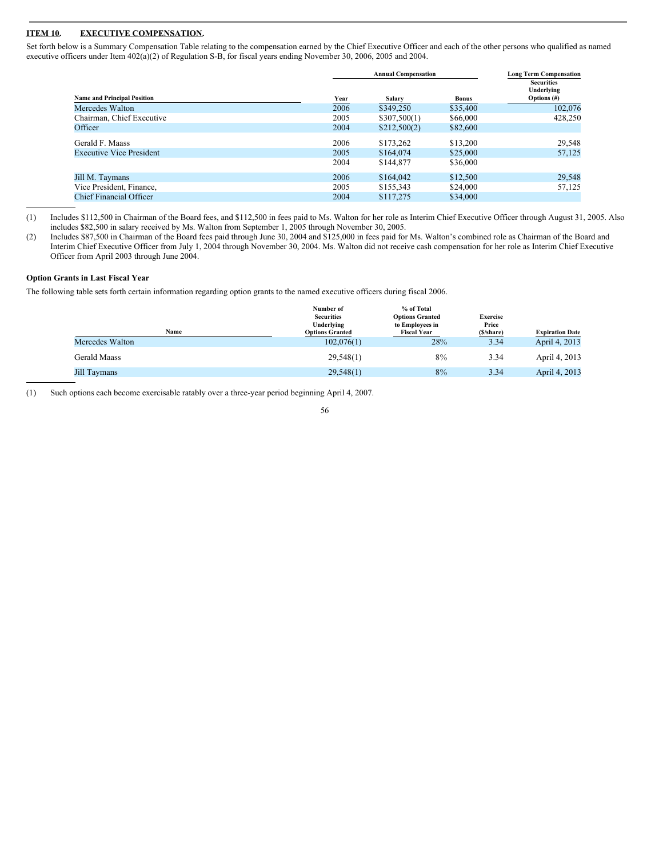## **ITEM 10. EXECUTIVE COMPENSATION.**

Set forth below is a Summary Compensation Table relating to the compensation earned by the Chief Executive Officer and each of the other persons who qualified as named executive officers under Item 402(a)(2) of Regulation S-B, for fiscal years ending November 30, 2006, 2005 and 2004.

|                                    |             | <b>Annual Compensation</b> | <b>Long Term Compensation</b> |                                                   |
|------------------------------------|-------------|----------------------------|-------------------------------|---------------------------------------------------|
| <b>Name and Principal Position</b> | <b>Year</b> | Salary                     | <b>Bonus</b>                  | <b>Securities</b><br>Underlying<br>Options $(\#)$ |
| Mercedes Walton                    | 2006        | \$349,250                  | \$35,400                      | 102,076                                           |
| Chairman, Chief Executive          | 2005        | \$307,500(1)               | \$66,000                      | 428,250                                           |
| Officer                            | 2004        | \$212,500(2)               | \$82,600                      |                                                   |
| Gerald F. Maass                    | 2006        | \$173,262                  | \$13,200                      | 29,548                                            |
| <b>Executive Vice President</b>    | 2005        | \$164,074                  | \$25,000                      | 57,125                                            |
|                                    | 2004        | \$144,877                  | \$36,000                      |                                                   |
| Jill M. Taymans                    | 2006        | \$164,042                  | \$12,500                      | 29,548                                            |
| Vice President, Finance,           | 2005        | \$155,343                  | \$24,000                      | 57,125                                            |
| <b>Chief Financial Officer</b>     | 2004        | \$117.275                  | \$34,000                      |                                                   |

(1) Includes \$112,500 in Chairman of the Board fees, and \$112,500 in fees paid to Ms. Walton for her role as Interim Chief Executive Officer through August 31, 2005. Also includes \$82,500 in salary received by Ms. Walton from September 1, 2005 through November 30, 2005.

(2) Includes \$87,500 in Chairman of the Board fees paid through June 30, 2004 and \$125,000 in fees paid for Ms. Walton's combined role as Chairman of the Board and Interim Chief Executive Officer from July 1, 2004 through November 30, 2004. Ms. Walton did not receive cash compensation for her role as Interim Chief Executive Officer from April 2003 through June 2004.

## **Option Grants in Last Fiscal Year**

The following table sets forth certain information regarding option grants to the named executive officers during fiscal 2006.

| Name            | Number of<br><b>Securities</b><br>Underlying<br><b>Options Granted</b> | % of Total<br><b>Options Granted</b><br>to Employees in<br><b>Fiscal Year</b> | <b>Exercise</b><br>Price<br>(\$/share) | <b>Expiration Date</b> |
|-----------------|------------------------------------------------------------------------|-------------------------------------------------------------------------------|----------------------------------------|------------------------|
| Mercedes Walton | 102,076(1)                                                             | 28%                                                                           | 3.34                                   | April 4, 2013          |
| Gerald Maass    | 29,548(1)                                                              | 8%                                                                            | 3.34                                   | April 4, 2013          |
| Jill Taymans    | 29,548(1)                                                              | 8%                                                                            | 3.34                                   | April 4, 2013          |

(1) Such options each become exercisable ratably over a three-year period beginning April 4, 2007.

<sup>56</sup>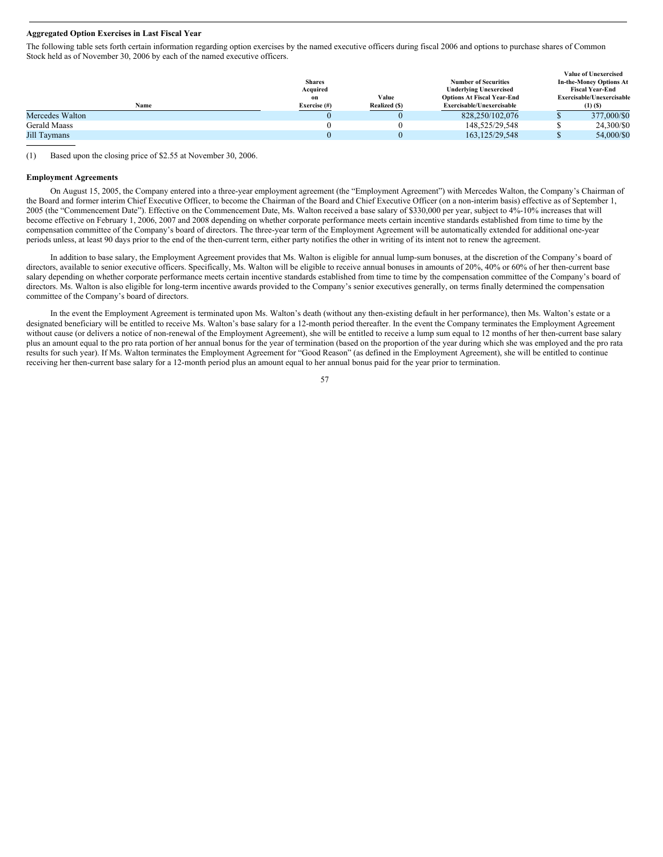#### **Aggregated Option Exercises in Last Fiscal Year**

The following table sets forth certain information regarding option exercises by the named executive officers during fiscal 2006 and options to purchase shares of Common Stock held as of November 30, 2006 by each of the named executive officers.

|               |               |                                   |                               | <b>Value of Unexercised</b>    |
|---------------|---------------|-----------------------------------|-------------------------------|--------------------------------|
| <b>Shares</b> |               | <b>Number of Securities</b>       |                               | <b>In-the-Money Options At</b> |
| Acquired      |               |                                   |                               | <b>Fiscal Year-End</b>         |
| on            | Value         | <b>Options At Fiscal Year-End</b> |                               | Exercisable/Unexercisable      |
| Exercise (#)  | Realized (\$) | Exercisable/Unexercisable         |                               | $(1)$ $(S)$                    |
|               |               | 828,250/102,076                   |                               | 377,000/\$0                    |
|               |               | 148.525/29.548                    |                               | 24,300/\$0                     |
|               |               | 163.125/29.548                    |                               | 54,000/\$0                     |
|               |               |                                   | <b>Underlying Unexercised</b> |                                |

(1) Based upon the closing price of \$2.55 at November 30, 2006.

## **Employment Agreements**

On August 15, 2005, the Company entered into a three-year employment agreement (the "Employment Agreement") with Mercedes Walton, the Company's Chairman of the Board and former interim Chief Executive Officer, to become the Chairman of the Board and Chief Executive Officer (on a non-interim basis) effective as of September 1, 2005 (the "Commencement Date"). Effective on the Commencement Date, Ms. Walton received a base salary of \$330,000 per year, subject to 4%-10% increases that will become effective on February 1, 2006, 2007 and 2008 depending on whether corporate performance meets certain incentive standards established from time to time by the compensation committee of the Company's board of directors. The three-year term of the Employment Agreement will be automatically extended for additional one-year periods unless, at least 90 days prior to the end of the then-current term, either party notifies the other in writing of its intent not to renew the agreement.

In addition to base salary, the Employment Agreement provides that Ms. Walton is eligible for annual lump-sum bonuses, at the discretion of the Company's board of directors, available to senior executive officers. Specifically, Ms. Walton will be eligible to receive annual bonuses in amounts of 20%, 40% or 60% of her then-current base salary depending on whether corporate performance meets certain incentive standards established from time to time by the compensation committee of the Company's board of directors. Ms. Walton is also eligible for long-term incentive awards provided to the Company's senior executives generally, on terms finally determined the compensation committee of the Company's board of directors.

In the event the Employment Agreement is terminated upon Ms. Walton's death (without any then-existing default in her performance), then Ms. Walton's estate or a designated beneficiary will be entitled to receive Ms. Walton's base salary for a 12-month period thereafter. In the event the Company terminates the Employment Agreement without cause (or delivers a notice of non-renewal of the Employment Agreement), she will be entitled to receive a lump sum equal to 12 months of her then-current base salary plus an amount equal to the pro rata portion of her annual bonus for the year of termination (based on the proportion of the year during which she was employed and the pro rata results for such year). If Ms. Walton terminates the Employment Agreement for "Good Reason" (as defined in the Employment Agreement), she will be entitled to continue receiving her then-current base salary for a 12-month period plus an amount equal to her annual bonus paid for the year prior to termination.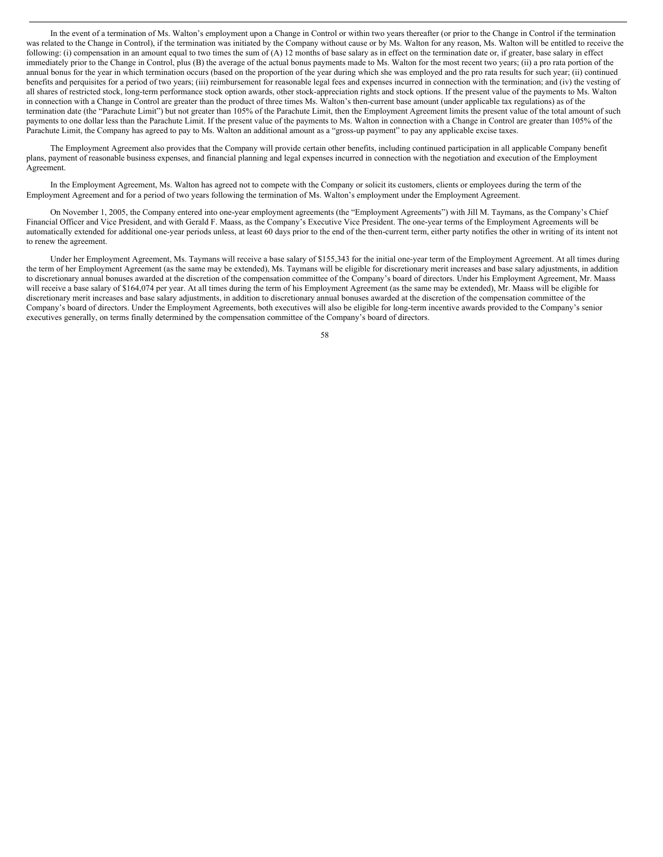In the event of a termination of Ms. Walton's employment upon a Change in Control or within two years thereafter (or prior to the Change in Control if the termination was related to the Change in Control), if the termination was initiated by the Company without cause or by Ms. Walton for any reason, Ms. Walton will be entitled to receive the following: (i) compensation in an amount equal to two times the sum of  $(A)$  12 months of base salary as in effect on the termination date or, if greater, base salary in effect immediately prior to the Change in Control, plus (B) the average of the actual bonus payments made to Ms. Walton for the most recent two years; (ii) a pro rata portion of the annual bonus for the year in which termination occurs (based on the proportion of the year during which she was employed and the pro rata results for such year; (ii) continued benefits and perquisites for a period of two years; (iii) reimbursement for reasonable legal fees and expenses incurred in connection with the termination; and (iv) the vesting of all shares of restricted stock, long-term performance stock option awards, other stock-appreciation rights and stock options. If the present value of the payments to Ms. Walton in connection with a Change in Control are greater than the product of three times Ms. Walton's then-current base amount (under applicable tax regulations) as of the termination date (the "Parachute Limit") but not greater than 105% of the Parachute Limit, then the Employment Agreement limits the present value of the total amount of such payments to one dollar less than the Parachute Limit. If the present value of the payments to Ms. Walton in connection with a Change in Control are greater than 105% of the Parachute Limit, the Company has agreed to pay to Ms. Walton an additional amount as a "gross-up payment" to pay any applicable excise taxes.

The Employment Agreement also provides that the Company will provide certain other benefits, including continued participation in all applicable Company benefit plans, payment of reasonable business expenses, and financial planning and legal expenses incurred in connection with the negotiation and execution of the Employment Agreement.

In the Employment Agreement, Ms. Walton has agreed not to compete with the Company or solicit its customers, clients or employees during the term of the Employment Agreement and for a period of two years following the termination of Ms. Walton's employment under the Employment Agreement.

On November 1, 2005, the Company entered into one-year employment agreements (the "Employment Agreements") with Jill M. Taymans, as the Company's Chief Financial Officer and Vice President, and with Gerald F. Maass, as the Company's Executive Vice President. The one-year terms of the Employment Agreements will be automatically extended for additional one-year periods unless, at least 60 days prior to the end of the then-current term, either party notifies the other in writing of its intent not to renew the agreement.

Under her Employment Agreement, Ms. Taymans will receive a base salary of \$155,343 for the initial one-year term of the Employment Agreement. At all times during the term of her Employment Agreement (as the same may be extended), Ms. Taymans will be eligible for discretionary merit increases and base salary adjustments, in addition to discretionary annual bonuses awarded at the discretion of the compensation committee of the Company's board of directors. Under his Employment Agreement, Mr. Maass will receive a base salary of \$164,074 per year. At all times during the term of his Employment Agreement (as the same may be extended), Mr. Maass will be eligible for discretionary merit increases and base salary adjustments, in addition to discretionary annual bonuses awarded at the discretion of the compensation committee of the Company's board of directors. Under the Employment Agreements, both executives will also be eligible for long-term incentive awards provided to the Company's senior executives generally, on terms finally determined by the compensation committee of the Company's board of directors.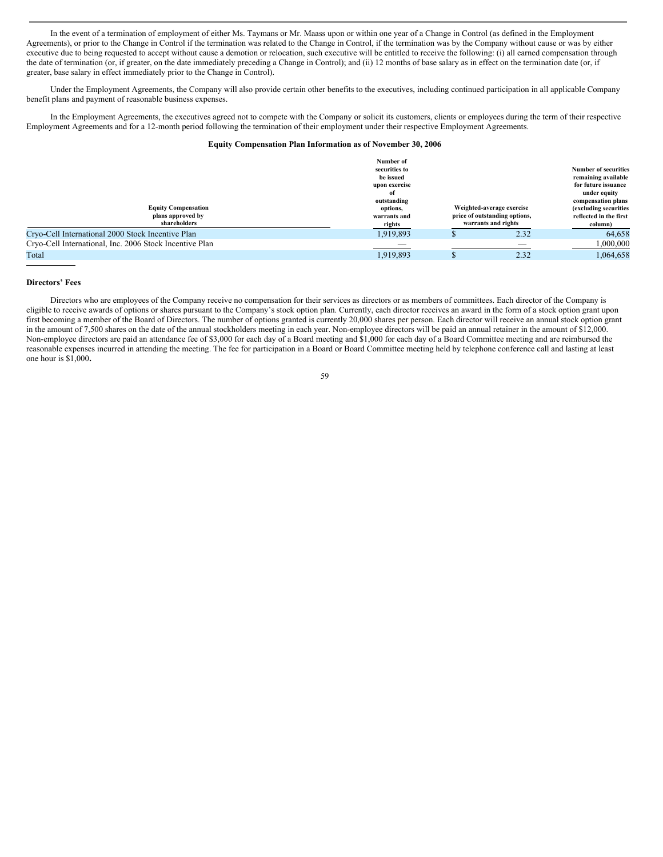In the event of a termination of employment of either Ms. Taymans or Mr. Maass upon or within one year of a Change in Control (as defined in the Employment Agreements), or prior to the Change in Control if the termination was related to the Change in Control, if the termination was by the Company without cause or was by either executive due to being requested to accept without cause a demotion or relocation, such executive will be entitled to receive the following: (i) all earned compensation through the date of termination (or, if greater, on the date immediately preceding a Change in Control); and (ii) 12 months of base salary as in effect on the termination date (or, if greater, base salary in effect immediately prior to the Change in Control).

Under the Employment Agreements, the Company will also provide certain other benefits to the executives, including continued participation in all applicable Company benefit plans and payment of reasonable business expenses.

In the Employment Agreements, the executives agreed not to compete with the Company or solicit its customers, clients or employees during the term of their respective Employment Agreements and for a 12-month period following the termination of their employment under their respective Employment Agreements.

## **Equity Compensation Plan Information as of November 30, 2006**

| <b>Equity Compensation</b><br>plans approved by<br>shareholders | Number of<br>securities to<br>be issued<br>upon exercise<br>of<br>outstanding<br>options,<br>warrants and<br>rights | Weighted-average exercise<br>price of outstanding options,<br>warrants and rights | <b>Number of securities</b><br>remaining available<br>for future issuance<br>under equity<br>compensation plans<br>(excluding securities<br>reflected in the first<br>column) |
|-----------------------------------------------------------------|---------------------------------------------------------------------------------------------------------------------|-----------------------------------------------------------------------------------|-------------------------------------------------------------------------------------------------------------------------------------------------------------------------------|
| Cryo-Cell International 2000 Stock Incentive Plan               | 1,919,893                                                                                                           | 2.32                                                                              | 64.658                                                                                                                                                                        |
| Cryo-Cell International, Inc. 2006 Stock Incentive Plan         | --                                                                                                                  |                                                                                   | 000,000.1                                                                                                                                                                     |
| Total                                                           | 1,919,893                                                                                                           | 2.32                                                                              | 1.064.658                                                                                                                                                                     |

## **Directors' Fees**

Directors who are employees of the Company receive no compensation for their services as directors or as members of committees. Each director of the Company is eligible to receive awards of options or shares pursuant to the Company's stock option plan. Currently, each director receives an award in the form of a stock option grant upon first becoming a member of the Board of Directors. The number of options granted is currently 20,000 shares per person. Each director will receive an annual stock option grant in the amount of 7,500 shares on the date of the annual stockholders meeting in each year. Non-employee directors will be paid an annual retainer in the amount of \$12,000. Non-employee directors are paid an attendance fee of \$3,000 for each day of a Board meeting and \$1,000 for each day of a Board Committee meeting and are reimbursed the reasonable expenses incurred in attending the meeting. The fee for participation in a Board or Board Committee meeting held by telephone conference call and lasting at least one hour is \$1,000**.**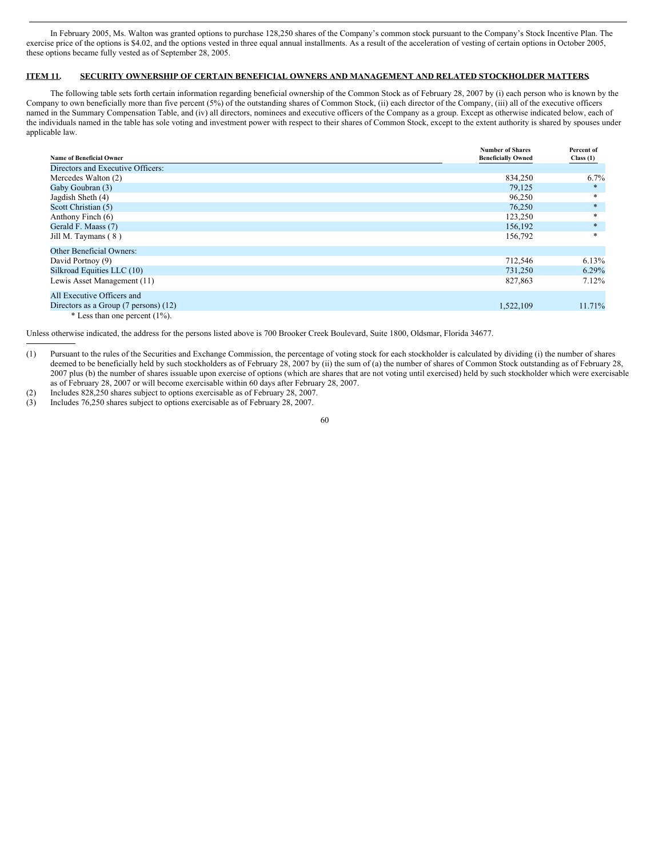In February 2005, Ms. Walton was granted options to purchase 128,250 shares of the Company's common stock pursuant to the Company's Stock Incentive Plan. The exercise price of the options is \$4.02, and the options vested in three equal annual installments. As a result of the acceleration of vesting of certain options in October 2005, these options became fully vested as of September 28, 2005.

## **ITEM 11. SECURITY OWNERSHIP OF CERTAIN BENEFICIAL OWNERS AND MANAGEMENT AND RELATED STOCKHOLDER MATTERS.**

The following table sets forth certain information regarding beneficial ownership of the Common Stock as of February 28, 2007 by (i) each person who is known by the Company to own beneficially more than five percent (5%) of the outstanding shares of Common Stock, (ii) each director of the Company, (iii) all of the executive officers named in the Summary Compensation Table, and (iv) all directors, nominees and executive officers of the Company as a group. Except as otherwise indicated below, each of the individuals named in the table has sole voting and investment power with respect to their shares of Common Stock, except to the extent authority is shared by spouses under applicable law.

| <b>Name of Beneficial Owner</b>                   | <b>Number of Shares</b><br><b>Beneficially Owned</b> | Percent of<br>Class(1) |
|---------------------------------------------------|------------------------------------------------------|------------------------|
| Directors and Executive Officers:                 |                                                      |                        |
| Mercedes Walton (2)                               | 834,250                                              | 6.7%                   |
| Gaby Goubran (3)                                  | 79,125                                               | $\ast$                 |
| Jagdish Sheth (4)                                 | 96,250                                               | $\ast$                 |
| Scott Christian (5)                               | 76,250                                               | $\ast$                 |
| Anthony Finch (6)                                 | 123,250                                              | *                      |
| Gerald F. Maass (7)                               | 156,192                                              | $\ast$                 |
| Jill M. Taymans (8)                               | 156,792                                              | $*$                    |
| <b>Other Beneficial Owners:</b>                   |                                                      |                        |
| David Portnoy (9)                                 | 712,546                                              | $6.13\%$               |
| Silkroad Equities LLC (10)                        | 731,250                                              | $6.29\%$               |
| Lewis Asset Management (11)                       | 827,863                                              | $7.12\%$               |
| All Executive Officers and                        |                                                      |                        |
| Directors as a Group $(7 \text{ persons})$ $(12)$ | 1,522,109                                            | 11.71%                 |
| $*$ Less than one percent (1%).                   |                                                      |                        |

Unless otherwise indicated, the address for the persons listed above is 700 Brooker Creek Boulevard, Suite 1800, Oldsmar, Florida 34677.

(2) Includes 828,250 shares subject to options exercisable as of February 28, 2007.

<sup>(1)</sup> Pursuant to the rules of the Securities and Exchange Commission, the percentage of voting stock for each stockholder is calculated by dividing (i) the number of shares deemed to be beneficially held by such stockholders as of February 28, 2007 by (ii) the sum of (a) the number of shares of Common Stock outstanding as of February 28, 2007 plus (b) the number of shares issuable upon exercise of options (which are shares that are not voting until exercised) held by such stockholder which were exercisable as of February 28, 2007 or will become exercisable within 60 days after February 28, 2007.

<sup>(3)</sup> Includes 76,250 shares subject to options exercisable as of February 28, 2007.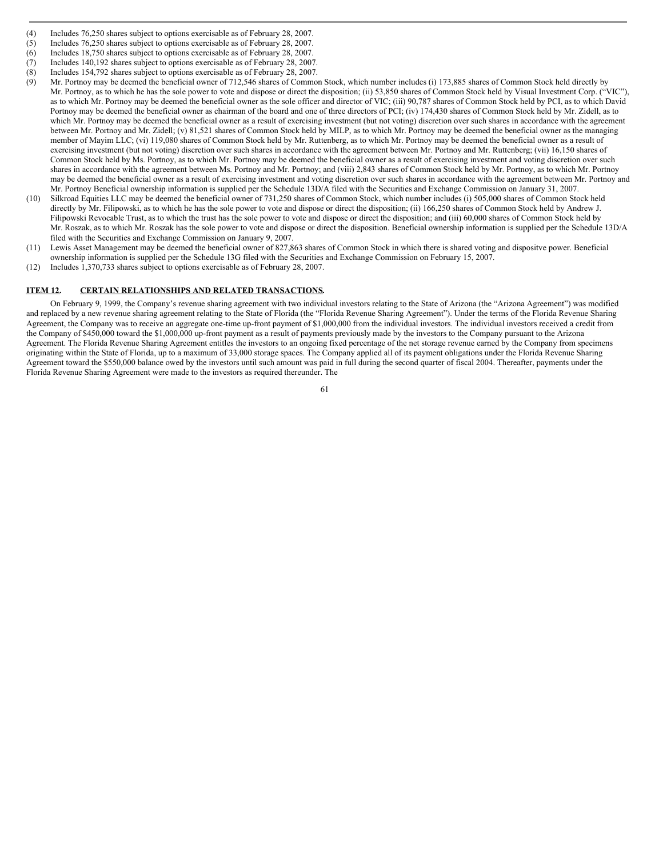- (4) Includes 76,250 shares subject to options exercisable as of February 28, 2007.
- (5) Includes 76,250 shares subject to options exercisable as of February 28, 2007.
- (6) Includes 18,750 shares subject to options exercisable as of February 28, 2007.
- (7) Includes 140,192 shares subject to options exercisable as of February 28, 2007.
- (8) Includes 154,792 shares subject to options exercisable as of February 28, 2007.
- (9) Mr. Portnoy may be deemed the beneficial owner of 712,546 shares of Common Stock, which number includes (i) 173,885 shares of Common Stock held directly by Mr. Portnoy, as to which he has the sole power to vote and dispose or direct the disposition; (ii) 53,850 shares of Common Stock held by Visual Investment Corp. ("VIC"), as to which Mr. Portnoy may be deemed the beneficial owner as the sole officer and director of VIC; (iii) 90,787 shares of Common Stock held by PCI, as to which David Portnoy may be deemed the beneficial owner as chairman of the board and one of three directors of PCI; (iv) 174,430 shares of Common Stock held by Mr. Zidell, as to which Mr. Portnoy may be deemed the beneficial owner as a result of exercising investment (but not voting) discretion over such shares in accordance with the agreement between Mr. Portnoy and Mr. Zidell; (v) 81,521 shares of Common Stock held by MILP, as to which Mr. Portnoy may be deemed the beneficial owner as the managing member of Mayim LLC; (vi) 119,080 shares of Common Stock held by Mr. Ruttenberg, as to which Mr. Portnoy may be deemed the beneficial owner as a result of exercising investment (but not voting) discretion over such shares in accordance with the agreement between Mr. Portnoy and Mr. Ruttenberg; (vii) 16,150 shares of Common Stock held by Ms. Portnoy, as to which Mr. Portnoy may be deemed the beneficial owner as a result of exercising investment and voting discretion over such shares in accordance with the agreement between Ms. Portnoy and Mr. Portnoy; and (viii) 2,843 shares of Common Stock held by Mr. Portnoy, as to which Mr. Portnov may be deemed the beneficial owner as a result of exercising investment and voting discretion over such shares in accordance with the agreement between Mr. Portnoy and Mr. Portnoy Beneficial ownership information is supplied per the Schedule 13D/A filed with the Securities and Exchange Commission on January 31, 2007.
- (10) Silkroad Equities LLC may be deemed the beneficial owner of 731,250 shares of Common Stock, which number includes (i) 505,000 shares of Common Stock held directly by Mr. Filipowski, as to which he has the sole power to vote and dispose or direct the disposition; (ii) 166,250 shares of Common Stock held by Andrew J. Filipowski Revocable Trust, as to which the trust has the sole power to vote and dispose or direct the disposition; and (iii) 60,000 shares of Common Stock held by Mr. Roszak, as to which Mr. Roszak has the sole power to vote and dispose or direct the disposition. Beneficial ownership information is supplied per the Schedule 13D/A filed with the Securities and Exchange Commission on January 9, 2007.
- (11) Lewis Asset Management may be deemed the beneficial owner of 827,863 shares of Common Stock in which there is shared voting and dispositve power. Beneficial ownership information is supplied per the Schedule 13G filed with the Securities and Exchange Commission on February 15, 2007.
- (12) Includes 1,370,733 shares subject to options exercisable as of February 28, 2007.

#### **ITEM 12. CERTAIN RELATIONSHIPS AND RELATED TRANSACTIONS.**

On February 9, 1999, the Company's revenue sharing agreement with two individual investors relating to the State of Arizona (the "Arizona Agreement") was modified and replaced by a new revenue sharing agreement relating to the State of Florida (the "Florida Revenue Sharing Agreement"). Under the terms of the Florida Revenue Sharing Agreement, the Company was to receive an aggregate one-time up-front payment of \$1,000,000 from the individual investors. The individual investors received a credit from the Company of \$450,000 toward the \$1,000,000 up-front payment as a result of payments previously made by the investors to the Company pursuant to the Arizona Agreement. The Florida Revenue Sharing Agreement entitles the investors to an ongoing fixed percentage of the net storage revenue earned by the Company from specimens originating within the State of Florida, up to a maximum of 33,000 storage spaces. The Company applied all of its payment obligations under the Florida Revenue Sharing Agreement toward the \$550,000 balance owed by the investors until such amount was paid in full during the second quarter of fiscal 2004. Thereafter, payments under the Florida Revenue Sharing Agreement were made to the investors as required thereunder. The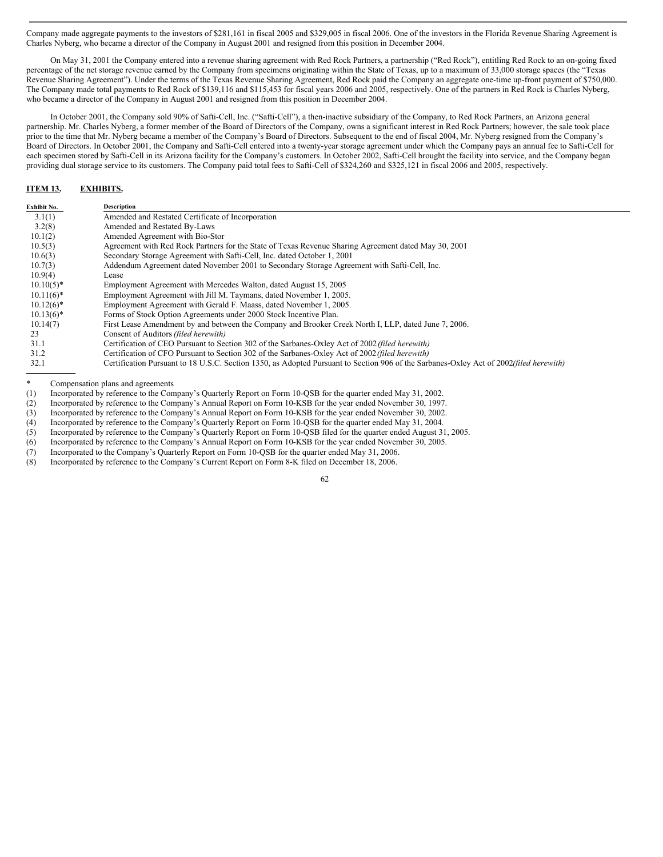Company made aggregate payments to the investors of \$281,161 in fiscal 2005 and \$329,005 in fiscal 2006. One of the investors in the Florida Revenue Sharing Agreement is Charles Nyberg, who became a director of the Company in August 2001 and resigned from this position in December 2004.

On May 31, 2001 the Company entered into a revenue sharing agreement with Red Rock Partners, a partnership ("Red Rock"), entitling Red Rock to an on-going fixed percentage of the net storage revenue earned by the Company from specimens originating within the State of Texas, up to a maximum of 33,000 storage spaces (the "Texas Revenue Sharing Agreement"). Under the terms of the Texas Revenue Sharing Agreement, Red Rock paid the Company an aggregate one-time up-front payment of \$750,000. The Company made total payments to Red Rock of \$139,116 and \$115,453 for fiscal years 2006 and 2005, respectively. One of the partners in Red Rock is Charles Nyberg, who became a director of the Company in August 2001 and resigned from this position in December 2004.

In October 2001, the Company sold 90% of Safti-Cell, Inc. ("Safti-Cell"), a then-inactive subsidiary of the Company, to Red Rock Partners, an Arizona general partnership. Mr. Charles Nyberg, a former member of the Board of Directors of the Company, owns a significant interest in Red Rock Partners; however, the sale took place prior to the time that Mr. Nyberg became a member of the Company's Board of Directors. Subsequent to the end of fiscal 2004, Mr. Nyberg resigned from the Company's Board of Directors. In October 2001, the Company and Safti-Cell entered into a twenty-year storage agreement under which the Company pays an annual fee to Safti-Cell for each specimen stored by Safti-Cell in its Arizona facility for the Company's customers. In October 2002, Safti-Cell brought the facility into service, and the Company began providing dual storage service to its customers. The Company paid total fees to Safti-Cell of \$324,260 and \$325,121 in fiscal 2006 and 2005, respectively.

## **ITEM 13. EXHIBITS.**

| Exhibit No.  | <b>Description</b>                                                                                                                             |
|--------------|------------------------------------------------------------------------------------------------------------------------------------------------|
| 3.1(1)       | Amended and Restated Certificate of Incorporation                                                                                              |
| 3.2(8)       | Amended and Restated By-Laws                                                                                                                   |
| 10.1(2)      | Amended Agreement with Bio-Stor                                                                                                                |
| 10.5(3)      | Agreement with Red Rock Partners for the State of Texas Revenue Sharing Agreement dated May 30, 2001                                           |
| 10.6(3)      | Secondary Storage Agreement with Safti-Cell, Inc. dated October 1, 2001                                                                        |
| 10.7(3)      | Addendum Agreement dated November 2001 to Secondary Storage Agreement with Safti-Cell, Inc.                                                    |
| 10.9(4)      | Lease                                                                                                                                          |
| $10.10(5)^*$ | Employment Agreement with Mercedes Walton, dated August 15, 2005                                                                               |
| $10.11(6)^*$ | Employment Agreement with Jill M. Taymans, dated November 1, 2005.                                                                             |
| $10.12(6)^*$ | Employment Agreement with Gerald F. Maass, dated November 1, 2005.                                                                             |
| $10.13(6)^*$ | Forms of Stock Option Agreements under 2000 Stock Incentive Plan.                                                                              |
| 10.14(7)     | First Lease Amendment by and between the Company and Brooker Creek North I, LLP, dated June 7, 2006.                                           |
| 23           | Consent of Auditors (filed herewith)                                                                                                           |
| 31.1         | Certification of CEO Pursuant to Section 302 of the Sarbanes-Oxley Act of 2002 (filed herewith)                                                |
| 31.2         | Certification of CFO Pursuant to Section 302 of the Sarbanes-Oxley Act of 2002 (filed herewith)                                                |
| 32.1         | Certification Pursuant to 18 U.S.C. Section 1350, as Adopted Pursuant to Section 906 of the Sarbanes-Oxley Act of 2002 <i>(filed herewith)</i> |

\* Compensation plans and agreements<br>(1) Incorporated by reference to the Com (1) Incorporated by reference to the Company's Quarterly Report on Form 10-QSB for the quarter ended May 31, 2002.

Incorporated by reference to the Company's Annual Report on Form 10-KSB for the year ended November 30, 1997.

(3) Incorporated by reference to the Company's Annual Report on Form 10-KSB for the year ended November 30, 2002.<br>(4) Incorporated by reference to the Company's Quarterly Report on Form 10-QSB for the quarter ended May 31, Incorporated by reference to the Company's Quarterly Report on Form 10-QSB for the quarter ended May 31, 2004.

(5) Incorporated by reference to the Company's Quarterly Report on Form 10-QSB filed for the quarter ended August 31, 2005.

(6) Incorporated by reference to the Company's Annual Report on Form 10-KSB for the year ended November 30, 2005.<br>(7) Incorporated to the Company's Quarterly Report on Form 10-QSB for the quarter ended May 31, 2006.

Incorporated to the Company's Quarterly Report on Form 10-OSB for the quarter ended May 31, 2006.

(8) Incorporated by reference to the Company's Current Report on Form 8-K filed on December 18, 2006.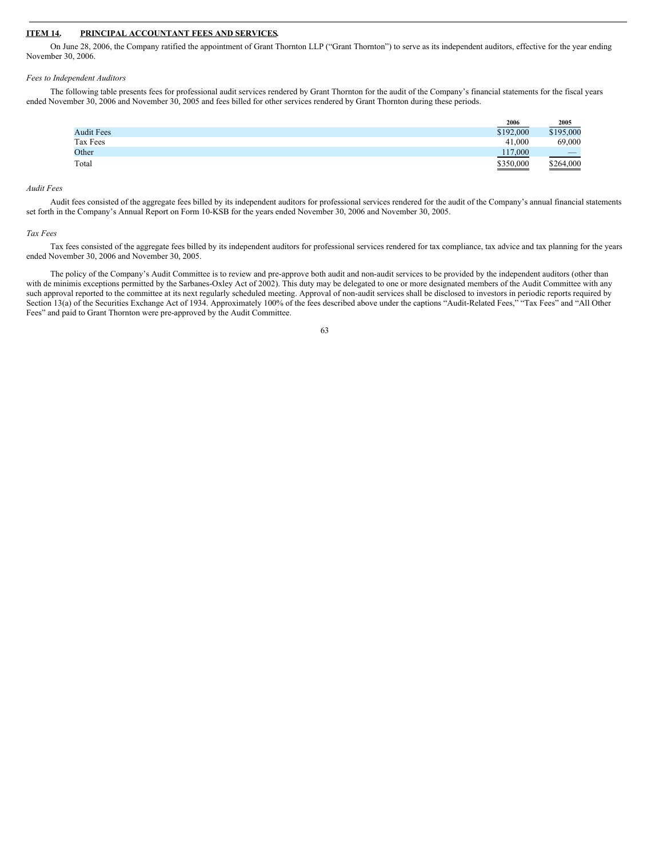#### **ITEM 14. PRINCIPAL ACCOUNTANT FEES AND SERVICES.**

On June 28, 2006, the Company ratified the appointment of Grant Thornton LLP ("Grant Thornton") to serve as its independent auditors, effective for the year ending November 30, 2006.

#### *Fees to Independent Auditors*

The following table presents fees for professional audit services rendered by Grant Thornton for the audit of the Company's financial statements for the fiscal years ended November 30, 2006 and November 30, 2005 and fees billed for other services rendered by Grant Thornton during these periods.

|                   | 2006      | 2005                                                                                                                                                                                                                                                                                                                                                                                                    |
|-------------------|-----------|---------------------------------------------------------------------------------------------------------------------------------------------------------------------------------------------------------------------------------------------------------------------------------------------------------------------------------------------------------------------------------------------------------|
| <b>Audit Fees</b> | \$192,000 | \$195,000                                                                                                                                                                                                                                                                                                                                                                                               |
| Tax Fees          | 41.000    | 69,000                                                                                                                                                                                                                                                                                                                                                                                                  |
| Other             | 117,000   | $\hspace{1.0cm} \overline{\hspace{1.0cm} \hspace{1.0cm} \hspace{1.0cm} } \hspace{1.0cm} \hspace{1.0cm} \overline{\hspace{1.0cm} \hspace{1.0cm} \hspace{1.0cm} } \hspace{1.0cm} \hspace{1.0cm} \overline{\hspace{1.0cm} \hspace{1.0cm} \hspace{1.0cm} } \hspace{1.0cm} \hspace{1.0cm} \overline{\hspace{1.0cm} \hspace{1.0cm} \hspace{1.0cm} } \hspace{1.0cm} \hspace{1.0cm} \hspace{1.0cm} } \hspace{1$ |
| Total             | \$350,000 | \$264,000                                                                                                                                                                                                                                                                                                                                                                                               |

## *Audit Fees*

Audit fees consisted of the aggregate fees billed by its independent auditors for professional services rendered for the audit of the Company's annual financial statements set forth in the Company's Annual Report on Form 10-KSB for the years ended November 30, 2006 and November 30, 2005.

#### *Tax Fees*

Tax fees consisted of the aggregate fees billed by its independent auditors for professional services rendered for tax compliance, tax advice and tax planning for the years ended November 30, 2006 and November 30, 2005.

The policy of the Company's Audit Committee is to review and pre-approve both audit and non-audit services to be provided by the independent auditors (other than with de minimis exceptions permitted by the Sarbanes-Oxley Act of 2002). This duty may be delegated to one or more designated members of the Audit Committee with any such approval reported to the committee at its next regularly scheduled meeting. Approval of non-audit services shall be disclosed to investors in periodic reports required by Section 13(a) of the Securities Exchange Act of 1934. Approximately 100% of the fees described above under the captions "Audit-Related Fees," "Tax Fees" and "All Other Fees" and paid to Grant Thornton were pre-approved by the Audit Committee.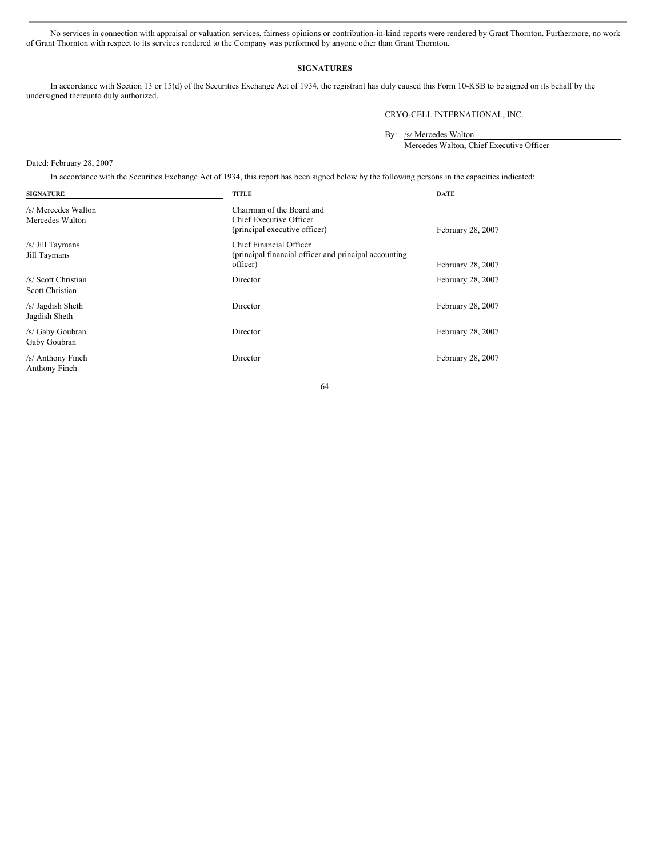No services in connection with appraisal or valuation services, fairness opinions or contribution-in-kind reports were rendered by Grant Thornton. Furthermore, no work of Grant Thornton with respect to its services rendered to the Company was performed by anyone other than Grant Thornton.

## **SIGNATURES**

In accordance with Section 13 or 15(d) of the Securities Exchange Act of 1934, the registrant has duly caused this Form 10-KSB to be signed on its behalf by the undersigned thereunto duly authorized.

CRYO-CELL INTERNATIONAL, INC.

By: /s/ Mercedes Walton

Mercedes Walton, Chief Executive Officer

Dated: February 28, 2007

In accordance with the Securities Exchange Act of 1934, this report has been signed below by the following persons in the capacities indicated:

| <b>SIGNATURE</b>                       | <b>TITLE</b>                                                                                 | <b>DATE</b>       |
|----------------------------------------|----------------------------------------------------------------------------------------------|-------------------|
| /s/ Mercedes Walton<br>Mercedes Walton | Chairman of the Board and<br>Chief Executive Officer<br>(principal executive officer)        | February 28, 2007 |
| /s/ Jill Taymans<br>Jill Taymans       | Chief Financial Officer<br>(principal financial officer and principal accounting<br>officer) | February 28, 2007 |
| /s/ Scott Christian<br>Scott Christian | Director                                                                                     | February 28, 2007 |
| /s/ Jagdish Sheth<br>Jagdish Sheth     | Director                                                                                     | February 28, 2007 |
| /s/ Gaby Goubran<br>Gaby Goubran       | Director                                                                                     | February 28, 2007 |
| /s/ Anthony Finch<br>Anthony Finch     | Director                                                                                     | February 28, 2007 |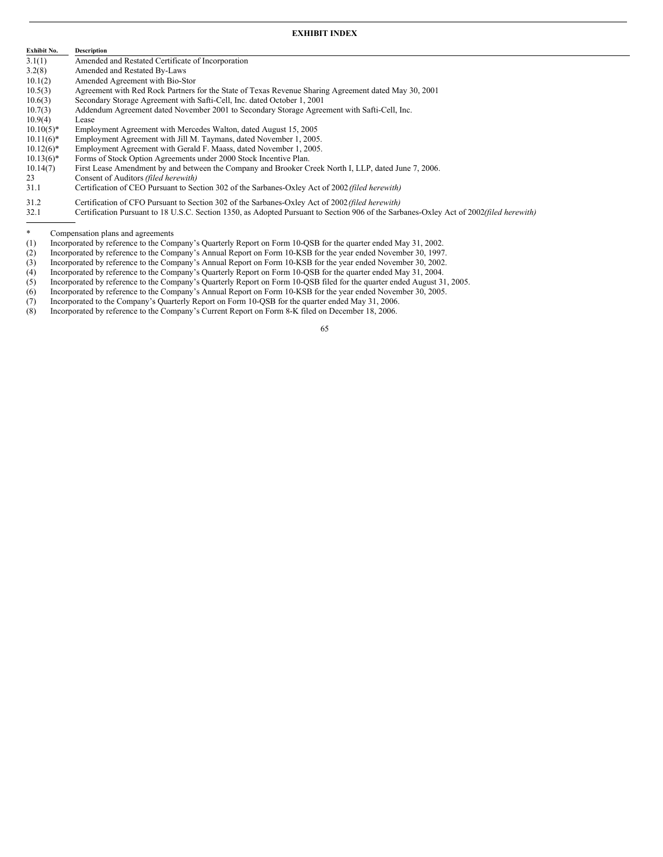## **EXHIBIT INDEX**

| Exhibit No.  | <b>Description</b>                                                                                                                                                                                                                    |
|--------------|---------------------------------------------------------------------------------------------------------------------------------------------------------------------------------------------------------------------------------------|
| 3.1(1)       | Amended and Restated Certificate of Incorporation                                                                                                                                                                                     |
| 3.2(8)       | Amended and Restated By-Laws                                                                                                                                                                                                          |
| 10.1(2)      | Amended Agreement with Bio-Stor                                                                                                                                                                                                       |
| 10.5(3)      | Agreement with Red Rock Partners for the State of Texas Revenue Sharing Agreement dated May 30, 2001                                                                                                                                  |
| 10.6(3)      | Secondary Storage Agreement with Safti-Cell, Inc. dated October 1, 2001                                                                                                                                                               |
| 10.7(3)      | Addendum Agreement dated November 2001 to Secondary Storage Agreement with Safti-Cell, Inc.                                                                                                                                           |
| 10.9(4)      | Lease                                                                                                                                                                                                                                 |
| $10.10(5)^*$ | Employment Agreement with Mercedes Walton, dated August 15, 2005                                                                                                                                                                      |
| $10.11(6)^*$ | Employment Agreement with Jill M. Taymans, dated November 1, 2005.                                                                                                                                                                    |
| $10.12(6)^*$ | Employment Agreement with Gerald F. Maass, dated November 1, 2005.                                                                                                                                                                    |
| $10.13(6)^*$ | Forms of Stock Option Agreements under 2000 Stock Incentive Plan.                                                                                                                                                                     |
| 10.14(7)     | First Lease Amendment by and between the Company and Brooker Creek North I, LLP, dated June 7, 2006                                                                                                                                   |
| 23           | Consent of Auditors (filed herewith)                                                                                                                                                                                                  |
| 211          | $\alpha$ if it coron and it and cannot all $\alpha$ is concerned in the second in the second in the second in the second in the second in the second in the second in the second in the second in the second in the second in the sec |

- 31.1 Certification of CEO Pursuant to Section 302 of the Sarbanes-Oxley Act of 2002*(filed herewith)*
- 31.2 Certification of CFO Pursuant to Section 302 of the Sarbanes-Oxley Act of 2002*(filed herewith)*
- 32.1 Certification Pursuant to 18 U.S.C. Section 1350, as Adopted Pursuant to Section 906 of the Sarbanes-Oxley Act of 2002*(filed herewith)*

\* Compensation plans and agreements<br>(1) Incorporated by reference to the Com

- Incorporated by reference to the Company's Quarterly Report on Form 10-QSB for the quarter ended May 31, 2002.
- (2) Incorporated by reference to the Company's Annual Report on Form 10-KSB for the year ended November 30, 1997.
- (3) Incorporated by reference to the Company's Annual Report on Form 10-KSB for the year ended November 30, 2002.
- (4) Incorporated by reference to the Company's Quarterly Report on Form 10-QSB for the quarter ended May 31, 2004.
- (5) Incorporated by reference to the Company's Quarterly Report on Form 10-QSB filed for the quarter ended August 31, 2005.
- (6) Incorporated by reference to the Company's Annual Report on Form 10-KSB for the year ended November 30, 2005.
- (7) Incorporated to the Company's Quarterly Report on Form 10-QSB for the quarter ended May 31, 2006.
- (8) Incorporated by reference to the Company's Current Report on Form 8-K filed on December 18, 2006.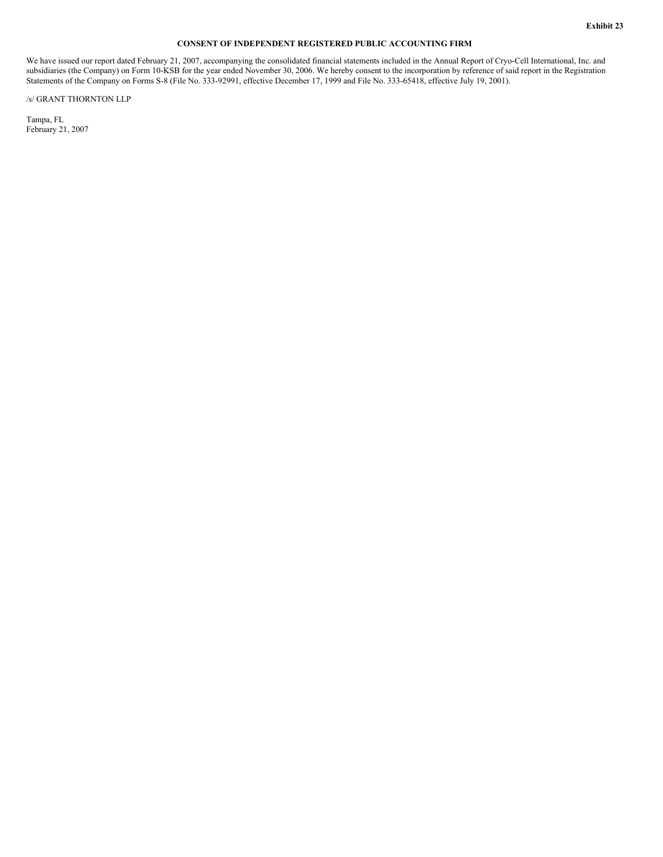## **CONSENT OF INDEPENDENT REGISTERED PUBLIC ACCOUNTING FIRM**

We have issued our report dated February 21, 2007, accompanying the consolidated financial statements included in the Annual Report of Cryo-Cell International, Inc. and subsidiaries (the Company) on Form 10-KSB for the year ended November 30, 2006. We hereby consent to the incorporation by reference of said report in the Registration Statements of the Company on Forms S-8 (File No. 333-92991, effective December 17, 1999 and File No. 333-65418, effective July 19, 2001).

/s/ GRANT THORNTON LLP

Tampa, FL February 21, 2007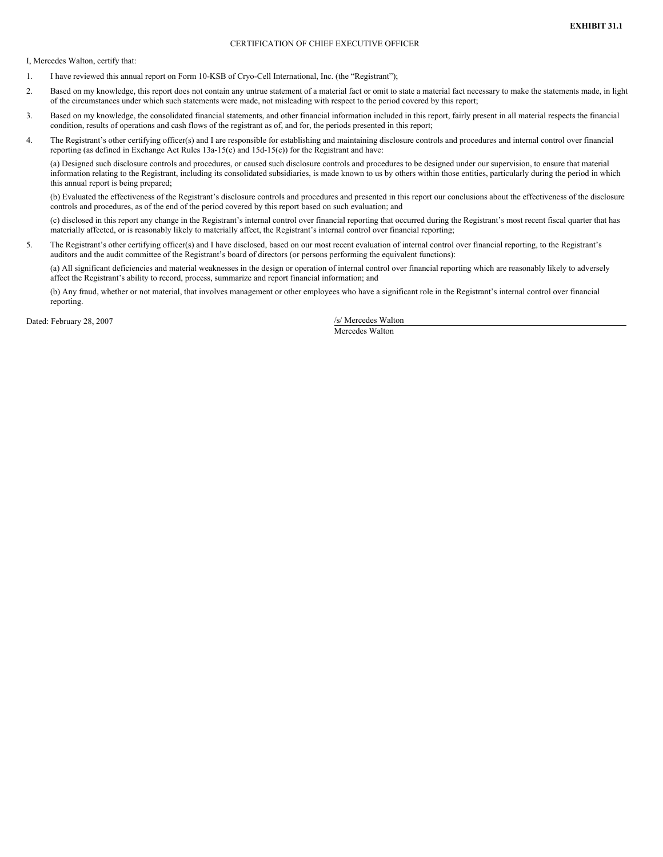## CERTIFICATION OF CHIEF EXECUTIVE OFFICER

I, Mercedes Walton, certify that:

- 1. I have reviewed this annual report on Form 10-KSB of Cryo-Cell International, Inc. (the "Registrant");
- 2. Based on my knowledge, this report does not contain any untrue statement of a material fact or omit to state a material fact necessary to make the statements made, in light of the circumstances under which such statements were made, not misleading with respect to the period covered by this report;
- 3. Based on my knowledge, the consolidated financial statements, and other financial information included in this report, fairly present in all material respects the financial condition, results of operations and cash flows of the registrant as of, and for, the periods presented in this report;
- 4. The Registrant's other certifying officer(s) and I are responsible for establishing and maintaining disclosure controls and procedures and internal control over financial reporting (as defined in Exchange Act Rules 13a-15(e) and 15d-15(e)) for the Registrant and have:

(a) Designed such disclosure controls and procedures, or caused such disclosure controls and procedures to be designed under our supervision, to ensure that material information relating to the Registrant, including its consolidated subsidiaries, is made known to us by others within those entities, particularly during the period in which this annual report is being prepared;

(b) Evaluated the effectiveness of the Registrant's disclosure controls and procedures and presented in this report our conclusions about the effectiveness of the disclosure controls and procedures, as of the end of the period covered by this report based on such evaluation; and

(c) disclosed in this report any change in the Registrant's internal control over financial reporting that occurred during the Registrant's most recent fiscal quarter that has materially affected, or is reasonably likely to materially affect, the Registrant's internal control over financial reporting;

5. The Registrant's other certifying officer(s) and I have disclosed, based on our most recent evaluation of internal control over financial reporting, to the Registrant's auditors and the audit committee of the Registrant's board of directors (or persons performing the equivalent functions):

(a) All significant deficiencies and material weaknesses in the design or operation of internal control over financial reporting which are reasonably likely to adversely affect the Registrant's ability to record, process, summarize and report financial information; and

(b) Any fraud, whether or not material, that involves management or other employees who have a significant role in the Registrant's internal control over financial reporting.

Dated: February 28, 2007 /s/ Mercedes Walton

Mercedes Walton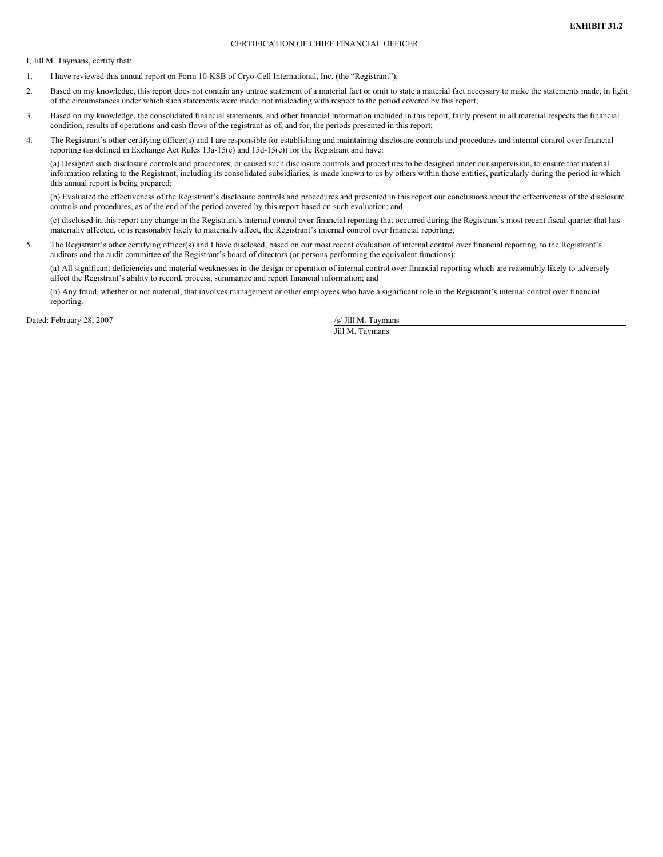## CERTIFICATION OF CHIEF FINANCIAL OFFICER

I, Jill M. Taymans, certify that:

- 1. I have reviewed this annual report on Form 10-KSB of Cryo-Cell International, Inc. (the "Registrant");
- 2. Based on my knowledge, this report does not contain any untrue statement of a material fact or omit to state a material fact necessary to make the statements made, in light of the circumstances under which such statements were made, not misleading with respect to the period covered by this report;
- 3. Based on my knowledge, the consolidated financial statements, and other financial information included in this report, fairly present in all material respects the financial condition, results of operations and cash flows of the registrant as of, and for, the periods presented in this report;
- 4. The Registrant's other certifying officer(s) and I are responsible for establishing and maintaining disclosure controls and procedures and internal control over financial reporting (as defined in Exchange Act Rules 13a-15(e) and 15d-15(e)) for the Registrant and have:

(a) Designed such disclosure controls and procedures, or caused such disclosure controls and procedures to be designed under our supervision, to ensure that material information relating to the Registrant, including its consolidated subsidiaries, is made known to us by others within those entities, particularly during the period in which this annual report is being prepared;

(b) Evaluated the effectiveness of the Registrant's disclosure controls and procedures and presented in this report our conclusions about the effectiveness of the disclosure controls and procedures, as of the end of the period covered by this report based on such evaluation; and

(c) disclosed in this report any change in the Registrant's internal control over financial reporting that occurred during the Registrant's most recent fiscal quarter that has materially affected, or is reasonably likely to materially affect, the Registrant's internal control over financial reporting;

5. The Registrant's other certifying officer(s) and I have disclosed, based on our most recent evaluation of internal control over financial reporting, to the Registrant's auditors and the audit committee of the Registrant's board of directors (or persons performing the equivalent functions):

(a) All significant deficiencies and material weaknesses in the design or operation of internal control over financial reporting which are reasonably likely to adversely affect the Registrant's ability to record, process, summarize and report financial information; and

(b) Any fraud, whether or not material, that involves management or other employees who have a significant role in the Registrant's internal control over financial reporting.

Dated: February 28, 2007 /s/ Jill M. Taymans

Jill M. Taymans